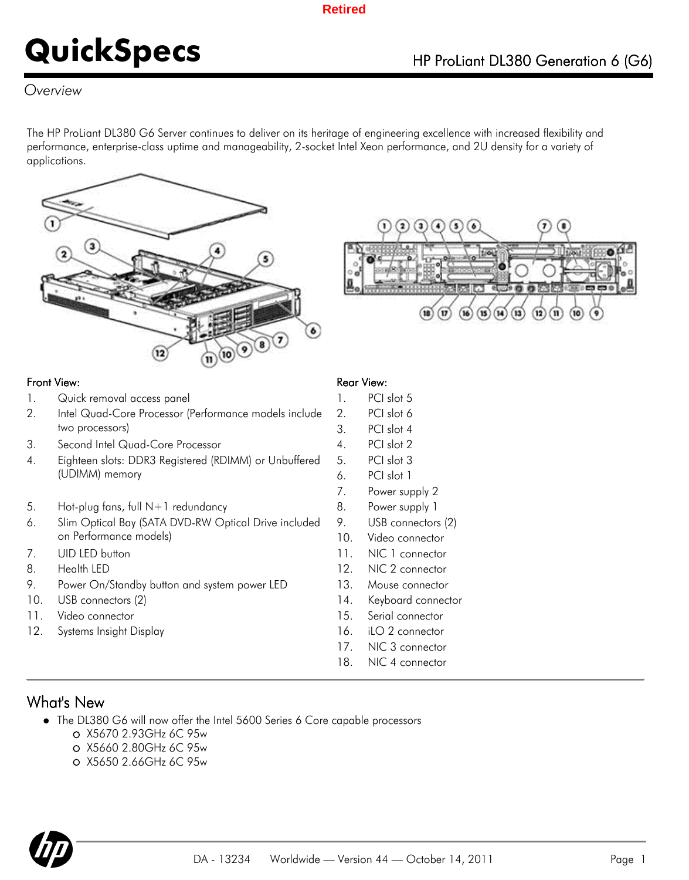### *Overview*

The HP ProLiant DL380 G6 Server continues to deliver on its heritage of engineering excellence with increased flexibility and performance, enterprise-class uptime and manageability, 2-socket Intel Xeon performance, and 2U density for a variety of applications.





### Front View: The Contract of the Contract of the Rear View: Rear View:

- 1. Quick removal access panel 1. PCI slot 5
- 2. Intel Quad-Core Processor (Performance models include two processors)
- 3. Second Intel Quad-Core Processor 4. PCI slot 2
- 4. Eighteen slots: DDR3 Registered (RDIMM) or Unbuffered (UDIMM) memory
- 5. Hot-plug fans, full N+1 redundancy 8. Power supply 1
- 6. Slim Optical Bay (SATA DVD-RW Optical Drive included on Performance models)
- 
- 
- 9. Power On/Standby button and system power LED 13. Mouse connector
- 10. USB connectors (2) 14. Keyboard connector
- 11. Video connector 15. Serial connector
- 12. Systems Insight Display **16. iLO 2 connector**

- 
- 2. PCI slot 6
- 3. PCI slot 4
- 
- 5. PCI slot 3
- 6. PCI slot 1
- 7. Power supply 2
- 
- 9. USB connectors (2)
- 10. Video connector
- 7. UID LED button 11. NIC 1 connector
- 8. Health LED 12. NIC 2 connector
	-
	-
	-
	-
	- 17. NIC 3 connector
	- 18. NIC 4 connector

### What's New

- The DL380 G6 will now offer the Intel 5600 Series 6 Core capable processors
	- X5670 2.93GHz 6C 95w
	- X5660 2.80GHz 6C 95w
	- X5650 2.66GHz 6C 95w

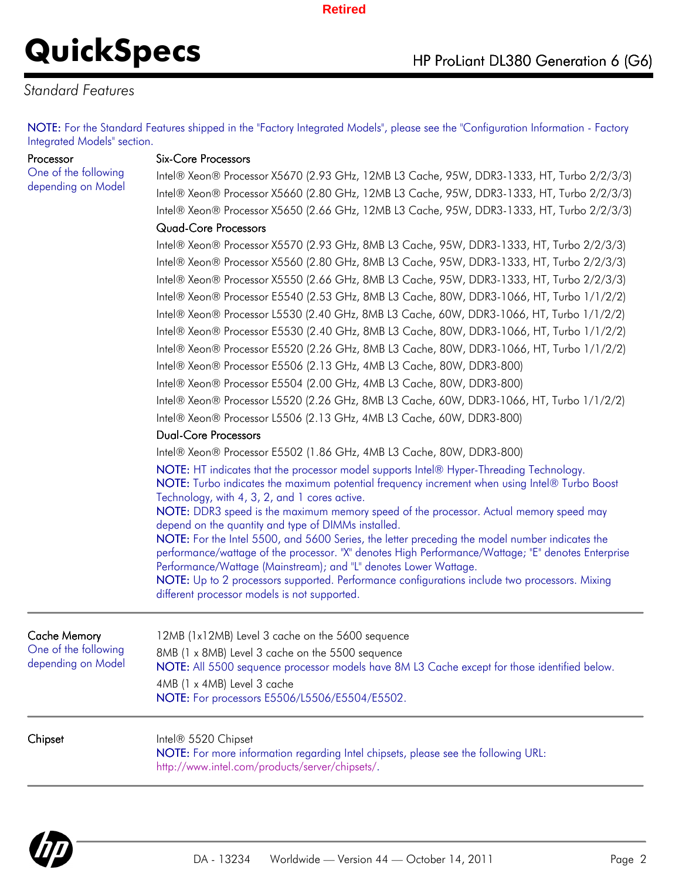# **QuickSpecs** HP ProLiant DL380 Generation 6 (G6)

### *Standard Features*

NOTE: For the Standard Features shipped in the "Factory Integrated Models", please see the "Configuration Information - Factory Integrated Models" section.

Processor

One of the following depending on Model

#### Six-Core Processors

Intel® Xeon® Processor X5670 (2.93 GHz, 12MB L3 Cache, 95W, DDR3-1333, HT, Turbo 2/2/3/3) Intel® Xeon® Processor X5660 (2.80 GHz, 12MB L3 Cache, 95W, DDR3-1333, HT, Turbo 2/2/3/3) Intel® Xeon® Processor X5650 (2.66 GHz, 12MB L3 Cache, 95W, DDR3-1333, HT, Turbo 2/2/3/3)

#### Quad-Core Processors

Intel® Xeon® Processor X5570 (2.93 GHz, 8MB L3 Cache, 95W, DDR3-1333, HT, Turbo 2/2/3/3) Intel® Xeon® Processor X5560 (2.80 GHz, 8MB L3 Cache, 95W, DDR3-1333, HT, Turbo 2/2/3/3) Intel® Xeon® Processor X5550 (2.66 GHz, 8MB L3 Cache, 95W, DDR3-1333, HT, Turbo 2/2/3/3) Intel® Xeon® Processor E5540 (2.53 GHz, 8MB L3 Cache, 80W, DDR3-1066, HT, Turbo 1/1/2/2) Intel® Xeon® Processor L5530 (2.40 GHz, 8MB L3 Cache, 60W, DDR3-1066, HT, Turbo 1/1/2/2) Intel® Xeon® Processor E5530 (2.40 GHz, 8MB L3 Cache, 80W, DDR3-1066, HT, Turbo 1/1/2/2) Intel® Xeon® Processor E5520 (2.26 GHz, 8MB L3 Cache, 80W, DDR3-1066, HT, Turbo 1/1/2/2) Intel® Xeon® Processor E5506 (2.13 GHz, 4MB L3 Cache, 80W, DDR3-800) Intel® Xeon® Processor E5504 (2.00 GHz, 4MB L3 Cache, 80W, DDR3-800) Intel® Xeon® Processor L5520 (2.26 GHz, 8MB L3 Cache, 60W, DDR3-1066, HT, Turbo 1/1/2/2) Intel® Xeon® Processor L5506 (2.13 GHz, 4MB L3 Cache, 60W, DDR3-800)

#### Dual-Core Processors

Intel® Xeon® Processor E5502 (1.86 GHz, 4MB L3 Cache, 80W, DDR3-800)

NOTE: HT indicates that the processor model supports Intel® Hyper-Threading Technology. NOTE: Turbo indicates the maximum potential frequency increment when using Intel® Turbo Boost Technology, with 4, 3, 2, and 1 cores active.

NOTE: DDR3 speed is the maximum memory speed of the processor. Actual memory speed may depend on the quantity and type of DIMMs installed.

NOTE: For the Intel 5500, and 5600 Series, the letter preceding the model number indicates the performance/wattage of the processor. "X" denotes High Performance/Wattage; "E" denotes Enterprise Performance/Wattage (Mainstream); and "L" denotes Lower Wattage.

NOTE: Up to 2 processors supported. Performance configurations include two processors. Mixing different processor models is not supported.

| Cache Memory<br>One of the following<br>depending on Model | 12MB (1x12MB) Level 3 cache on the 5600 sequence<br>8MB (1 x 8MB) Level 3 cache on the 5500 sequence<br>NOTE: All 5500 sequence processor models have 8M L3 Cache except for those identified below.<br>4MB (1 x 4MB) Level 3 cache<br>NOTE: For processors E5506/L5506/E5504/E5502. |
|------------------------------------------------------------|--------------------------------------------------------------------------------------------------------------------------------------------------------------------------------------------------------------------------------------------------------------------------------------|
| Chipset                                                    | Intel® 5520 Chipset<br>NOTE: For more information regarding Intel chipsets, please see the following URL:<br>http://www.intel.com/products/server/chipsets/.                                                                                                                         |

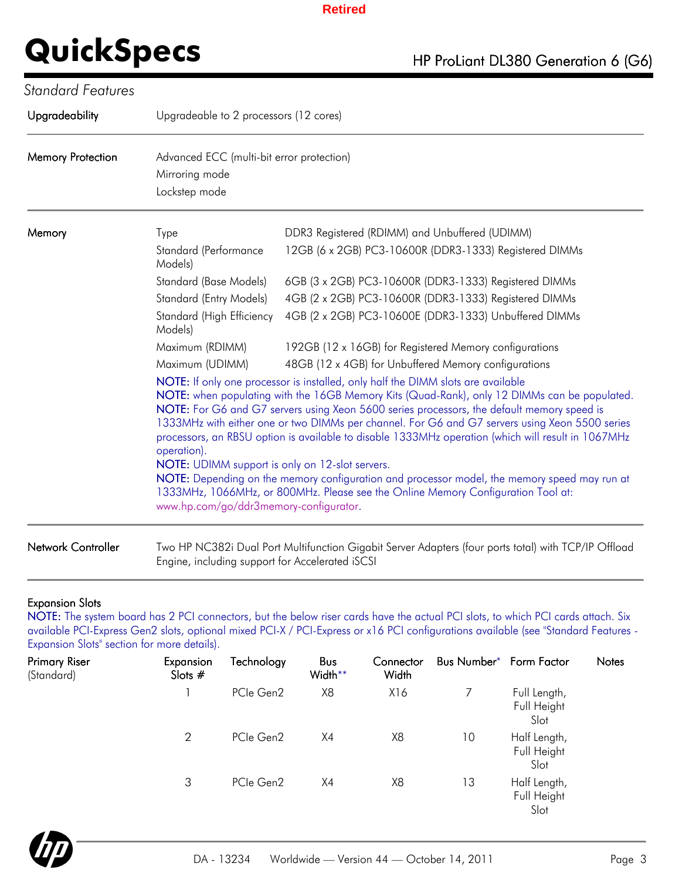| Upgradeability            | Upgradeable to 2 processors (12 cores)                                                                                                                                                                                                                                                                                                                                                                                                                                                                                                                                                                                                                                                                                                                                                 |                                                                                                                |  |  |  |  |  |
|---------------------------|----------------------------------------------------------------------------------------------------------------------------------------------------------------------------------------------------------------------------------------------------------------------------------------------------------------------------------------------------------------------------------------------------------------------------------------------------------------------------------------------------------------------------------------------------------------------------------------------------------------------------------------------------------------------------------------------------------------------------------------------------------------------------------------|----------------------------------------------------------------------------------------------------------------|--|--|--|--|--|
| <b>Memory Protection</b>  | Advanced ECC (multi-bit error protection)<br>Mirroring mode<br>Lockstep mode                                                                                                                                                                                                                                                                                                                                                                                                                                                                                                                                                                                                                                                                                                           |                                                                                                                |  |  |  |  |  |
| Memory                    | Type<br>Standard (Performance<br>Models)                                                                                                                                                                                                                                                                                                                                                                                                                                                                                                                                                                                                                                                                                                                                               | DDR3 Registered (RDIMM) and Unbuffered (UDIMM)<br>12GB (6 x 2GB) PC3-10600R (DDR3-1333) Registered DIMMs       |  |  |  |  |  |
|                           | Standard (Base Models)                                                                                                                                                                                                                                                                                                                                                                                                                                                                                                                                                                                                                                                                                                                                                                 | 6GB (3 x 2GB) PC3-10600R (DDR3-1333) Registered DIMMs                                                          |  |  |  |  |  |
|                           | Standard (Entry Models)<br>Standard (High Efficiency<br>Models)                                                                                                                                                                                                                                                                                                                                                                                                                                                                                                                                                                                                                                                                                                                        | 4GB (2 x 2GB) PC3-10600R (DDR3-1333) Registered DIMMs<br>4GB (2 x 2GB) PC3-10600E (DDR3-1333) Unbuffered DIMMs |  |  |  |  |  |
|                           | Maximum (RDIMM)                                                                                                                                                                                                                                                                                                                                                                                                                                                                                                                                                                                                                                                                                                                                                                        | 192GB (12 x 16GB) for Registered Memory configurations                                                         |  |  |  |  |  |
|                           | Maximum (UDIMM)                                                                                                                                                                                                                                                                                                                                                                                                                                                                                                                                                                                                                                                                                                                                                                        | 48GB (12 x 4GB) for Unbuffered Memory configurations                                                           |  |  |  |  |  |
|                           | NOTE: If only one processor is installed, only half the DIMM slots are available<br>NOTE: when populating with the 16GB Memory Kits (Quad-Rank), only 12 DIMMs can be populated.<br>NOTE: For G6 and G7 servers using Xeon 5600 series processors, the default memory speed is<br>1333MHz with either one or two DIMMs per channel. For G6 and G7 servers using Xeon 5500 series<br>processors, an RBSU option is available to disable 1333MHz operation (which will result in 1067MHz<br>operation).<br>NOTE: UDIMM support is only on 12-slot servers.<br>NOTE: Depending on the memory configuration and processor model, the memory speed may run at<br>1333MHz, 1066MHz, or 800MHz. Please see the Online Memory Configuration Tool at:<br>www.hp.com/go/ddr3memory-configurator. |                                                                                                                |  |  |  |  |  |
| <b>Network Controller</b> | Engine, including support for Accelerated iSCSI                                                                                                                                                                                                                                                                                                                                                                                                                                                                                                                                                                                                                                                                                                                                        | Two HP NC382i Dual Port Multifunction Gigabit Server Adapters (four ports total) with TCP/IP Offload           |  |  |  |  |  |

### Expansion Slots

NOTE: The system board has 2 PCI connectors, but the below riser cards have the actual PCI slots, to which PCI cards attach. Six available PCI-Express Gen2 slots, optional mixed PCI-X / PCI-Express or x16 PCI configurations available (see "Standard Features - Expansion Slots" section for more details).

| <b>Primary Riser</b><br>(Standard) | Expansion<br>Slots $#$ | Technology | Bus<br>Width** | Connector<br>Width | Bus Number* Form Factor |                                     | Notes |
|------------------------------------|------------------------|------------|----------------|--------------------|-------------------------|-------------------------------------|-------|
|                                    |                        | PCIe Gen2  | X8             | X16                |                         | Full Length,<br>Full Height<br>Slot |       |
|                                    | 2                      | PCIe Gen2  | X4             | X8                 | 10                      | Half Length,<br>Full Height<br>Slot |       |
|                                    | 3                      | PCIe Gen2  | X4             | X8                 | 13                      | Half Length,<br>Full Height<br>Slot |       |

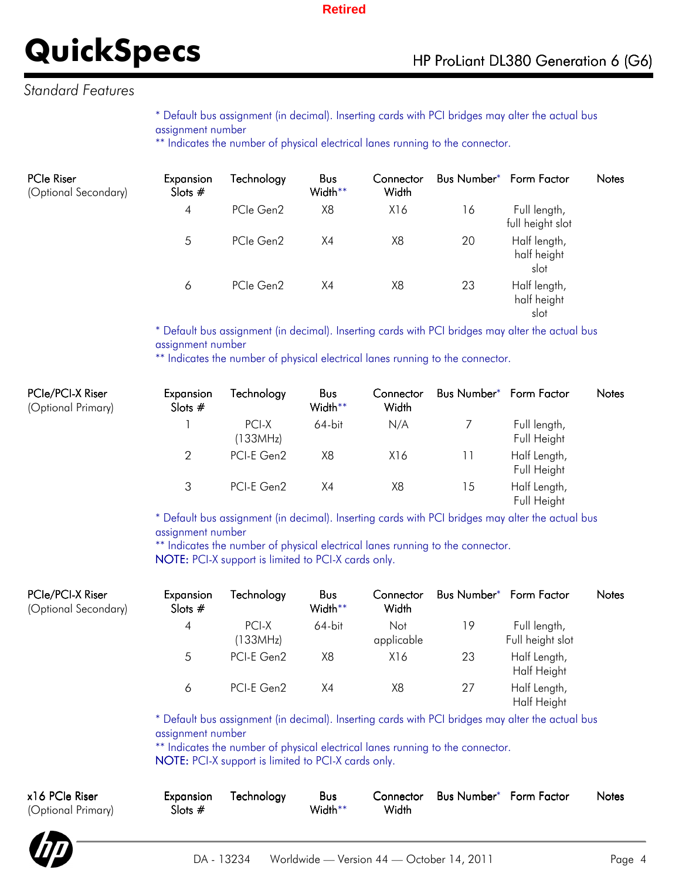### *Standard Features*

\* Default bus assignment (in decimal). Inserting cards with PCI bridges may alter the actual bus assignment number

\*\* Indicates the number of physical electrical lanes running to the connector.

| <b>PCIe Riser</b><br>(Optional Secondary) | Expansion<br>Slots $#$ | Technology | <b>Bus</b><br>Width** | Connector<br>Width |    | Bus Number* Form Factor             | <b>Notes</b> |
|-------------------------------------------|------------------------|------------|-----------------------|--------------------|----|-------------------------------------|--------------|
|                                           | 4                      | PCIe Gen2  | X8                    | X16                | 16 | Full length,<br>full height slot    |              |
|                                           | 5                      | PCIe Gen2  | X4                    | X8                 | 20 | Half length,<br>half height<br>slot |              |
|                                           | 6                      | PCIe Gen2  | X4                    | X8                 | 23 | Half length,<br>half height<br>slot |              |

\* Default bus assignment (in decimal). Inserting cards with PCI bridges may alter the actual bus assignment number

\*\* Indicates the number of physical electrical lanes running to the connector.

| PCIe/PCI-X Riser<br>(Optional Primary) | Expansion<br>Slots $#$ | Technology        | <b>Bus</b><br>Width** | Connector<br>Width | Bus Number* Form Factor |                             | <b>Notes</b> |
|----------------------------------------|------------------------|-------------------|-----------------------|--------------------|-------------------------|-----------------------------|--------------|
|                                        |                        | PCI-X<br>(133MHz) | $64$ -bit             | N/A                |                         | Full length,<br>Full Height |              |
|                                        | 2                      | PCI-E Gen2        | X8                    | X16                |                         | Half Length,<br>Full Height |              |
|                                        | 3                      | PCI-E Gen2        | X4                    | X8                 | 15                      | Half Length,<br>Full Height |              |

\* Default bus assignment (in decimal). Inserting cards with PCI bridges may alter the actual bus assignment number

\*\* Indicates the number of physical electrical lanes running to the connector. NOTE: PCI-X support is limited to PCI-X cards only.

| PCIe/PCI-X Riser<br>(Optional Secondary) | Expansion<br>Slots $#$ | fechnology        | <b>Bus</b><br>Width** | Connector<br>Width | Bus Number <sup>*</sup> Form Factor |                                  | <b>Notes</b> |
|------------------------------------------|------------------------|-------------------|-----------------------|--------------------|-------------------------------------|----------------------------------|--------------|
|                                          | 4                      | PCI-X<br>(133MHz) | 64-bit                | Not<br>applicable  | 19                                  | Full length,<br>Full height slot |              |
|                                          | 5                      | PCI-E Gen2        | X8                    | X16                | 23                                  | Half Length,<br>Half Height      |              |
|                                          | 6                      | PCI-E Gen2        | X4                    | X8                 | 27                                  | Half Length,<br>Half Height      |              |

\* Default bus assignment (in decimal). Inserting cards with PCI bridges may alter the actual bus assignment number

\*\* Indicates the number of physical electrical lanes running to the connector. NOTE: PCI-X support is limited to PCI-X cards only.

| x16 PCIe Riser<br>(Optional Primary) | Expansion<br>Slots $#$ | Technology | <b>Bus</b><br>Width** | Width | Connector Bus Number* Form Factor | <b>Notes</b> |
|--------------------------------------|------------------------|------------|-----------------------|-------|-----------------------------------|--------------|
|                                      |                        |            |                       |       |                                   |              |

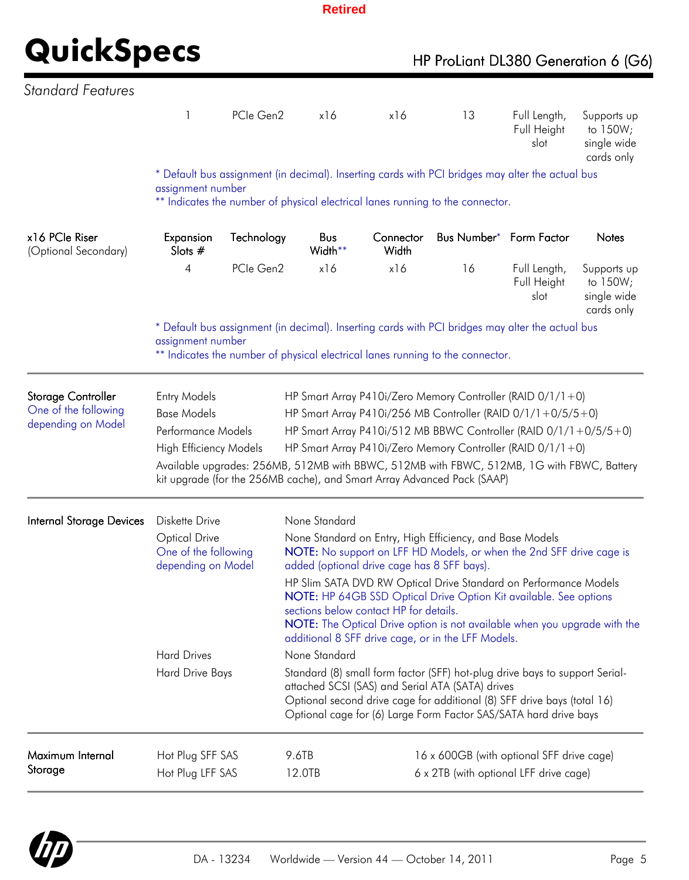## **QuickSpecs**

| HP ProLiant DL380 Generation 6 (G6) |  |  |
|-------------------------------------|--|--|
|-------------------------------------|--|--|

| <b>Standard Features</b>                                         |                                                                                                                                                                                                                                                                                                                                                                                                                                                                                                                                               |            |                                                                                                                                                                                                                                                                                                 |                                                                                                                                                                                                                                                                                                                                 |    |                                                                                     |                                                      |  |
|------------------------------------------------------------------|-----------------------------------------------------------------------------------------------------------------------------------------------------------------------------------------------------------------------------------------------------------------------------------------------------------------------------------------------------------------------------------------------------------------------------------------------------------------------------------------------------------------------------------------------|------------|-------------------------------------------------------------------------------------------------------------------------------------------------------------------------------------------------------------------------------------------------------------------------------------------------|---------------------------------------------------------------------------------------------------------------------------------------------------------------------------------------------------------------------------------------------------------------------------------------------------------------------------------|----|-------------------------------------------------------------------------------------|------------------------------------------------------|--|
|                                                                  | 1                                                                                                                                                                                                                                                                                                                                                                                                                                                                                                                                             | PCIe Gen2  | x16                                                                                                                                                                                                                                                                                             | x16                                                                                                                                                                                                                                                                                                                             | 13 | Full Length,<br>Full Height<br>slot                                                 | Supports up<br>to 150W;<br>single wide<br>cards only |  |
|                                                                  | assignment number                                                                                                                                                                                                                                                                                                                                                                                                                                                                                                                             |            |                                                                                                                                                                                                                                                                                                 | * Default bus assignment (in decimal). Inserting cards with PCI bridges may alter the actual bus<br>** Indicates the number of physical electrical lanes running to the connector.                                                                                                                                              |    |                                                                                     |                                                      |  |
|                                                                  |                                                                                                                                                                                                                                                                                                                                                                                                                                                                                                                                               |            |                                                                                                                                                                                                                                                                                                 |                                                                                                                                                                                                                                                                                                                                 |    |                                                                                     |                                                      |  |
| x16 PCle Riser<br>(Optional Secondary)                           | Expansion<br>Slots $#$                                                                                                                                                                                                                                                                                                                                                                                                                                                                                                                        | Technology | Bus<br>Width**                                                                                                                                                                                                                                                                                  | Connector<br>Width                                                                                                                                                                                                                                                                                                              |    | Bus Number* Form Factor                                                             | <b>Notes</b>                                         |  |
|                                                                  | 4                                                                                                                                                                                                                                                                                                                                                                                                                                                                                                                                             | PCIe Gen2  | x16                                                                                                                                                                                                                                                                                             | x16                                                                                                                                                                                                                                                                                                                             | 16 | Full Length,<br>Full Height<br>slot                                                 | Supports up<br>to 150W;<br>single wide<br>cards only |  |
|                                                                  | assignment number                                                                                                                                                                                                                                                                                                                                                                                                                                                                                                                             |            |                                                                                                                                                                                                                                                                                                 | * Default bus assignment (in decimal). Inserting cards with PCI bridges may alter the actual bus<br>** Indicates the number of physical electrical lanes running to the connector.                                                                                                                                              |    |                                                                                     |                                                      |  |
| Storage Controller<br>One of the following<br>depending on Model | <b>Entry Models</b><br>HP Smart Array P410i/Zero Memory Controller (RAID $0/1/1+0$ )<br><b>Base Models</b><br>HP Smart Array P410i/256 MB Controller (RAID 0/1/1+0/5/5+0)<br>HP Smart Array P410i/512 MB BBWC Controller (RAID 0/1/1+0/5/5+0)<br>Performance Models<br><b>High Efficiency Models</b><br>HP Smart Array P410i/Zero Memory Controller (RAID $0/1/1+0$ )<br>Available upgrades: 256MB, 512MB with BBWC, 512MB with FBWC, 512MB, 1G with FBWC, Battery<br>kit upgrade (for the 256MB cache), and Smart Array Advanced Pack (SAAP) |            |                                                                                                                                                                                                                                                                                                 |                                                                                                                                                                                                                                                                                                                                 |    |                                                                                     |                                                      |  |
| <b>Internal Storage Devices</b>                                  | Diskette Drive<br><b>Optical Drive</b><br>One of the following<br>depending on Model                                                                                                                                                                                                                                                                                                                                                                                                                                                          |            | None Standard                                                                                                                                                                                                                                                                                   | None Standard on Entry, High Efficiency, and Base Models<br>NOTE: No support on LFF HD Models, or when the 2nd SFF drive cage is<br>added (optional drive cage has 8 SFF bays).<br>HP Slim SATA DVD RW Optical Drive Standard on Performance Models<br><b>NOTE:</b> HP 64GB SSD Optical Drive Option Kit available. See options |    |                                                                                     |                                                      |  |
|                                                                  |                                                                                                                                                                                                                                                                                                                                                                                                                                                                                                                                               |            | sections below contact HP for details.<br>NOTE: The Optical Drive option is not available when you upgrade with the<br>additional 8 SFF drive cage, or in the LFF Models.                                                                                                                       |                                                                                                                                                                                                                                                                                                                                 |    |                                                                                     |                                                      |  |
|                                                                  | <b>Hard Drives</b><br>Hard Drive Bays                                                                                                                                                                                                                                                                                                                                                                                                                                                                                                         |            | None Standard<br>Standard (8) small form factor (SFF) hot-plug drive bays to support Serial-<br>attached SCSI (SAS) and Serial ATA (SATA) drives<br>Optional second drive cage for additional (8) SFF drive bays (total 16)<br>Optional cage for (6) Large Form Factor SAS/SATA hard drive bays |                                                                                                                                                                                                                                                                                                                                 |    |                                                                                     |                                                      |  |
| Maximum Internal<br>Storage                                      | Hot Plug SFF SAS<br>Hot Plug LFF SAS                                                                                                                                                                                                                                                                                                                                                                                                                                                                                                          |            | 9.6TB<br>12.0TB                                                                                                                                                                                                                                                                                 |                                                                                                                                                                                                                                                                                                                                 |    | 16 x 600GB (with optional SFF drive cage)<br>6 x 2TB (with optional LFF drive cage) |                                                      |  |

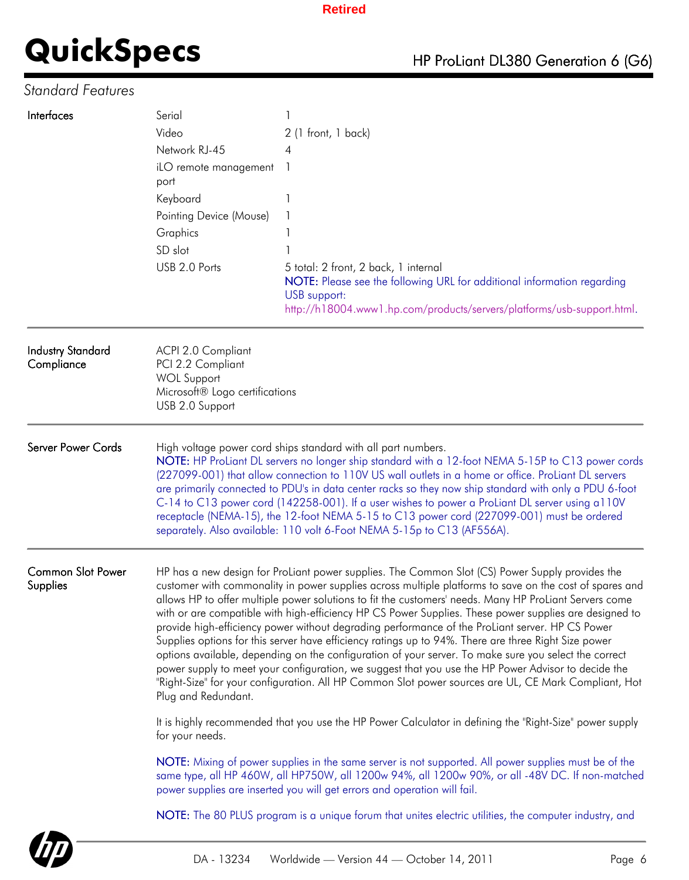## *Standard Features*

| Interfaces                             | Serial<br>Video<br>Network RJ-45<br>iLO remote management<br>port<br>Keyboard<br>Pointing Device (Mouse)<br>Graphics<br>SD slot                                                                                                                                                                                                                                                                                                                                                                                                                                                                                                                                 | 2 (1 front, 1 back)<br>4                                                                                                                                                                                                                                                                                                                                                                                                                                                                                                                                                                                                                                                                                                                                                                                                                                                                                                                                          |  |  |  |  |
|----------------------------------------|-----------------------------------------------------------------------------------------------------------------------------------------------------------------------------------------------------------------------------------------------------------------------------------------------------------------------------------------------------------------------------------------------------------------------------------------------------------------------------------------------------------------------------------------------------------------------------------------------------------------------------------------------------------------|-------------------------------------------------------------------------------------------------------------------------------------------------------------------------------------------------------------------------------------------------------------------------------------------------------------------------------------------------------------------------------------------------------------------------------------------------------------------------------------------------------------------------------------------------------------------------------------------------------------------------------------------------------------------------------------------------------------------------------------------------------------------------------------------------------------------------------------------------------------------------------------------------------------------------------------------------------------------|--|--|--|--|
|                                        | USB 2.0 Ports                                                                                                                                                                                                                                                                                                                                                                                                                                                                                                                                                                                                                                                   | 5 total: 2 front, 2 back, 1 internal<br>NOTE: Please see the following URL for additional information regarding<br>USB support:<br>http://h18004.www1.hp.com/products/servers/platforms/usb-support.html.                                                                                                                                                                                                                                                                                                                                                                                                                                                                                                                                                                                                                                                                                                                                                         |  |  |  |  |
| <b>Industry Standard</b><br>Compliance | ACPI 2.0 Compliant<br>PCI 2.2 Compliant<br><b>WOL Support</b><br>Microsoft® Logo certifications<br>USB 2.0 Support                                                                                                                                                                                                                                                                                                                                                                                                                                                                                                                                              |                                                                                                                                                                                                                                                                                                                                                                                                                                                                                                                                                                                                                                                                                                                                                                                                                                                                                                                                                                   |  |  |  |  |
| <b>Server Power Cords</b>              | High voltage power cord ships standard with all part numbers.<br>NOTE: HP ProLiant DL servers no longer ship standard with a 12-foot NEMA 5-15P to C13 power cords<br>(227099-001) that allow connection to 110V US wall outlets in a home or office. ProLiant DL servers<br>are primarily connected to PDU's in data center racks so they now ship standard with only a PDU 6-foot<br>C-14 to C13 power cord (142258-001). If a user wishes to power a ProLiant DL server using a110V<br>receptacle (NEMA-15), the 12-foot NEMA 5-15 to C13 power cord (227099-001) must be ordered<br>separately. Also available: 110 volt 6-Foot NEMA 5-15p to C13 (AF556A). |                                                                                                                                                                                                                                                                                                                                                                                                                                                                                                                                                                                                                                                                                                                                                                                                                                                                                                                                                                   |  |  |  |  |
| <b>Common Slot Power</b><br>Supplies   | Plug and Redundant.                                                                                                                                                                                                                                                                                                                                                                                                                                                                                                                                                                                                                                             | HP has a new design for ProLiant power supplies. The Common Slot (CS) Power Supply provides the<br>customer with commonality in power supplies across multiple platforms to save on the cost of spares and<br>allows HP to offer multiple power solutions to fit the customers' needs. Many HP ProLiant Servers come<br>with or are compatible with high-efficiency HP CS Power Supplies. These power supplies are designed to<br>provide high-efficiency power without degrading performance of the ProLiant server. HP CS Power<br>Supplies options for this server have efficiency ratings up to 94%. There are three Right Size power<br>options available, depending on the configuration of your server. To make sure you select the correct<br>power supply to meet your configuration, we suggest that you use the HP Power Advisor to decide the<br>"Right-Size" for your configuration. All HP Common Slot power sources are UL, CE Mark Compliant, Hot |  |  |  |  |
|                                        | for your needs.                                                                                                                                                                                                                                                                                                                                                                                                                                                                                                                                                                                                                                                 | It is highly recommended that you use the HP Power Calculator in defining the "Right-Size" power supply                                                                                                                                                                                                                                                                                                                                                                                                                                                                                                                                                                                                                                                                                                                                                                                                                                                           |  |  |  |  |
|                                        | NOTE: Mixing of power supplies in the same server is not supported. All power supplies must be of the<br>same type, all HP 460W, all HP750W, all 1200w 94%, all 1200w 90%, or all -48V DC. If non-matched<br>power supplies are inserted you will get errors and operation will fail.                                                                                                                                                                                                                                                                                                                                                                           |                                                                                                                                                                                                                                                                                                                                                                                                                                                                                                                                                                                                                                                                                                                                                                                                                                                                                                                                                                   |  |  |  |  |
|                                        |                                                                                                                                                                                                                                                                                                                                                                                                                                                                                                                                                                                                                                                                 | NOTE: The 80 PLUS program is a unique forum that unites electric utilities, the computer industry, and                                                                                                                                                                                                                                                                                                                                                                                                                                                                                                                                                                                                                                                                                                                                                                                                                                                            |  |  |  |  |

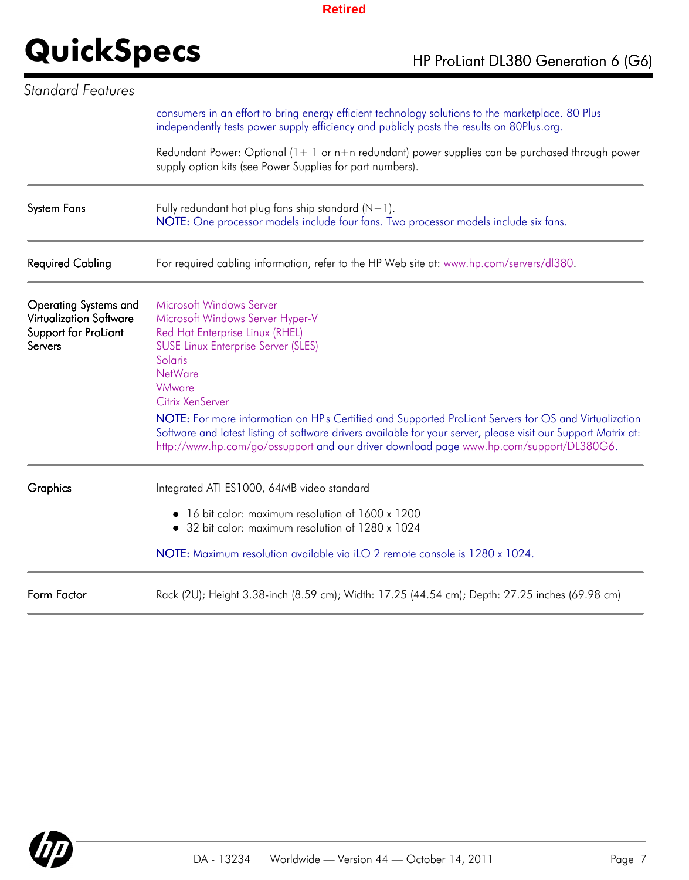| Standard Features                                                                                 |                                                                                                                                                                                                                                                                                                                                                                                                                                                                                                                                       |
|---------------------------------------------------------------------------------------------------|---------------------------------------------------------------------------------------------------------------------------------------------------------------------------------------------------------------------------------------------------------------------------------------------------------------------------------------------------------------------------------------------------------------------------------------------------------------------------------------------------------------------------------------|
|                                                                                                   | consumers in an effort to bring energy efficient technology solutions to the marketplace. 80 Plus<br>independently tests power supply efficiency and publicly posts the results on 80Plus.org.                                                                                                                                                                                                                                                                                                                                        |
|                                                                                                   | Redundant Power: Optional $(1 + 1)$ or $n + n$ redundant) power supplies can be purchased through power<br>supply option kits (see Power Supplies for part numbers).                                                                                                                                                                                                                                                                                                                                                                  |
| <b>System Fans</b>                                                                                | Fully redundant hot plug fans ship standard $(N+1)$ .<br>NOTE: One processor models include four fans. Two processor models include six fans.                                                                                                                                                                                                                                                                                                                                                                                         |
| <b>Required Cabling</b>                                                                           | For required cabling information, refer to the HP Web site at: www.hp.com/servers/dl380.                                                                                                                                                                                                                                                                                                                                                                                                                                              |
| <b>Operating Systems and</b><br><b>Virtualization Software</b><br>Support for ProLiant<br>Servers | Microsoft Windows Server<br>Microsoft Windows Server Hyper-V<br>Red Hat Enterprise Linux (RHEL)<br><b>SUSE Linux Enterprise Server (SLES)</b><br>Solaris<br><b>NetWare</b><br><b>VMware</b><br>Citrix XenServer<br>NOTE: For more information on HP's Certified and Supported ProLiant Servers for OS and Virtualization<br>Software and latest listing of software drivers available for your server, please visit our Support Matrix at:<br>http://www.hp.com/go/ossupport and our driver download page www.hp.com/support/DL380G6. |
| Graphics                                                                                          | Integrated ATI ES1000, 64MB video standard<br>• 16 bit color: maximum resolution of 1600 x 1200<br>• 32 bit color: maximum resolution of 1280 x 1024<br>NOTE: Maximum resolution available via iLO 2 remote console is 1280 x 1024.                                                                                                                                                                                                                                                                                                   |
| Form Factor                                                                                       | Rack (2U); Height 3.38-inch (8.59 cm); Width: 17.25 (44.54 cm); Depth: 27.25 inches (69.98 cm)                                                                                                                                                                                                                                                                                                                                                                                                                                        |

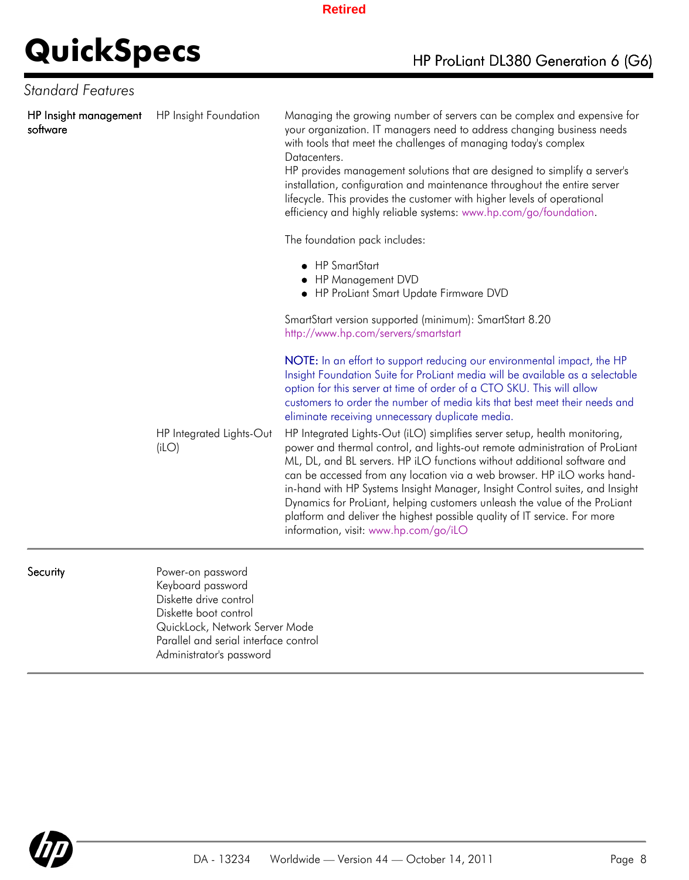| Standard Features                 |                                                                                                                                                                                                  |                                                                                                                                                                                                                                                                                                                                                                                                                                                                                                                                                                                                      |
|-----------------------------------|--------------------------------------------------------------------------------------------------------------------------------------------------------------------------------------------------|------------------------------------------------------------------------------------------------------------------------------------------------------------------------------------------------------------------------------------------------------------------------------------------------------------------------------------------------------------------------------------------------------------------------------------------------------------------------------------------------------------------------------------------------------------------------------------------------------|
| HP Insight management<br>software | HP Insight Foundation                                                                                                                                                                            | Managing the growing number of servers can be complex and expensive for<br>your organization. IT managers need to address changing business needs<br>with tools that meet the challenges of managing today's complex<br>Datacenters.<br>HP provides management solutions that are designed to simplify a server's<br>installation, configuration and maintenance throughout the entire server<br>lifecycle. This provides the customer with higher levels of operational<br>efficiency and highly reliable systems: www.hp.com/go/foundation.<br>The foundation pack includes:<br>• HP SmartStart    |
|                                   |                                                                                                                                                                                                  | • HP Management DVD<br>HP ProLiant Smart Update Firmware DVD                                                                                                                                                                                                                                                                                                                                                                                                                                                                                                                                         |
|                                   |                                                                                                                                                                                                  | SmartStart version supported (minimum): SmartStart 8.20<br>http://www.hp.com/servers/smartstart                                                                                                                                                                                                                                                                                                                                                                                                                                                                                                      |
|                                   |                                                                                                                                                                                                  | NOTE: In an effort to support reducing our environmental impact, the HP<br>Insight Foundation Suite for ProLiant media will be available as a selectable<br>option for this server at time of order of a CTO SKU. This will allow<br>customers to order the number of media kits that best meet their needs and<br>eliminate receiving unnecessary duplicate media.                                                                                                                                                                                                                                  |
|                                   | HP Integrated Lights-Out<br>(iLO)                                                                                                                                                                | HP Integrated Lights-Out (iLO) simplifies server setup, health monitoring,<br>power and thermal control, and lights-out remote administration of ProLiant<br>ML, DL, and BL servers. HP iLO functions without additional software and<br>can be accessed from any location via a web browser. HP iLO works hand-<br>in-hand with HP Systems Insight Manager, Insight Control suites, and Insight<br>Dynamics for ProLiant, helping customers unleash the value of the ProLiant<br>platform and deliver the highest possible quality of IT service. For more<br>information, visit: www.hp.com/go/iLO |
| Security                          | Power-on password<br>Keyboard password<br>Diskette drive control<br>Diskette boot control<br>QuickLock, Network Server Mode<br>Parallel and serial interface control<br>Administrator's password |                                                                                                                                                                                                                                                                                                                                                                                                                                                                                                                                                                                                      |

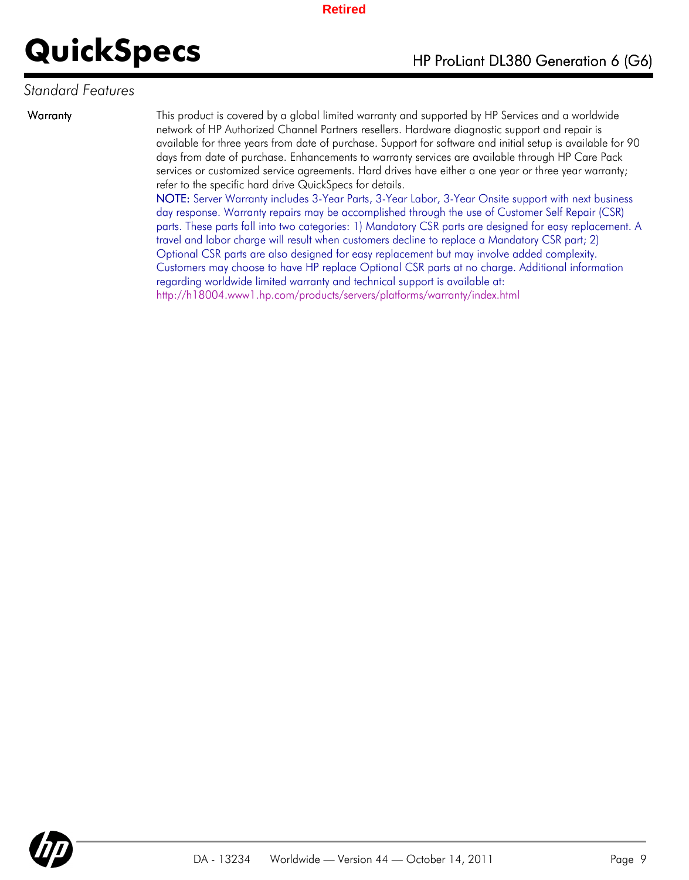### *Standard Features*

Warranty This product is covered by a global limited warranty and supported by HP Services and a worldwide network of HP Authorized Channel Partners resellers. Hardware diagnostic support and repair is available for three years from date of purchase. Support for software and initial setup is available for 90 days from date of purchase. Enhancements to warranty services are available through HP Care Pack services or customized service agreements. Hard drives have either a one year or three year warranty; refer to the specific hard drive QuickSpecs for details.

> NOTE: Server Warranty includes 3-Year Parts, 3-Year Labor, 3-Year Onsite support with next business day response. Warranty repairs may be accomplished through the use of Customer Self Repair (CSR) parts. These parts fall into two categories: 1) Mandatory CSR parts are designed for easy replacement. A travel and labor charge will result when customers decline to replace a Mandatory CSR part; 2) Optional CSR parts are also designed for easy replacement but may involve added complexity. Customers may choose to have HP replace Optional CSR parts at no charge. Additional information regarding worldwide limited warranty and technical support is available at: http://h18004.www1.hp.com/products/servers/platforms/warranty/index.html

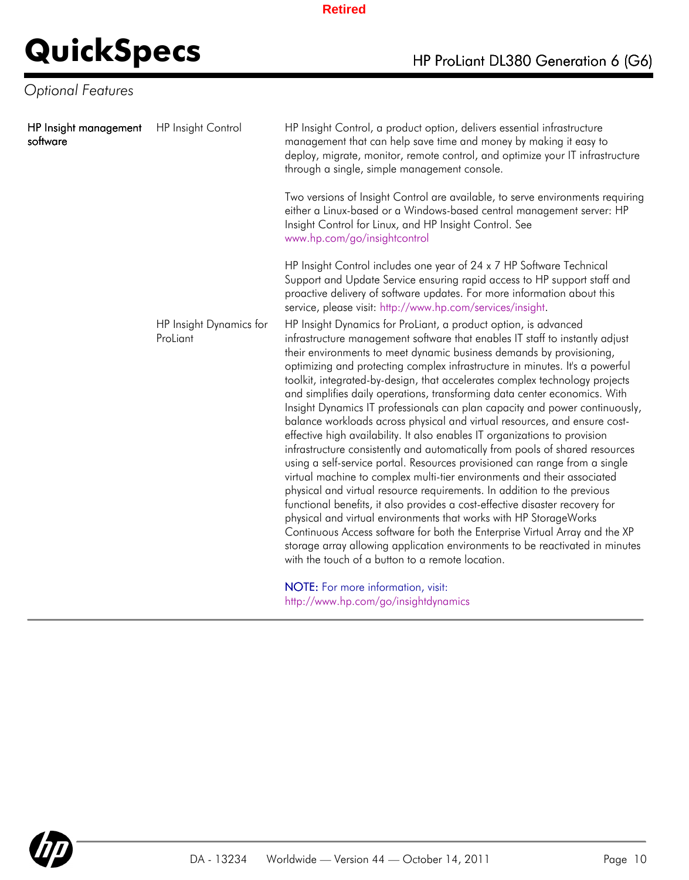## *Optional Features*

| HP Insight management<br>software | <b>HP</b> Insight Control           | HP Insight Control, a product option, delivers essential infrastructure<br>management that can help save time and money by making it easy to<br>deploy, migrate, monitor, remote control, and optimize your IT infrastructure<br>through a single, simple management console.                                                                                                                                                                                                                                                                                                                                                                                                                                                                                                                                                                                                                                                                                                                                                                                                                                                                                                                                                                                                                                                                                                                             |
|-----------------------------------|-------------------------------------|-----------------------------------------------------------------------------------------------------------------------------------------------------------------------------------------------------------------------------------------------------------------------------------------------------------------------------------------------------------------------------------------------------------------------------------------------------------------------------------------------------------------------------------------------------------------------------------------------------------------------------------------------------------------------------------------------------------------------------------------------------------------------------------------------------------------------------------------------------------------------------------------------------------------------------------------------------------------------------------------------------------------------------------------------------------------------------------------------------------------------------------------------------------------------------------------------------------------------------------------------------------------------------------------------------------------------------------------------------------------------------------------------------------|
|                                   |                                     | Two versions of Insight Control are available, to serve environments requiring<br>either a Linux-based or a Windows-based central management server: HP<br>Insight Control for Linux, and HP Insight Control. See<br>www.hp.com/go/insightcontrol                                                                                                                                                                                                                                                                                                                                                                                                                                                                                                                                                                                                                                                                                                                                                                                                                                                                                                                                                                                                                                                                                                                                                         |
|                                   |                                     | HP Insight Control includes one year of 24 x 7 HP Software Technical<br>Support and Update Service ensuring rapid access to HP support staff and<br>proactive delivery of software updates. For more information about this<br>service, please visit: http://www.hp.com/services/insight.                                                                                                                                                                                                                                                                                                                                                                                                                                                                                                                                                                                                                                                                                                                                                                                                                                                                                                                                                                                                                                                                                                                 |
|                                   | HP Insight Dynamics for<br>ProLiant | HP Insight Dynamics for ProLiant, a product option, is advanced<br>infrastructure management software that enables IT staff to instantly adjust<br>their environments to meet dynamic business demands by provisioning,<br>optimizing and protecting complex infrastructure in minutes. It's a powerful<br>toolkit, integrated-by-design, that accelerates complex technology projects<br>and simplifies daily operations, transforming data center economics. With<br>Insight Dynamics IT professionals can plan capacity and power continuously,<br>balance workloads across physical and virtual resources, and ensure cost-<br>effective high availability. It also enables IT organizations to provision<br>infrastructure consistently and automatically from pools of shared resources<br>using a self-service portal. Resources provisioned can range from a single<br>virtual machine to complex multi-tier environments and their associated<br>physical and virtual resource requirements. In addition to the previous<br>functional benefits, it also provides a cost-effective disaster recovery for<br>physical and virtual environments that works with HP StorageWorks<br>Continuous Access software for both the Enterprise Virtual Array and the XP<br>storage array allowing application environments to be reactivated in minutes<br>with the touch of a button to a remote location. |
|                                   |                                     | NOTE: For more information, visit:<br>http://www.hp.com/go/insightdynamics                                                                                                                                                                                                                                                                                                                                                                                                                                                                                                                                                                                                                                                                                                                                                                                                                                                                                                                                                                                                                                                                                                                                                                                                                                                                                                                                |

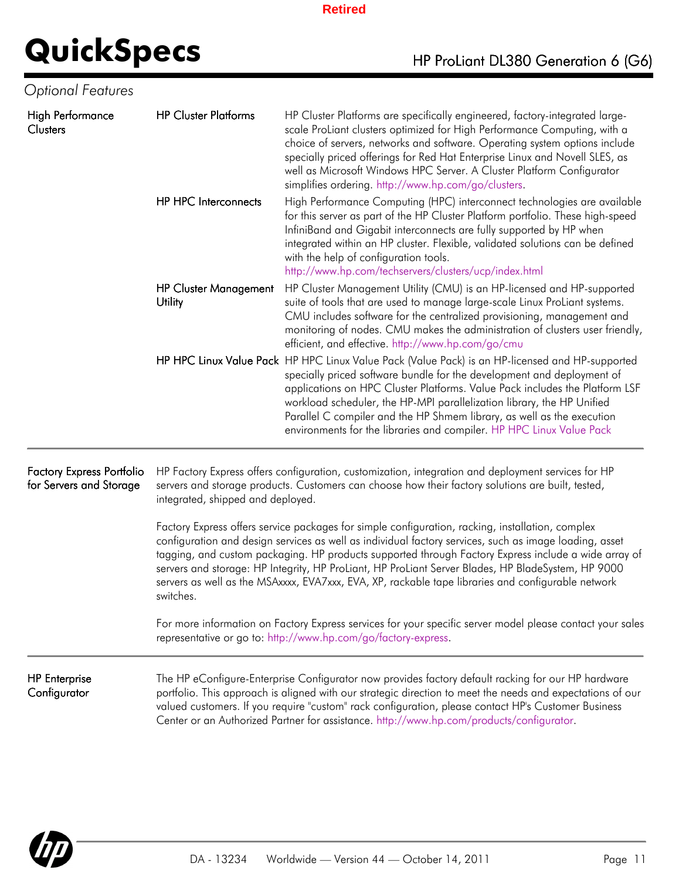| Optional Features                                           |                                                                                                                                                                                                                                                                                                                                                                                                                                                                                                                                             |                                                                                                                                                                                                                                                                                                                                                                                                                                                                                      |  |
|-------------------------------------------------------------|---------------------------------------------------------------------------------------------------------------------------------------------------------------------------------------------------------------------------------------------------------------------------------------------------------------------------------------------------------------------------------------------------------------------------------------------------------------------------------------------------------------------------------------------|--------------------------------------------------------------------------------------------------------------------------------------------------------------------------------------------------------------------------------------------------------------------------------------------------------------------------------------------------------------------------------------------------------------------------------------------------------------------------------------|--|
| High Performance<br>Clusters                                | <b>HP Cluster Platforms</b>                                                                                                                                                                                                                                                                                                                                                                                                                                                                                                                 | HP Cluster Platforms are specifically engineered, factory-integrated large-<br>scale ProLiant clusters optimized for High Performance Computing, with a<br>choice of servers, networks and software. Operating system options include<br>specially priced offerings for Red Hat Enterprise Linux and Novell SLES, as<br>well as Microsoft Windows HPC Server. A Cluster Platform Configurator<br>simplifies ordering. http://www.hp.com/go/clusters.                                 |  |
|                                                             | <b>HP HPC Interconnects</b>                                                                                                                                                                                                                                                                                                                                                                                                                                                                                                                 | High Performance Computing (HPC) interconnect technologies are available<br>for this server as part of the HP Cluster Platform portfolio. These high-speed<br>InfiniBand and Gigabit interconnects are fully supported by HP when<br>integrated within an HP cluster. Flexible, validated solutions can be defined<br>with the help of configuration tools.<br>http://www.hp.com/techservers/clusters/ucp/index.html                                                                 |  |
|                                                             | <b>HP Cluster Management</b><br>Utility                                                                                                                                                                                                                                                                                                                                                                                                                                                                                                     | HP Cluster Management Utility (CMU) is an HP-licensed and HP-supported<br>suite of tools that are used to manage large-scale Linux ProLiant systems.<br>CMU includes software for the centralized provisioning, management and<br>monitoring of nodes. CMU makes the administration of clusters user friendly,<br>efficient, and effective. http://www.hp.com/go/cmu                                                                                                                 |  |
|                                                             |                                                                                                                                                                                                                                                                                                                                                                                                                                                                                                                                             | HP HPC Linux Value Pack HP HPC Linux Value Pack (Value Pack) is an HP-licensed and HP-supported<br>specially priced software bundle for the development and deployment of<br>applications on HPC Cluster Platforms. Value Pack includes the Platform LSF<br>workload scheduler, the HP-MPI parallelization library, the HP Unified<br>Parallel C compiler and the HP Shmem library, as well as the execution<br>environments for the libraries and compiler. HP HPC Linux Value Pack |  |
| <b>Factory Express Portfolio</b><br>for Servers and Storage | HP Factory Express offers configuration, customization, integration and deployment services for HP<br>servers and storage products. Customers can choose how their factory solutions are built, tested,<br>integrated, shipped and deployed.                                                                                                                                                                                                                                                                                                |                                                                                                                                                                                                                                                                                                                                                                                                                                                                                      |  |
|                                                             | Factory Express offers service packages for simple configuration, racking, installation, complex<br>configuration and design services as well as individual factory services, such as image loading, asset<br>tagging, and custom packaging. HP products supported through Factory Express include a wide array of<br>servers and storage: HP Integrity, HP ProLiant, HP ProLiant Server Blades, HP BladeSystem, HP 9000<br>servers as well as the MSAxxxx, EVA7xxx, EVA, XP, rackable tape libraries and configurable network<br>switches. |                                                                                                                                                                                                                                                                                                                                                                                                                                                                                      |  |
|                                                             | For more information on Factory Express services for your specific server model please contact your sales<br>representative or go to: http://www.hp.com/go/factory-express.                                                                                                                                                                                                                                                                                                                                                                 |                                                                                                                                                                                                                                                                                                                                                                                                                                                                                      |  |
| <b>HP</b> Enterprise<br>Configurator                        |                                                                                                                                                                                                                                                                                                                                                                                                                                                                                                                                             | The HP eConfigure-Enterprise Configurator now provides factory default racking for our HP hardware<br>portfolio. This approach is aligned with our strategic direction to meet the needs and expectations of our<br>valued customers. If you require "custom" rack configuration, please contact HP's Customer Business<br>Center or an Authorized Partner for assistance. http://www.hp.com/products/configurator.                                                                  |  |

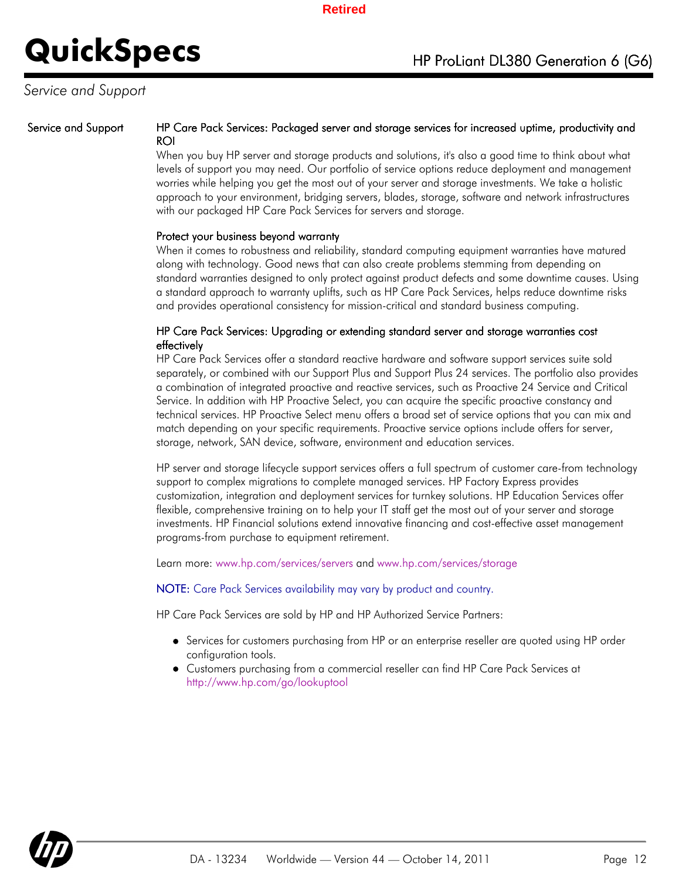### *Service and Support*

#### Service and Support HP Care Pack Services: Packaged server and storage services for increased uptime, productivity and ROI

When you buy HP server and storage products and solutions, it's also a good time to think about what levels of support you may need. Our portfolio of service options reduce deployment and management worries while helping you get the most out of your server and storage investments. We take a holistic approach to your environment, bridging servers, blades, storage, software and network infrastructures with our packaged HP Care Pack Services for servers and storage.

#### Protect your business beyond warranty

When it comes to robustness and reliability, standard computing equipment warranties have matured along with technology. Good news that can also create problems stemming from depending on standard warranties designed to only protect against product defects and some downtime causes. Using a standard approach to warranty uplifts, such as HP Care Pack Services, helps reduce downtime risks and provides operational consistency for mission-critical and standard business computing.

#### HP Care Pack Services: Upgrading or extending standard server and storage warranties cost effectively

HP Care Pack Services offer a standard reactive hardware and software support services suite sold separately, or combined with our Support Plus and Support Plus 24 services. The portfolio also provides a combination of integrated proactive and reactive services, such as Proactive 24 Service and Critical Service. In addition with HP Proactive Select, you can acquire the specific proactive constancy and technical services. HP Proactive Select menu offers a broad set of service options that you can mix and match depending on your specific requirements. Proactive service options include offers for server, storage, network, SAN device, software, environment and education services.

HP server and storage lifecycle support services offers a full spectrum of customer care-from technology support to complex migrations to complete managed services. HP Factory Express provides customization, integration and deployment services for turnkey solutions. HP Education Services offer flexible, comprehensive training on to help your IT staff get the most out of your server and storage investments. HP Financial solutions extend innovative financing and cost-effective asset management programs-from purchase to equipment retirement.

Learn more: www.hp.com/services/servers and www.hp.com/services/storage

NOTE: Care Pack Services availability may vary by product and country.

HP Care Pack Services are sold by HP and HP Authorized Service Partners:

- Services for customers purchasing from HP or an enterprise reseller are quoted using HP order configuration tools.
- Customers purchasing from a commercial reseller can find HP Care Pack Services at http://www.hp.com/go/lookuptool

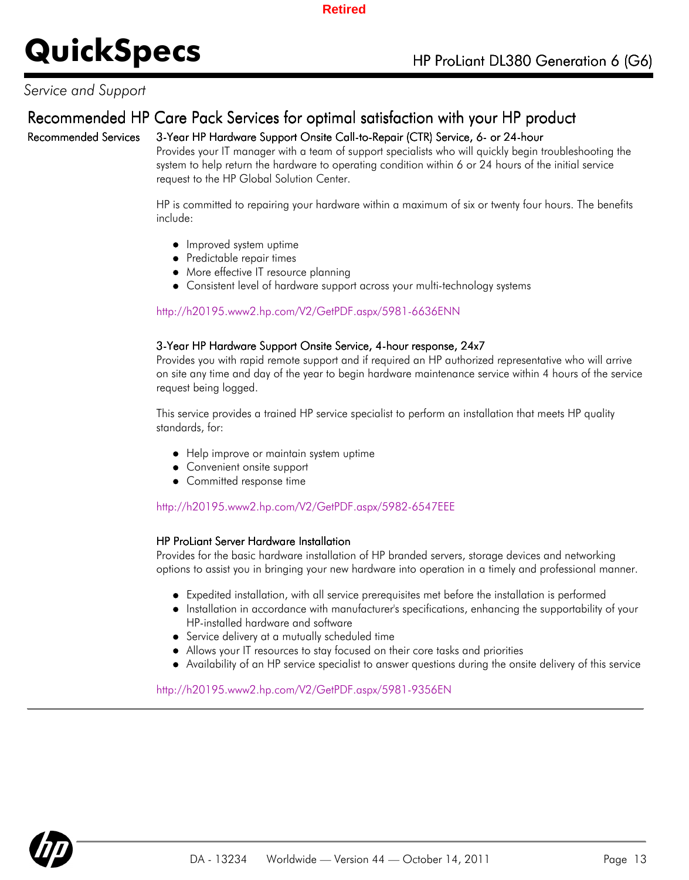### *Service and Support*

## Recommended HP Care Pack Services for optimal satisfaction with your HP product

### Recommended Services 3-Year HP Hardware Support Onsite Call-to-Repair (CTR) Service, 6- or 24-hour

Provides your IT manager with a team of support specialists who will quickly begin troubleshooting the system to help return the hardware to operating condition within 6 or 24 hours of the initial service request to the HP Global Solution Center.

HP is committed to repairing your hardware within a maximum of six or twenty four hours. The benefits include:

- Improved system uptime
- Predictable repair times
- More effective IT resource planning
- Consistent level of hardware support across your multi-technology systems

#### http://h20195.www2.hp.com/V2/GetPDF.aspx/5981-6636ENN

#### 3-Year HP Hardware Support Onsite Service, 4-hour response, 24x7

Provides you with rapid remote support and if required an HP authorized representative who will arrive on site any time and day of the year to begin hardware maintenance service within 4 hours of the service request being logged.

This service provides a trained HP service specialist to perform an installation that meets HP quality standards, for:

- Help improve or maintain system uptime
- Convenient onsite support
- Committed response time

#### http://h20195.www2.hp.com/V2/GetPDF.aspx/5982-6547EEE

#### HP ProLiant Server Hardware Installation

Provides for the basic hardware installation of HP branded servers, storage devices and networking options to assist you in bringing your new hardware into operation in a timely and professional manner.

- Expedited installation, with all service prerequisites met before the installation is performed
- Installation in accordance with manufacturer's specifications, enhancing the supportability of your HP-installed hardware and software
- Service delivery at a mutually scheduled time
- Allows your IT resources to stay focused on their core tasks and priorities
- Availability of an HP service specialist to answer questions during the onsite delivery of this service

#### http://h20195.www2.hp.com/V2/GetPDF.aspx/5981-9356EN

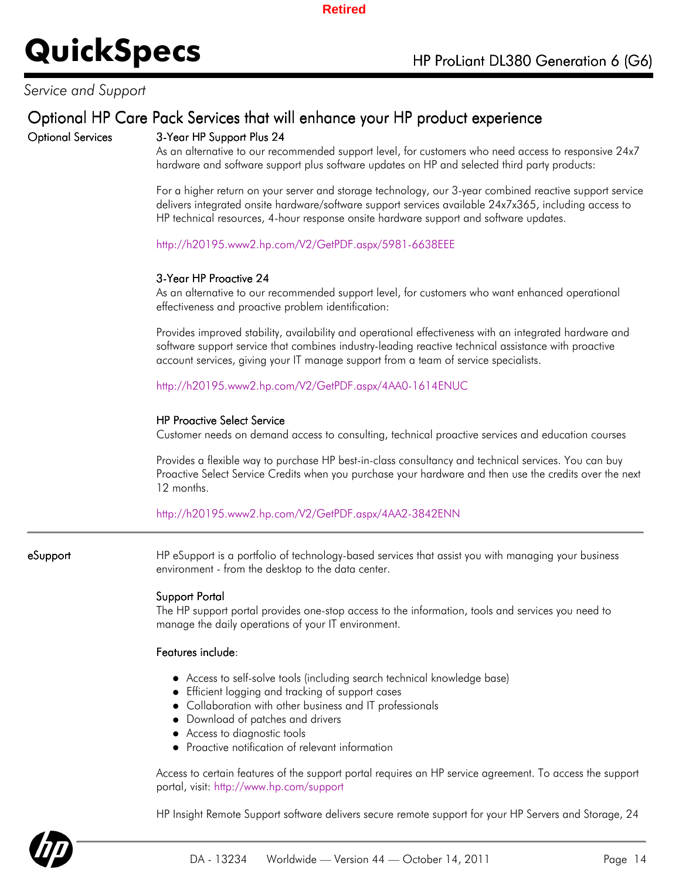### *Service and Support*

### Optional HP Care Pack Services that will enhance your HP product experience

### Optional Services 3-Year HP Support Plus 24

As an alternative to our recommended support level, for customers who need access to responsive 24x7 hardware and software support plus software updates on HP and selected third party products:

For a higher return on your server and storage technology, our 3-year combined reactive support service delivers integrated onsite hardware/software support services available 24x7x365, including access to HP technical resources, 4-hour response onsite hardware support and software updates.

http://h20195.www2.hp.com/V2/GetPDF.aspx/5981-6638EEE

#### 3-Year HP Proactive 24

As an alternative to our recommended support level, for customers who want enhanced operational effectiveness and proactive problem identification:

Provides improved stability, availability and operational effectiveness with an integrated hardware and software support service that combines industry-leading reactive technical assistance with proactive account services, giving your IT manage support from a team of service specialists.

http://h20195.www2.hp.com/V2/GetPDF.aspx/4AA0-1614ENUC

#### HP Proactive Select Service

Customer needs on demand access to consulting, technical proactive services and education courses

Provides a flexible way to purchase HP best-in-class consultancy and technical services. You can buy Proactive Select Service Credits when you purchase your hardware and then use the credits over the next 12 months.

#### http://h20195.www2.hp.com/V2/GetPDF.aspx/4AA2-3842ENN

**eSupport HP** eSupport is a portfolio of technology-based services that assist you with managing your business environment - from the desktop to the data center.

#### Support Portal

The HP support portal provides one-stop access to the information, tools and services you need to manage the daily operations of your IT environment.

#### Features include:

- Access to self-solve tools (including search technical knowledge base)
- Efficient logging and tracking of support cases
- Collaboration with other business and IT professionals
- Download of patches and drivers
- Access to diagnostic tools
- Proactive notification of relevant information

Access to certain features of the support portal requires an HP service agreement. To access the support portal, visit: http://www.hp.com/support

HP Insight Remote Support software delivers secure remote support for your HP Servers and Storage, 24

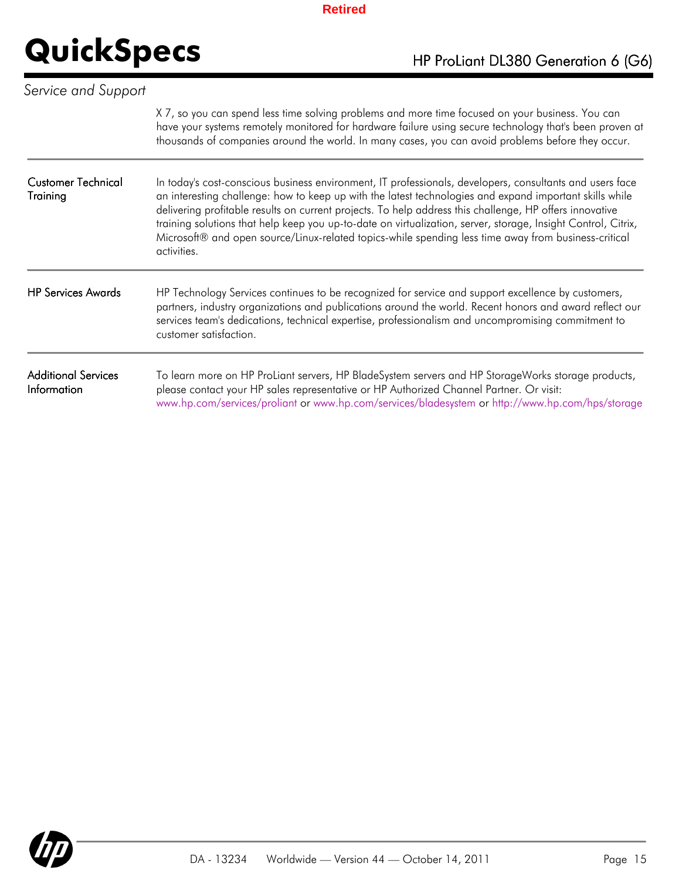| Service and Support                              |                                                                                                                                                                                                                                                                                                                                                                                                                                                                                                                                                                        |
|--------------------------------------------------|------------------------------------------------------------------------------------------------------------------------------------------------------------------------------------------------------------------------------------------------------------------------------------------------------------------------------------------------------------------------------------------------------------------------------------------------------------------------------------------------------------------------------------------------------------------------|
|                                                  | X7, so you can spend less time solving problems and more time focused on your business. You can<br>have your systems remotely monitored for hardware failure using secure technology that's been proven at<br>thousands of companies around the world. In many cases, you can avoid problems before they occur.                                                                                                                                                                                                                                                        |
| <b>Customer Technical</b><br>Training            | In today's cost-conscious business environment, IT professionals, developers, consultants and users face<br>an interesting challenge: how to keep up with the latest technologies and expand important skills while<br>delivering profitable results on current projects. To help address this challenge, HP offers innovative<br>training solutions that help keep you up-to-date on virtualization, server, storage, Insight Control, Citrix,<br>Microsoft® and open source/Linux-related topics-while spending less time away from business-critical<br>activities. |
| <b>HP Services Awards</b>                        | HP Technology Services continues to be recognized for service and support excellence by customers,<br>partners, industry organizations and publications around the world. Recent honors and award reflect our<br>services team's dedications, technical expertise, professionalism and uncompromising commitment to<br>customer satisfaction.                                                                                                                                                                                                                          |
| <b>Additional Services</b><br><b>Information</b> | To learn more on HP ProLiant servers, HP BladeSystem servers and HP StorageWorks storage products,<br>please contact your HP sales representative or HP Authorized Channel Partner. Or visit:<br>www.hp.com/services/proliant or www.hp.com/services/bladesystem or http://www.hp.com/hps/storage                                                                                                                                                                                                                                                                      |

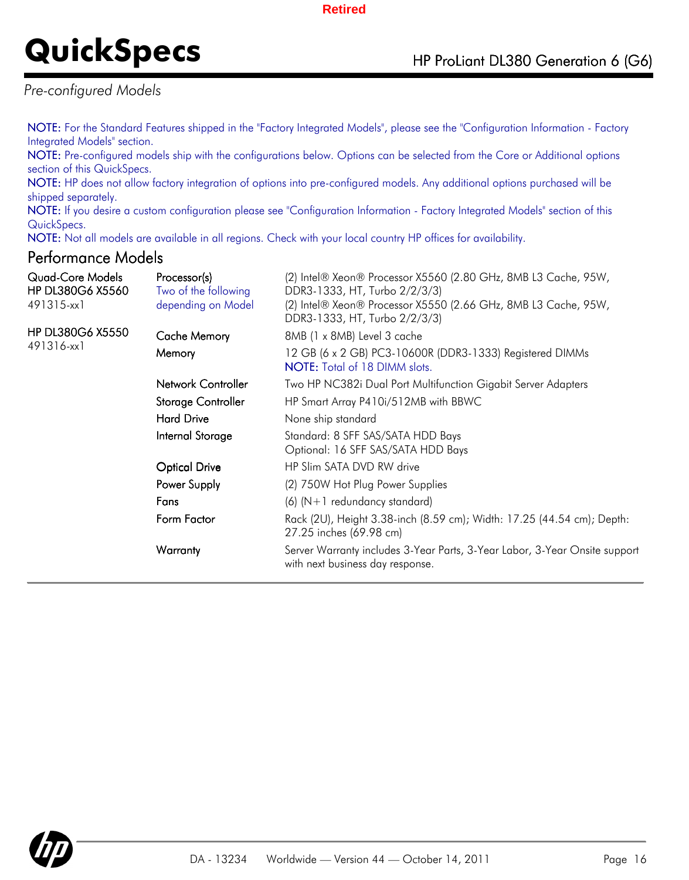# **QuickSpecs** HP ProLiant DL380 Generation 6 (G6)

*Pre-configured Models*

NOTE: For the Standard Features shipped in the "Factory Integrated Models", please see the "Configuration Information - Factory Integrated Models" section.

NOTE: Pre-configured models ship with the configurations below. Options can be selected from the Core or Additional options section of this QuickSpecs.

NOTE: HP does not allow factory integration of options into pre-configured models. Any additional options purchased will be shipped separately.

NOTE: If you desire a custom configuration please see "Configuration Information - Factory Integrated Models" section of this QuickSpecs.

NOTE: Not all models are available in all regions. Check with your local country HP offices for availability.

### Performance Models

| Quad-Core Models<br><b>HP DL380G6 X5560</b><br>491315-xx1 | Processor(s)<br>Two of the following<br>depending on Model | (2) Intel® Xeon® Processor X5560 (2.80 GHz, 8MB L3 Cache, 95W,<br>DDR3-1333, HT, Turbo 2/2/3/3)<br>(2) Intel® Xeon® Processor X5550 (2.66 GHz, 8MB L3 Cache, 95W,<br>DDR3-1333, HT, Turbo 2/2/3/3) |  |
|-----------------------------------------------------------|------------------------------------------------------------|----------------------------------------------------------------------------------------------------------------------------------------------------------------------------------------------------|--|
| <b>HP DL380G6 X5550</b>                                   | <b>Cache Memory</b>                                        | 8MB (1 x 8MB) Level 3 cache                                                                                                                                                                        |  |
| 491316-xx1                                                | Memory                                                     | 12 GB (6 x 2 GB) PC3-10600R (DDR3-1333) Registered DIMMs<br><b>NOTE:</b> Total of 18 DIMM slots.                                                                                                   |  |
|                                                           | Network Controller                                         | Two HP NC382i Dual Port Multifunction Gigabit Server Adapters                                                                                                                                      |  |
|                                                           | Storage Controller                                         | HP Smart Array P410i/512MB with BBWC                                                                                                                                                               |  |
|                                                           | <b>Hard Drive</b>                                          | None ship standard                                                                                                                                                                                 |  |
|                                                           | Internal Storage                                           | Standard: 8 SFF SAS/SATA HDD Bays<br>Optional: 16 SFF SAS/SATA HDD Bays                                                                                                                            |  |
|                                                           | <b>Optical Drive</b>                                       | HP Slim SATA DVD RW drive                                                                                                                                                                          |  |
|                                                           | Power Supply                                               | (2) 750W Hot Plug Power Supplies                                                                                                                                                                   |  |
|                                                           | Fans                                                       | $(6)$ (N+1 redundancy standard)                                                                                                                                                                    |  |
|                                                           | Form Factor                                                | Rack (2U), Height 3.38-inch (8.59 cm); Width: 17.25 (44.54 cm); Depth:<br>27.25 inches (69.98 cm)                                                                                                  |  |
|                                                           | Warranty                                                   | Server Warranty includes 3-Year Parts, 3-Year Labor, 3-Year Onsite support<br>with next business day response.                                                                                     |  |

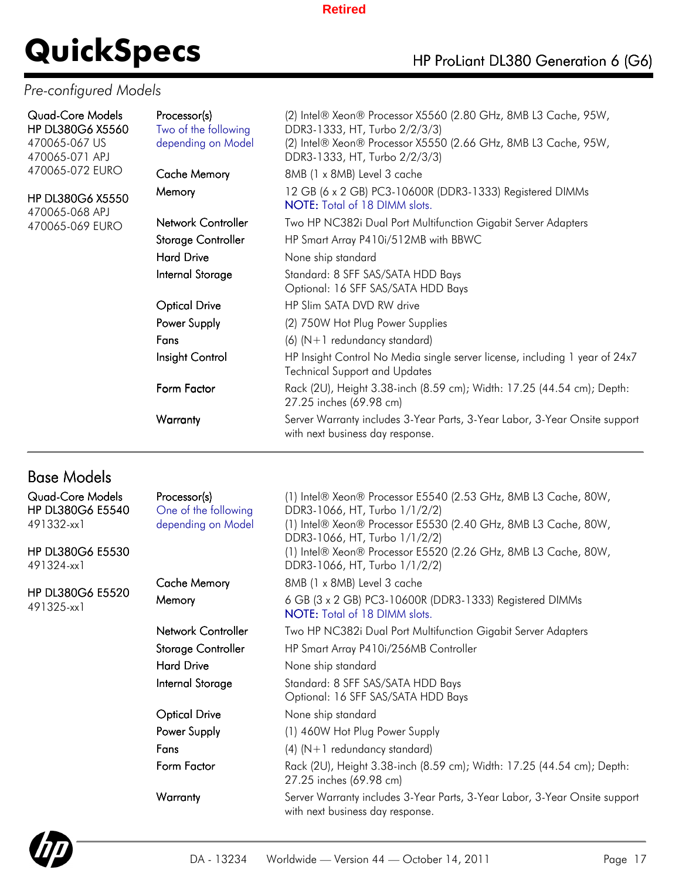# **QuickSpecs** HP ProLiant DL380 Generation 6 (G6)

### *Pre-configured Models*

| <b>Quad-Core Models</b><br>HP DL380G6 X5560<br>470065-067 US<br>470065-071 APJ | Processor(s)<br>Two of the following<br>depending on Model | (2) Intel® Xeon® Processor X5560 (2.80 GHz, 8MB L3 Cache, 95W,<br>DDR3-1333, HT, Turbo 2/2/3/3)<br>(2) Intel® Xeon® Processor X5550 (2.66 GHz, 8MB L3 Cache, 95W,<br>DDR3-1333, HT, Turbo 2/2/3/3) |
|--------------------------------------------------------------------------------|------------------------------------------------------------|----------------------------------------------------------------------------------------------------------------------------------------------------------------------------------------------------|
| 470065-072 EURO                                                                | <b>Cache Memory</b>                                        | 8MB (1 x 8MB) Level 3 cache                                                                                                                                                                        |
| <b>HP DL380G6 X5550</b><br>470065-068 APJ                                      | Memory                                                     | 12 GB (6 x 2 GB) PC3-10600R (DDR3-1333) Registered DIMMs<br><b>NOTE:</b> Total of 18 DIMM slots.                                                                                                   |
| 470065-069 EURO                                                                | Network Controller                                         | Two HP NC382i Dual Port Multifunction Gigabit Server Adapters                                                                                                                                      |
|                                                                                | Storage Controller                                         | HP Smart Array P410i/512MB with BBWC                                                                                                                                                               |
|                                                                                | <b>Hard Drive</b>                                          | None ship standard                                                                                                                                                                                 |
|                                                                                | Internal Storage                                           | Standard: 8 SFF SAS/SATA HDD Bays<br>Optional: 16 SFF SAS/SATA HDD Bays                                                                                                                            |
|                                                                                | <b>Optical Drive</b>                                       | HP Slim SATA DVD RW drive                                                                                                                                                                          |
|                                                                                | Power Supply                                               | (2) 750W Hot Plug Power Supplies                                                                                                                                                                   |
|                                                                                | Fans                                                       | $(6)$ (N+1 redundancy standard)                                                                                                                                                                    |
|                                                                                | Insight Control                                            | HP Insight Control No Media single server license, including 1 year of 24x7<br><b>Technical Support and Updates</b>                                                                                |
|                                                                                | Form Factor                                                | Rack (2U), Height 3.38-inch (8.59 cm); Width: 17.25 (44.54 cm); Depth:<br>27.25 inches (69.98 cm)                                                                                                  |
|                                                                                | Warranty                                                   | Server Warranty includes 3-Year Parts, 3-Year Labor, 3-Year Onsite support<br>with next business day response.                                                                                     |

## Base Models

| <b>Quad-Core Models</b><br><b>HP DL380G6 E5540</b><br>491332-xx1 | Processor(s)<br>One of the following<br>depending on Model | (1) Intel® Xeon® Processor E5540 (2.53 GHz, 8MB L3 Cache, 80W,<br>DDR3-1066, HT, Turbo 1/1/2/2)<br>(1) Intel® Xeon® Processor E5530 (2.40 GHz, 8MB L3 Cache, 80W,<br>DDR3-1066, HT, Turbo 1/1/2/2) |
|------------------------------------------------------------------|------------------------------------------------------------|----------------------------------------------------------------------------------------------------------------------------------------------------------------------------------------------------|
| <b>HP DL380G6 E5530</b><br>491324-xx1                            |                                                            | (1) Intel® Xeon® Processor E5520 (2.26 GHz, 8MB L3 Cache, 80W,<br>DDR3-1066, HT, Turbo 1/1/2/2)                                                                                                    |
|                                                                  | <b>Cache Memory</b>                                        | 8MB (1 x 8MB) Level 3 cache                                                                                                                                                                        |
| <b>HP DL380G6 E5520</b><br>491325-xx1                            | Memory                                                     | 6 GB (3 x 2 GB) PC3-10600R (DDR3-1333) Registered DIMMs<br><b>NOTE:</b> Total of 18 DIMM slots.                                                                                                    |
|                                                                  | Network Controller                                         | Two HP NC382i Dual Port Multifunction Gigabit Server Adapters                                                                                                                                      |
|                                                                  | Storage Controller                                         | HP Smart Array P410i/256MB Controller                                                                                                                                                              |
|                                                                  | <b>Hard Drive</b>                                          | None ship standard                                                                                                                                                                                 |
|                                                                  | Internal Storage                                           | Standard: 8 SFF SAS/SATA HDD Bays<br>Optional: 16 SFF SAS/SATA HDD Bays                                                                                                                            |
|                                                                  | <b>Optical Drive</b>                                       | None ship standard                                                                                                                                                                                 |
|                                                                  | Power Supply                                               | (1) 460W Hot Plug Power Supply                                                                                                                                                                     |
|                                                                  | Fans                                                       | $(4)$ (N+1 redundancy standard)                                                                                                                                                                    |
|                                                                  | Form Factor                                                | Rack (2U), Height 3.38-inch (8.59 cm); Width: 17.25 (44.54 cm); Depth:<br>27.25 inches (69.98 cm)                                                                                                  |
|                                                                  | Warranty                                                   | Server Warranty includes 3-Year Parts, 3-Year Labor, 3-Year Onsite support<br>with next business day response.                                                                                     |
|                                                                  |                                                            |                                                                                                                                                                                                    |

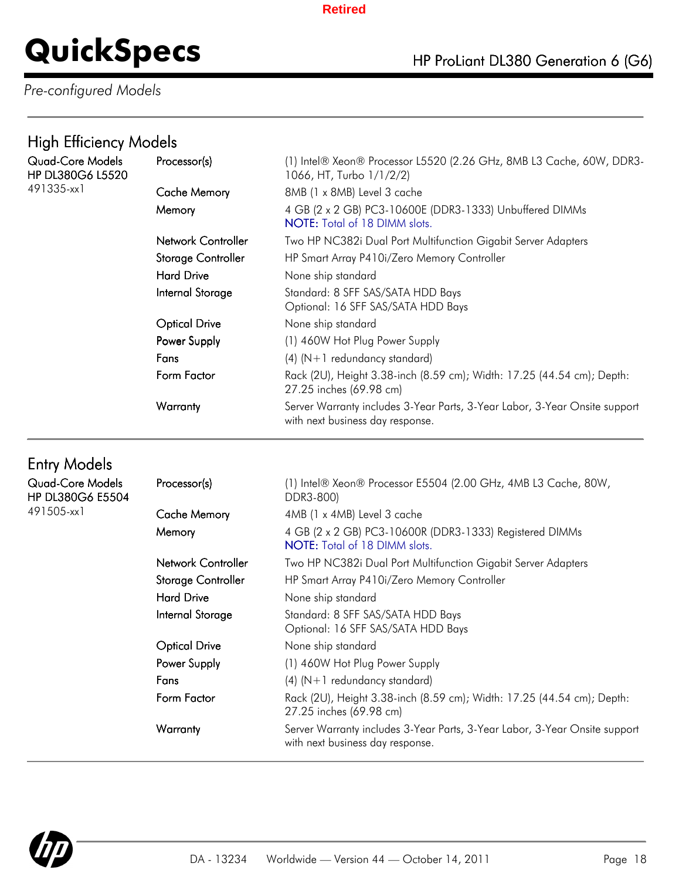## **QuickSpecs** HP ProLiant DL380 Generation 6 (G6)

## *Pre-configured Models*

## High Efficiency Models

| Quad-Core Models<br><b>HP DL380G6 L5520</b> | Processor(s)         | (1) Intel® Xeon® Processor L5520 (2.26 GHz, 8MB L3 Cache, 60W, DDR3-<br>1066, HT, Turbo 1/1/2/2)               |
|---------------------------------------------|----------------------|----------------------------------------------------------------------------------------------------------------|
| 491335-xx1                                  | <b>Cache Memory</b>  | 8MB (1 x 8MB) Level 3 cache                                                                                    |
|                                             | Memory               | 4 GB (2 x 2 GB) PC3-10600E (DDR3-1333) Unbuffered DIMMs<br><b>NOTE:</b> Total of 18 DIMM slots.                |
|                                             | Network Controller   | Two HP NC382i Dual Port Multifunction Gigabit Server Adapters                                                  |
|                                             | Storage Controller   | HP Smart Array P410i/Zero Memory Controller                                                                    |
|                                             | Hard Drive           | None ship standard                                                                                             |
|                                             | Internal Storage     | Standard: 8 SFF SAS/SATA HDD Bays<br>Optional: 16 SFF SAS/SATA HDD Bays                                        |
|                                             | <b>Optical Drive</b> | None ship standard                                                                                             |
|                                             | Power Supply         | (1) 460W Hot Plug Power Supply                                                                                 |
|                                             | Fans                 | $(4)$ (N+1 redundancy standard)                                                                                |
|                                             | Form Factor          | Rack (2U), Height 3.38-inch (8.59 cm); Width: 17.25 (44.54 cm); Depth:<br>27.25 inches (69.98 cm)              |
|                                             | Warranty             | Server Warranty includes 3-Year Parts, 3-Year Labor, 3-Year Onsite support<br>with next business day response. |

## Entry Models

| Quad-Core Models<br><b>HP DL380G6 E5504</b> | Processor(s)         | (1) Intel® Xeon® Processor E5504 (2.00 GHz, 4MB L3 Cache, 80W,<br>DDR3-800)                                    |
|---------------------------------------------|----------------------|----------------------------------------------------------------------------------------------------------------|
| 491505-xx1                                  | <b>Cache Memory</b>  | 4MB (1 x 4MB) Level 3 cache                                                                                    |
|                                             | Memory               | 4 GB (2 x 2 GB) PC3-10600R (DDR3-1333) Registered DIMMs<br><b>NOTE:</b> Total of 18 DIMM slots.                |
|                                             | Network Controller   | Two HP NC382i Dual Port Multifunction Gigabit Server Adapters                                                  |
|                                             | Storage Controller   | HP Smart Array P410i/Zero Memory Controller                                                                    |
|                                             | <b>Hard Drive</b>    | None ship standard                                                                                             |
|                                             | Internal Storage     | Standard: 8 SFF SAS/SATA HDD Bays<br>Optional: 16 SFF SAS/SATA HDD Bays                                        |
|                                             | <b>Optical Drive</b> | None ship standard                                                                                             |
|                                             | Power Supply         | (1) 460W Hot Plug Power Supply                                                                                 |
|                                             | Fans                 | $(4)$ (N+1 redundancy standard)                                                                                |
|                                             | Form Factor          | Rack (2U), Height 3.38-inch (8.59 cm); Width: 17.25 (44.54 cm); Depth:<br>27.25 inches (69.98 cm)              |
|                                             | Warranty             | Server Warranty includes 3-Year Parts, 3-Year Labor, 3-Year Onsite support<br>with next business day response. |

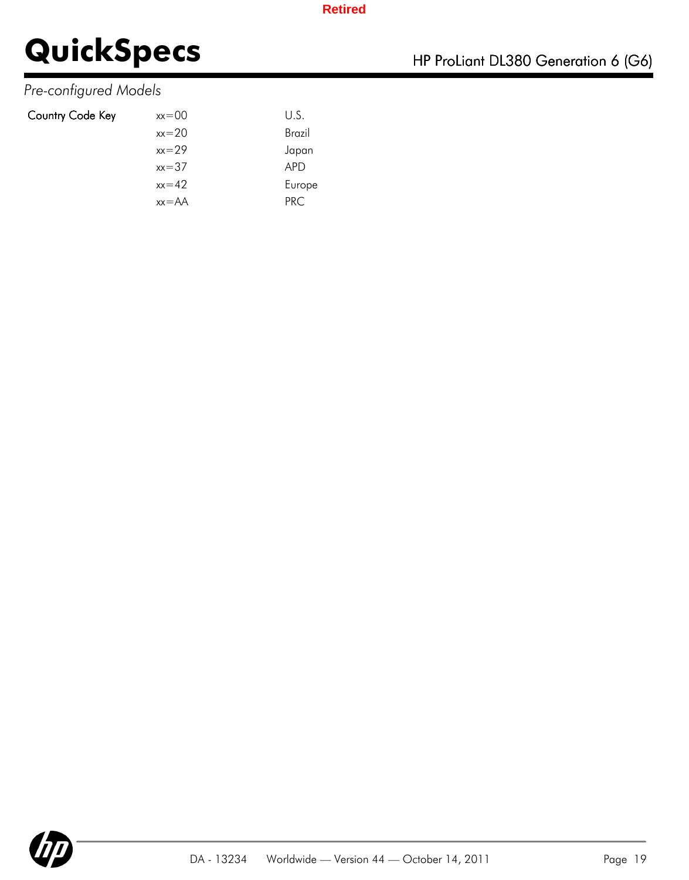## *Pre-configured Models*

| Country Code Key | $xx=00$   | U.S.       |
|------------------|-----------|------------|
|                  | $xx = 20$ | Brazil     |
|                  | $xx=29$   | Japan      |
|                  | $xx = 37$ | <b>APD</b> |
|                  | $xx=42$   | Europe     |
|                  | $xx = AA$ | PRC.       |

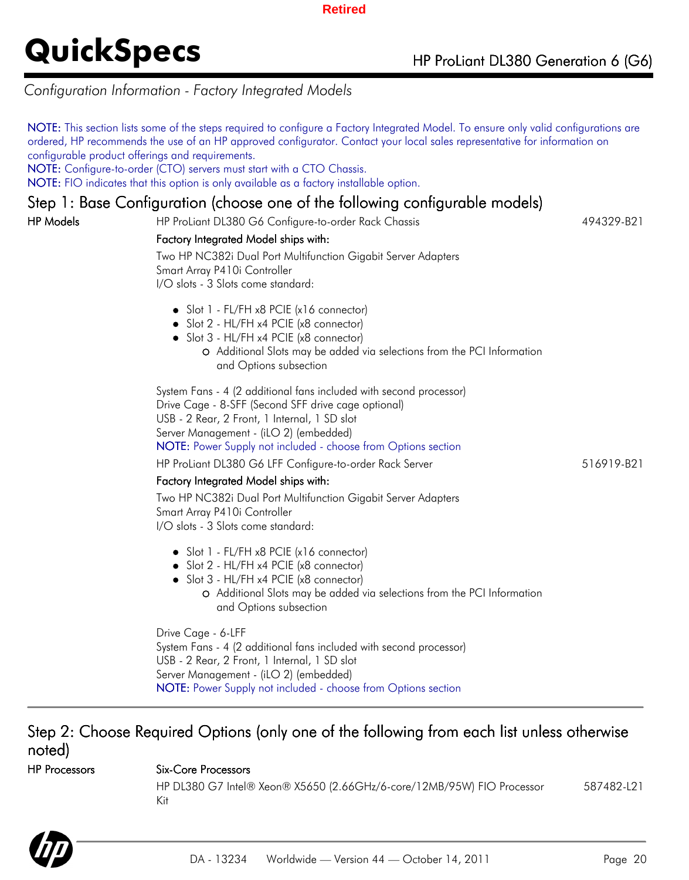### *Configuration Information - Factory Integrated Models*

NOTE: This section lists some of the steps required to configure a Factory Integrated Model. To ensure only valid configurations are ordered, HP recommends the use of an HP approved configurator. Contact your local sales representative for information on configurable product offerings and requirements.

NOTE: Configure-to-order (CTO) servers must start with a CTO Chassis.

NOTE: FIO indicates that this option is only available as a factory installable option.

### Step 1: Base Configuration (choose one of the following configurable models)

HP Models **HP ProLiant DL380 G6 Configure-to-order Rack Chassis** 494329-B21

### Factory Integrated Model ships with:

Two HP NC382i Dual Port Multifunction Gigabit Server Adapters Smart Array P410i Controller I/O slots - 3 Slots come standard:

- Slot 1 FL/FH x8 PCIE (x16 connector)
- Slot 2 HL/FH x4 PCIE (x8 connector)
- Slot 3 HL/FH x4 PCIE (x8 connector)
	- Additional Slots may be added via selections from the PCI Information and Options subsection

System Fans - 4 (2 additional fans included with second processor) Drive Cage - 8-SFF (Second SFF drive cage optional) USB - 2 Rear, 2 Front, 1 Internal, 1 SD slot Server Management - (iLO 2) (embedded) NOTE: Power Supply not included - choose from Options section

HP ProLiant DL380 G6 LFF Configure-to-order Rack Server 516919-B21

#### Factory Integrated Model ships with:

Two HP NC382i Dual Port Multifunction Gigabit Server Adapters Smart Array P410i Controller I/O slots - 3 Slots come standard:

- Slot 1 FL/FH x8 PCIE (x16 connector)
- Slot 2 HL/FH x4 PCIE (x8 connector)
- Slot 3 HL/FH x4 PCIE (x8 connector)
	- Additional Slots may be added via selections from the PCI Information and Options subsection

Drive Cage - 6-LFF System Fans - 4 (2 additional fans included with second processor) USB - 2 Rear, 2 Front, 1 Internal, 1 SD slot Server Management - (iLO 2) (embedded) NOTE: Power Supply not included - choose from Options section

### Step 2: Choose Required Options (only one of the following from each list unless otherwise noted)

### HP Processors Six-Core Processors

HP DL380 G7 Intel® Xeon® X5650 (2.66GHz/6-core/12MB/95W) FIO Processor Kit 587482-L21

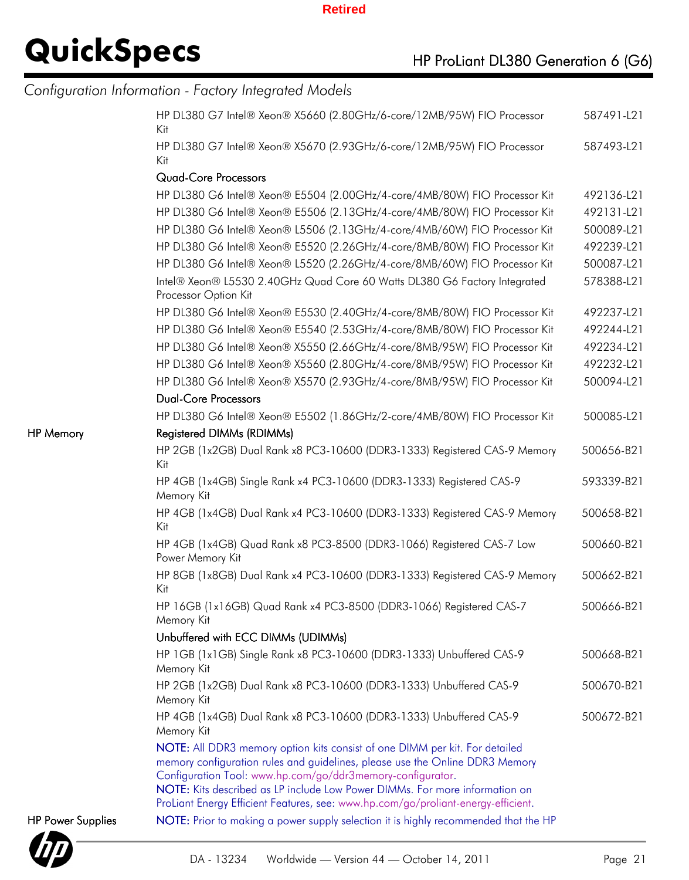# **QuickSpecs** HP ProLiant DL380 Generation 6 (G6)

|                          | Configuration Information - Factory Integrated Models                                                                                                                                                                                                                                                    |            |
|--------------------------|----------------------------------------------------------------------------------------------------------------------------------------------------------------------------------------------------------------------------------------------------------------------------------------------------------|------------|
|                          | HP DL380 G7 Intel® Xeon® X5660 (2.80GHz/6-core/12MB/95W) FIO Processor<br>Kit                                                                                                                                                                                                                            | 587491-L21 |
|                          | HP DL380 G7 Intel® Xeon® X5670 (2.93GHz/6-core/12MB/95W) FIO Processor<br>Kit                                                                                                                                                                                                                            | 587493-L21 |
|                          | <b>Quad-Core Processors</b>                                                                                                                                                                                                                                                                              |            |
|                          | HP DL380 G6 Intel® Xeon® E5504 (2.00GHz/4-core/4MB/80W) FIO Processor Kit                                                                                                                                                                                                                                | 492136-L21 |
|                          | HP DL380 G6 Intel® Xeon® E5506 (2.13GHz/4-core/4MB/80W) FIO Processor Kit                                                                                                                                                                                                                                | 492131-L21 |
|                          | HP DL380 G6 Intel® Xeon® L5506 (2.13GHz/4-core/4MB/60W) FIO Processor Kit                                                                                                                                                                                                                                | 500089-L21 |
|                          | HP DL380 G6 Intel® Xeon® E5520 (2.26GHz/4-core/8MB/80W) FIO Processor Kit                                                                                                                                                                                                                                | 492239-L21 |
|                          | HP DL380 G6 Intel® Xeon® L5520 (2.26GHz/4-core/8MB/60W) FIO Processor Kit                                                                                                                                                                                                                                | 500087-L21 |
|                          | Intel® Xeon® L5530 2.40GHz Quad Core 60 Watts DL380 G6 Factory Integrated<br>Processor Option Kit                                                                                                                                                                                                        | 578388-L21 |
|                          | HP DL380 G6 Intel® Xeon® E5530 (2.40GHz/4-core/8MB/80W) FIO Processor Kit                                                                                                                                                                                                                                | 492237-L21 |
|                          | HP DL380 G6 Intel® Xeon® E5540 (2.53GHz/4-core/8MB/80W) FIO Processor Kit                                                                                                                                                                                                                                | 492244-L21 |
|                          | HP DL380 G6 Intel® Xeon® X5550 (2.66GHz/4-core/8MB/95W) FIO Processor Kit                                                                                                                                                                                                                                | 492234-L21 |
|                          | HP DL380 G6 Intel® Xeon® X5560 (2.80GHz/4-core/8MB/95W) FIO Processor Kit                                                                                                                                                                                                                                | 492232-L21 |
|                          | HP DL380 G6 Intel® Xeon® X5570 (2.93GHz/4-core/8MB/95W) FIO Processor Kit                                                                                                                                                                                                                                | 500094-L21 |
|                          | <b>Dual-Core Processors</b>                                                                                                                                                                                                                                                                              |            |
|                          | HP DL380 G6 Intel® Xeon® E5502 (1.86GHz/2-core/4MB/80W) FIO Processor Kit                                                                                                                                                                                                                                | 500085-L21 |
| <b>HP Memory</b>         | Registered DIMMs (RDIMMs)                                                                                                                                                                                                                                                                                |            |
|                          | HP 2GB (1x2GB) Dual Rank x8 PC3-10600 (DDR3-1333) Registered CAS-9 Memory<br>Kit                                                                                                                                                                                                                         | 500656-B21 |
|                          | HP 4GB (1x4GB) Single Rank x4 PC3-10600 (DDR3-1333) Registered CAS-9<br>Memory Kit                                                                                                                                                                                                                       | 593339-B21 |
|                          | HP 4GB (1x4GB) Dual Rank x4 PC3-10600 (DDR3-1333) Registered CAS-9 Memory<br>Kit                                                                                                                                                                                                                         | 500658-B21 |
|                          | HP 4GB (1x4GB) Quad Rank x8 PC3-8500 (DDR3-1066) Registered CAS-7 Low<br>Power Memory Kit                                                                                                                                                                                                                | 500660-B21 |
|                          | HP 8GB (1x8GB) Dual Rank x4 PC3-10600 (DDR3-1333) Registered CAS-9 Memory<br>Kit                                                                                                                                                                                                                         | 500662-B21 |
|                          | HP 16GB (1x16GB) Quad Rank x4 PC3-8500 (DDR3-1066) Registered CAS-7<br>Memory Kit                                                                                                                                                                                                                        | 500666-B21 |
|                          | Unbuffered with ECC DIMMs (UDIMMs)                                                                                                                                                                                                                                                                       |            |
|                          | HP 1GB (1x1GB) Single Rank x8 PC3-10600 (DDR3-1333) Unbuffered CAS-9<br>Memory Kit                                                                                                                                                                                                                       | 500668-B21 |
|                          | HP 2GB (1x2GB) Dual Rank x8 PC3-10600 (DDR3-1333) Unbuffered CAS-9<br>Memory Kit                                                                                                                                                                                                                         | 500670-B21 |
|                          | HP 4GB (1x4GB) Dual Rank x8 PC3-10600 (DDR3-1333) Unbuffered CAS-9<br>Memory Kit                                                                                                                                                                                                                         | 500672-B21 |
|                          | NOTE: All DDR3 memory option kits consist of one DIMM per kit. For detailed<br>memory configuration rules and guidelines, please use the Online DDR3 Memory<br>Configuration Tool: www.hp.com/go/ddr3memory-configurator.<br>NOTE: Kits described as LP include Low Power DIMMs. For more information on |            |
|                          | ProLiant Energy Efficient Features, see: www.hp.com/go/proliant-energy-efficient.                                                                                                                                                                                                                        |            |
| <b>HP Power Supplies</b> | NOTE: Prior to making a power supply selection it is highly recommended that the HP                                                                                                                                                                                                                      |            |

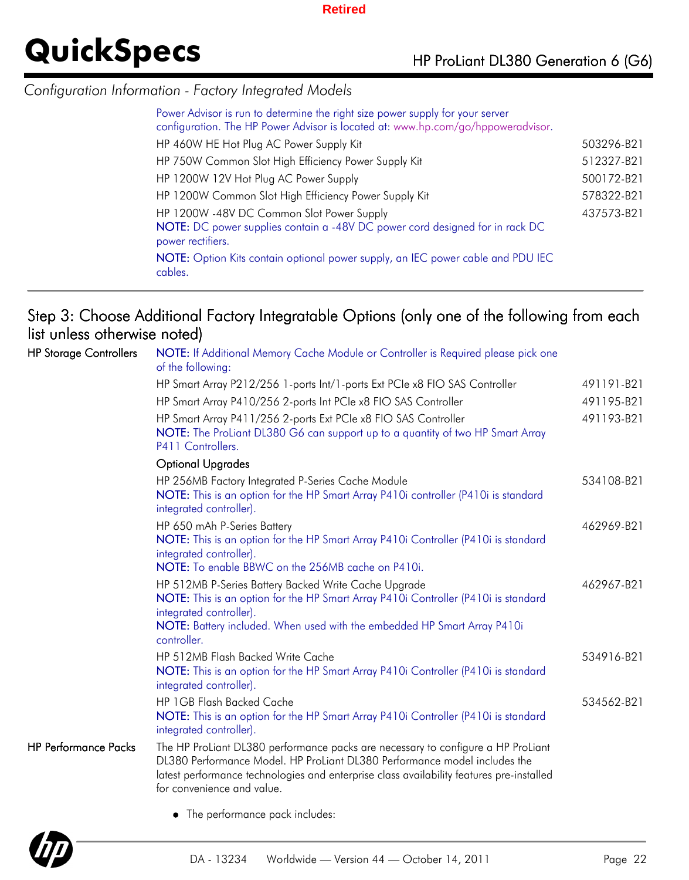### *Configuration Information - Factory Integrated Models*

| Power Advisor is run to determine the right size power supply for your server<br>configuration. The HP Power Advisor is located at: www.hp.com/go/hppoweradvisor. |            |
|-------------------------------------------------------------------------------------------------------------------------------------------------------------------|------------|
| HP 460W HE Hot Plug AC Power Supply Kit                                                                                                                           | 503296-B21 |
| HP 750W Common Slot High Efficiency Power Supply Kit                                                                                                              | 512327-B21 |
| HP 1200W 12V Hot Plug AC Power Supply                                                                                                                             | 500172-B21 |
| HP 1200W Common Slot High Efficiency Power Supply Kit                                                                                                             | 578322-B21 |
| HP 1200W -48V DC Common Slot Power Supply                                                                                                                         | 437573-B21 |
| NOTE: DC power supplies contain a -48V DC power cord designed for in rack DC<br>power rectifiers.                                                                 |            |
| NOTE: Option Kits contain optional power supply, an IEC power cable and PDU IEC<br>cables.                                                                        |            |

## Step 3: Choose Additional Factory Integratable Options (only one of the following from each list unless otherwise noted)

| <b>HP Storage Controllers</b> | NOTE: If Additional Memory Cache Module or Controller is Required please pick one<br>of the following:                                                                                                                                                                                  |            |
|-------------------------------|-----------------------------------------------------------------------------------------------------------------------------------------------------------------------------------------------------------------------------------------------------------------------------------------|------------|
|                               | HP Smart Array P212/256 1-ports Int/1-ports Ext PCIe x8 FIO SAS Controller                                                                                                                                                                                                              | 491191-B21 |
|                               | HP Smart Array P410/256 2-ports Int PCIe x8 FIO SAS Controller                                                                                                                                                                                                                          | 491195-B21 |
|                               | HP Smart Array P411/256 2-ports Ext PCIe x8 FIO SAS Controller<br>NOTE: The ProLiant DL380 G6 can support up to a quantity of two HP Smart Array<br>P411 Controllers.                                                                                                                   | 491193-B21 |
|                               | <b>Optional Upgrades</b>                                                                                                                                                                                                                                                                |            |
|                               | HP 256MB Factory Integrated P-Series Cache Module<br>NOTE: This is an option for the HP Smart Array P410i controller (P410i is standard<br>integrated controller).                                                                                                                      | 534108-B21 |
|                               | HP 650 mAh P-Series Battery<br>NOTE: This is an option for the HP Smart Array P410i Controller (P410i is standard<br>integrated controller).                                                                                                                                            | 462969-B21 |
|                               | NOTE: To enable BBWC on the 256MB cache on P410i.                                                                                                                                                                                                                                       |            |
|                               | HP 512MB P-Series Battery Backed Write Cache Upgrade<br>NOTE: This is an option for the HP Smart Array P410i Controller (P410i is standard<br>integrated controller).<br>NOTE: Battery included. When used with the embedded HP Smart Array P410i<br>controller.                        | 462967-B21 |
|                               | HP 512MB Flash Backed Write Cache<br>NOTE: This is an option for the HP Smart Array P410i Controller (P410i is standard<br>integrated controller).                                                                                                                                      | 534916-B21 |
|                               | HP 1GB Flash Backed Cache<br>NOTE: This is an option for the HP Smart Array P410i Controller (P410i is standard<br>integrated controller).                                                                                                                                              | 534562-B21 |
| <b>HP Performance Packs</b>   | The HP ProLiant DL380 performance packs are necessary to configure a HP ProLiant<br>DL380 Performance Model. HP ProLiant DL380 Performance model includes the<br>latest performance technologies and enterprise class availability features pre-installed<br>for convenience and value. |            |
|                               | • The performance pack includes:                                                                                                                                                                                                                                                        |            |

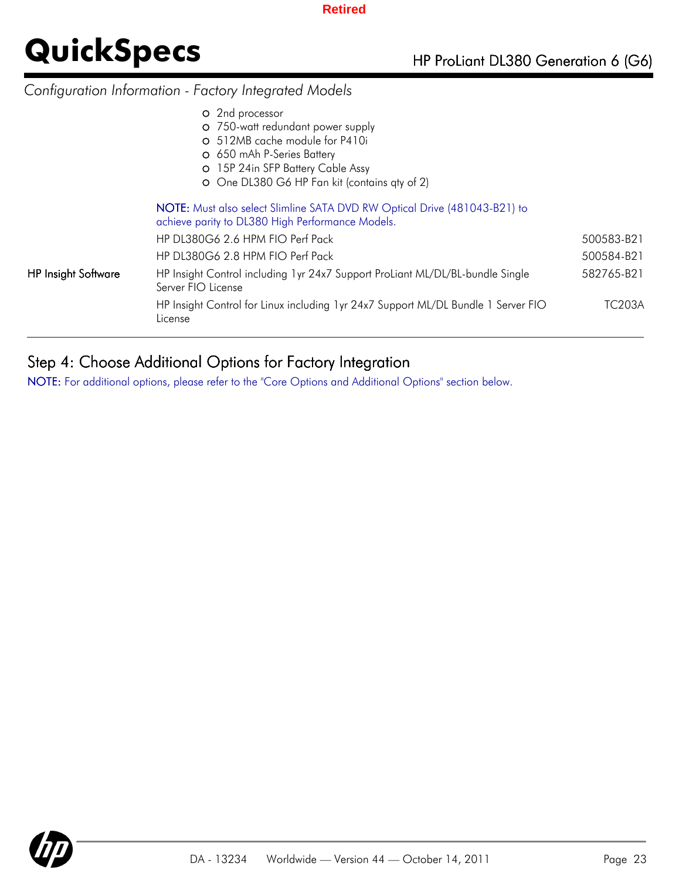## *Configuration Information - Factory Integrated Models*

|                     | O 2nd processor<br>O 750-watt redundant power supply<br>O 512MB cache module for P410i<br>O 650 mAh P-Series Battery<br>O 15P 24in SFP Battery Cable Assy<br>O One DL380 G6 HP Fan kit (contains qty of 2) |            |
|---------------------|------------------------------------------------------------------------------------------------------------------------------------------------------------------------------------------------------------|------------|
|                     | NOTE: Must also select Slimline SATA DVD RW Optical Drive (481043-B21) to<br>achieve parity to DL380 High Performance Models.                                                                              |            |
|                     | HP DL380G6 2.6 HPM FIO Perf Pack                                                                                                                                                                           | 500583-B21 |
|                     | HP DL380G6 2.8 HPM FIO Perf Pack                                                                                                                                                                           | 500584-B21 |
| HP Insight Software | HP Insight Control including 1yr 24x7 Support ProLiant ML/DL/BL-bundle Single<br>Server FIO License                                                                                                        | 582765-B21 |
|                     | HP Insight Control for Linux including 1yr 24x7 Support ML/DL Bundle 1 Server FIO<br>License                                                                                                               | TC203A     |
|                     |                                                                                                                                                                                                            |            |

## Step 4: Choose Additional Options for Factory Integration

NOTE: For additional options, please refer to the "Core Options and Additional Options" section below.

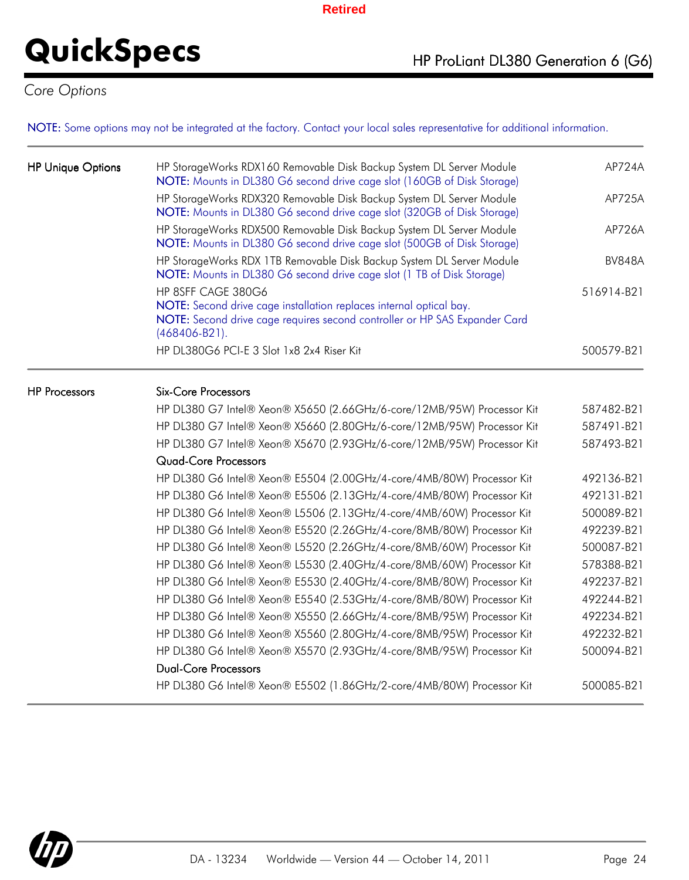*Core Options*

NOTE: Some options may not be integrated at the factory. Contact your local sales representative for additional information.

| <b>HP Unique Options</b> | HP StorageWorks RDX160 Removable Disk Backup System DL Server Module<br>NOTE: Mounts in DL380 G6 second drive cage slot (160GB of Disk Storage)                         | AP724A        |
|--------------------------|-------------------------------------------------------------------------------------------------------------------------------------------------------------------------|---------------|
|                          | HP StorageWorks RDX320 Removable Disk Backup System DL Server Module<br>NOTE: Mounts in DL380 G6 second drive cage slot (320GB of Disk Storage)                         | AP725A        |
|                          | HP StorageWorks RDX500 Removable Disk Backup System DL Server Module<br>NOTE: Mounts in DL380 G6 second drive cage slot (500GB of Disk Storage)                         | AP726A        |
|                          | HP StorageWorks RDX 1TB Removable Disk Backup System DL Server Module<br>NOTE: Mounts in DL380 G6 second drive cage slot (1 TB of Disk Storage)                         | <b>BV848A</b> |
|                          | HP 8SFF CAGE 380G6                                                                                                                                                      | 516914-B21    |
|                          | NOTE: Second drive cage installation replaces internal optical bay.<br>NOTE: Second drive cage requires second controller or HP SAS Expander Card<br>$(468406 - B21)$ . |               |
|                          | HP DL380G6 PCI-E 3 Slot 1x8 2x4 Riser Kit                                                                                                                               | 500579-B21    |
| <b>HP Processors</b>     | <b>Six-Core Processors</b>                                                                                                                                              |               |
|                          | HP DL380 G7 Intel® Xeon® X5650 (2.66GHz/6-core/12MB/95W) Processor Kit                                                                                                  | 587482-B21    |
|                          | HP DL380 G7 Intel® Xeon® X5660 (2.80GHz/6-core/12MB/95W) Processor Kit                                                                                                  | 587491-B21    |
|                          | HP DL380 G7 Intel® Xeon® X5670 (2.93GHz/6-core/12MB/95W) Processor Kit                                                                                                  | 587493-B21    |
|                          | <b>Quad-Core Processors</b>                                                                                                                                             |               |
|                          | HP DL380 G6 Intel® Xeon® E5504 (2.00GHz/4-core/4MB/80W) Processor Kit                                                                                                   | 492136-B21    |
|                          | HP DL380 G6 Intel® Xeon® E5506 (2.13GHz/4-core/4MB/80W) Processor Kit                                                                                                   | 492131-B21    |
|                          | HP DL380 G6 Intel® Xeon® L5506 (2.13GHz/4-core/4MB/60W) Processor Kit                                                                                                   | 500089-B21    |
|                          | HP DL380 G6 Intel® Xeon® E5520 (2.26GHz/4-core/8MB/80W) Processor Kit                                                                                                   | 492239-B21    |
|                          | HP DL380 G6 Intel® Xeon® L5520 (2.26GHz/4-core/8MB/60W) Processor Kit                                                                                                   | 500087-B21    |
|                          | HP DL380 G6 Intel® Xeon® L5530 (2.40GHz/4-core/8MB/60W) Processor Kit                                                                                                   | 578388-B21    |
|                          | HP DL380 G6 Intel® Xeon® E5530 (2.40GHz/4-core/8MB/80W) Processor Kit                                                                                                   | 492237-B21    |
|                          | HP DL380 G6 Intel® Xeon® E5540 (2.53GHz/4-core/8MB/80W) Processor Kit                                                                                                   | 492244-B21    |
|                          | HP DL380 G6 Intel® Xeon® X5550 (2.66GHz/4-core/8MB/95W) Processor Kit                                                                                                   | 492234-B21    |
|                          | HP DL380 G6 Intel® Xeon® X5560 (2.80GHz/4-core/8MB/95W) Processor Kit                                                                                                   | 492232-B21    |
|                          | HP DL380 G6 Intel® Xeon® X5570 (2.93GHz/4-core/8MB/95W) Processor Kit                                                                                                   | 500094-B21    |
|                          | <b>Dual-Core Processors</b>                                                                                                                                             |               |
|                          | HP DL380 G6 Intel® Xeon® E5502 (1.86GHz/2-core/4MB/80W) Processor Kit                                                                                                   | 500085-B21    |

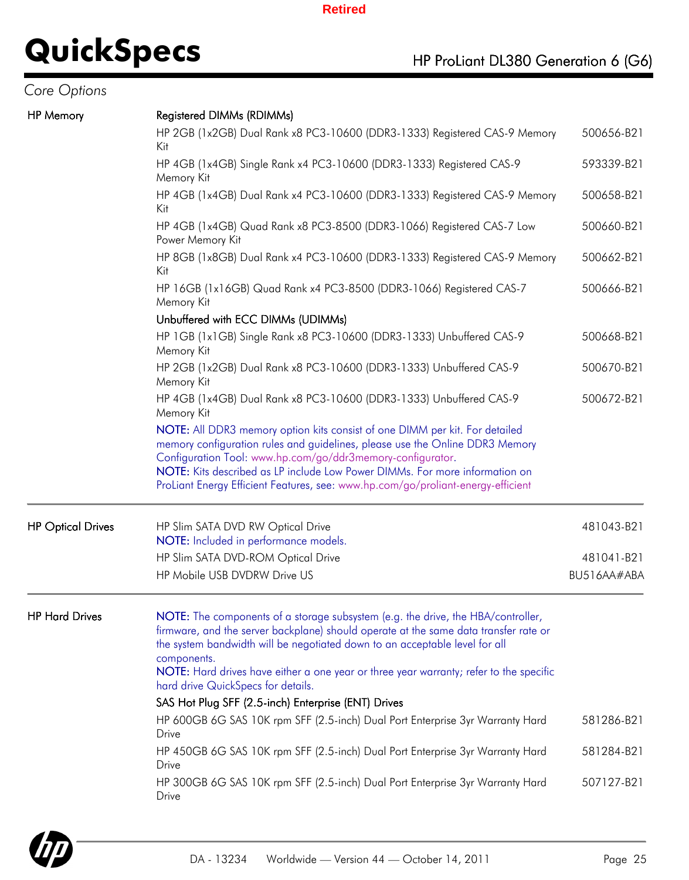| Core Options |  |
|--------------|--|
|              |  |

| <b>HP</b> Memory         | Registered DIMMs (RDIMMs)                                                                                                                                                                                                                                                                                                                                        |             |
|--------------------------|------------------------------------------------------------------------------------------------------------------------------------------------------------------------------------------------------------------------------------------------------------------------------------------------------------------------------------------------------------------|-------------|
|                          | HP 2GB (1x2GB) Dual Rank x8 PC3-10600 (DDR3-1333) Registered CAS-9 Memory<br>Kit                                                                                                                                                                                                                                                                                 | 500656-B21  |
|                          | HP 4GB (1x4GB) Single Rank x4 PC3-10600 (DDR3-1333) Registered CAS-9<br>Memory Kit                                                                                                                                                                                                                                                                               | 593339-B21  |
|                          | HP 4GB (1x4GB) Dual Rank x4 PC3-10600 (DDR3-1333) Registered CAS-9 Memory<br>Kit                                                                                                                                                                                                                                                                                 | 500658-B21  |
|                          | HP 4GB (1x4GB) Quad Rank x8 PC3-8500 (DDR3-1066) Registered CAS-7 Low<br>Power Memory Kit                                                                                                                                                                                                                                                                        | 500660-B21  |
|                          | HP 8GB (1x8GB) Dual Rank x4 PC3-10600 (DDR3-1333) Registered CAS-9 Memory<br>Kit                                                                                                                                                                                                                                                                                 | 500662-B21  |
|                          | HP 16GB (1x16GB) Quad Rank x4 PC3-8500 (DDR3-1066) Registered CAS-7<br>Memory Kit                                                                                                                                                                                                                                                                                | 500666-B21  |
|                          | Unbuffered with ECC DIMMs (UDIMMs)                                                                                                                                                                                                                                                                                                                               |             |
|                          | HP 1GB (1x1GB) Single Rank x8 PC3-10600 (DDR3-1333) Unbuffered CAS-9<br>Memory Kit                                                                                                                                                                                                                                                                               | 500668-B21  |
|                          | HP 2GB (1x2GB) Dual Rank x8 PC3-10600 (DDR3-1333) Unbuffered CAS-9<br>Memory Kit                                                                                                                                                                                                                                                                                 | 500670-B21  |
|                          | HP 4GB (1x4GB) Dual Rank x8 PC3-10600 (DDR3-1333) Unbuffered CAS-9<br>Memory Kit                                                                                                                                                                                                                                                                                 | 500672-B21  |
|                          | NOTE: All DDR3 memory option kits consist of one DIMM per kit. For detailed<br>memory configuration rules and guidelines, please use the Online DDR3 Memory<br>Configuration Tool: www.hp.com/go/ddr3memory-configurator.                                                                                                                                        |             |
|                          | NOTE: Kits described as LP include Low Power DIMMs. For more information on<br>ProLiant Energy Efficient Features, see: www.hp.com/go/proliant-energy-efficient                                                                                                                                                                                                  |             |
| <b>HP Optical Drives</b> | HP Slim SATA DVD RW Optical Drive<br>NOTE: Included in performance models.                                                                                                                                                                                                                                                                                       | 481043-B21  |
|                          | HP Slim SATA DVD-ROM Optical Drive                                                                                                                                                                                                                                                                                                                               | 481041-B21  |
|                          | HP Mobile USB DVDRW Drive US                                                                                                                                                                                                                                                                                                                                     | BU516AA#ABA |
| <b>HP Hard Drives</b>    | NOTE: The components of a storage subsystem (e.g. the drive, the HBA/controller,<br>firmware, and the server backplane) should operate at the same data transfer rate or<br>the system bandwidth will be negotiated down to an acceptable level for all<br>components.<br>NOTE: Hard drives have either a one year or three year warranty; refer to the specific |             |
|                          | hard drive QuickSpecs for details.                                                                                                                                                                                                                                                                                                                               |             |
|                          | SAS Hot Plug SFF (2.5-inch) Enterprise (ENT) Drives                                                                                                                                                                                                                                                                                                              |             |
|                          | HP 600GB 6G SAS 10K rpm SFF (2.5-inch) Dual Port Enterprise 3yr Warranty Hard<br>Drive                                                                                                                                                                                                                                                                           | 581286-B21  |
|                          | HP 450GB 6G SAS 10K rpm SFF (2.5-inch) Dual Port Enterprise 3yr Warranty Hard<br>Drive                                                                                                                                                                                                                                                                           | 581284-B21  |
|                          | HP 300GB 6G SAS 10K rpm SFF (2.5-inch) Dual Port Enterprise 3yr Warranty Hard<br>Drive                                                                                                                                                                                                                                                                           | 507127-B21  |
|                          |                                                                                                                                                                                                                                                                                                                                                                  |             |

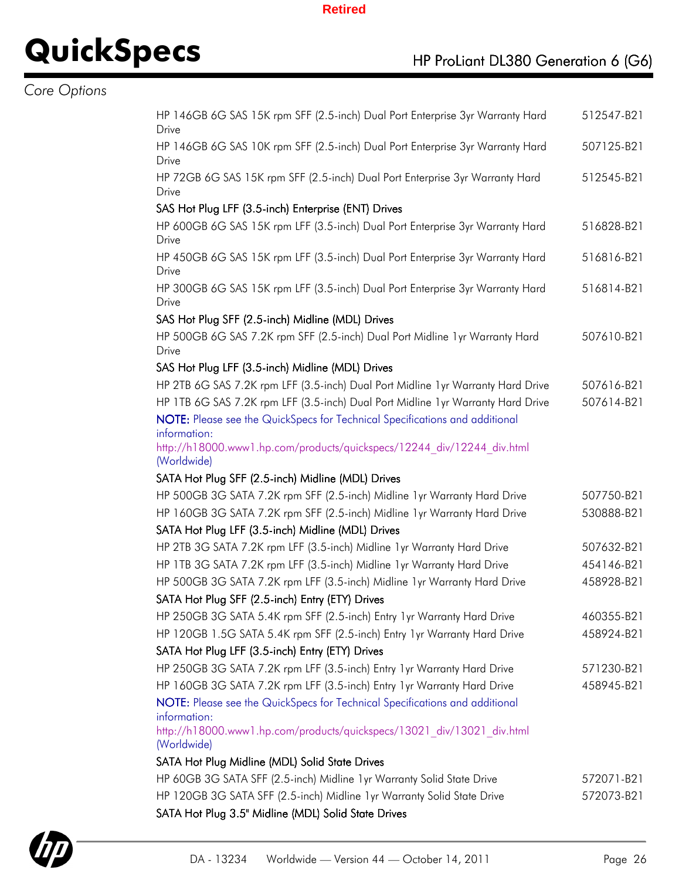## **QuickSpecs** HP ProLiant DL380 Generation 6 (G6)

## *Core Options*

| HP 146GB 6G SAS 15K rpm SFF (2.5-inch) Dual Port Enterprise 3yr Warranty Hard<br>512547-B21<br>Drive<br>HP 146GB 6G SAS 10K rpm SFF (2.5-inch) Dual Port Enterprise 3yr Warranty Hard<br>507125-B21<br>Drive<br>HP 72GB 6G SAS 15K rpm SFF (2.5-inch) Dual Port Enterprise 3yr Warranty Hard<br>512545-B21<br>Drive<br>SAS Hot Plug LFF (3.5-inch) Enterprise (ENT) Drives<br>HP 600GB 6G SAS 15K rpm LFF (3.5-inch) Dual Port Enterprise 3yr Warranty Hard<br>516828-B21<br>Drive<br>HP 450GB 6G SAS 15K rpm LFF (3.5-inch) Dual Port Enterprise 3yr Warranty Hard<br>516816-B21<br>Drive<br>HP 300GB 6G SAS 15K rpm LFF (3.5-inch) Dual Port Enterprise 3yr Warranty Hard<br>516814-B21<br>Drive<br>SAS Hot Plug SFF (2.5-inch) Midline (MDL) Drives<br>HP 500GB 6G SAS 7.2K rpm SFF (2.5-inch) Dual Port Midline 1yr Warranty Hard<br>507610-B21<br>Drive<br>SAS Hot Plug LFF (3.5-inch) Midline (MDL) Drives<br>HP 2TB 6G SAS 7.2K rpm LFF (3.5-inch) Dual Port Midline 1yr Warranty Hard Drive<br>507616-B21<br>HP 1TB 6G SAS 7.2K rpm LFF (3.5-inch) Dual Port Midline 1yr Warranty Hard Drive<br>507614-B21<br>NOTE: Please see the QuickSpecs for Technical Specifications and additional<br>information:<br>http://h18000.www1.hp.com/products/quickspecs/12244 div/12244 div.html<br>(Worldwide)<br>SATA Hot Plug SFF (2.5-inch) Midline (MDL) Drives<br>HP 500GB 3G SATA 7.2K rpm SFF (2.5-inch) Midline 1yr Warranty Hard Drive<br>507750-B21<br>HP 160GB 3G SATA 7.2K rpm SFF (2.5-inch) Midline 1yr Warranty Hard Drive<br>530888-B21<br>SATA Hot Plug LFF (3.5-inch) Midline (MDL) Drives<br>HP 2TB 3G SATA 7.2K rpm LFF (3.5-inch) Midline 1yr Warranty Hard Drive<br>507632-B21<br>HP 1TB 3G SATA 7.2K rpm LFF (3.5-inch) Midline 1yr Warranty Hard Drive<br>454146-B21<br>HP 500GB 3G SATA 7.2K rpm LFF (3.5-inch) Midline 1yr Warranty Hard Drive<br>458928-B21<br>SATA Hot Plug SFF (2.5-inch) Entry (ETY) Drives<br>HP 250GB 3G SATA 5.4K rpm SFF (2.5-inch) Entry 1 yr Warranty Hard Drive<br>460355-B21<br>HP 120GB 1.5G SATA 5.4K rpm SFF (2.5-inch) Entry 1yr Warranty Hard Drive<br>458924-B21<br>SATA Hot Plug LFF (3.5-inch) Entry (ETY) Drives<br>HP 250GB 3G SATA 7.2K rpm LFF (3.5-inch) Entry 1 yr Warranty Hard Drive<br>571230-B21<br>HP 160GB 3G SATA 7.2K rpm LFF (3.5-inch) Entry 1yr Warranty Hard Drive<br>458945-B21<br>NOTE: Please see the QuickSpecs for Technical Specifications and additional<br>information:<br>http://h18000.www1.hp.com/products/quickspecs/13021 div/13021 div.html<br>(Worldwide) |  |
|------------------------------------------------------------------------------------------------------------------------------------------------------------------------------------------------------------------------------------------------------------------------------------------------------------------------------------------------------------------------------------------------------------------------------------------------------------------------------------------------------------------------------------------------------------------------------------------------------------------------------------------------------------------------------------------------------------------------------------------------------------------------------------------------------------------------------------------------------------------------------------------------------------------------------------------------------------------------------------------------------------------------------------------------------------------------------------------------------------------------------------------------------------------------------------------------------------------------------------------------------------------------------------------------------------------------------------------------------------------------------------------------------------------------------------------------------------------------------------------------------------------------------------------------------------------------------------------------------------------------------------------------------------------------------------------------------------------------------------------------------------------------------------------------------------------------------------------------------------------------------------------------------------------------------------------------------------------------------------------------------------------------------------------------------------------------------------------------------------------------------------------------------------------------------------------------------------------------------------------------------------------------------------------------------------------------------------------------------------------------------------------------------------------------------------------------------------------------------------------------------------------------------------------------------|--|
|                                                                                                                                                                                                                                                                                                                                                                                                                                                                                                                                                                                                                                                                                                                                                                                                                                                                                                                                                                                                                                                                                                                                                                                                                                                                                                                                                                                                                                                                                                                                                                                                                                                                                                                                                                                                                                                                                                                                                                                                                                                                                                                                                                                                                                                                                                                                                                                                                                                                                                                                                      |  |
|                                                                                                                                                                                                                                                                                                                                                                                                                                                                                                                                                                                                                                                                                                                                                                                                                                                                                                                                                                                                                                                                                                                                                                                                                                                                                                                                                                                                                                                                                                                                                                                                                                                                                                                                                                                                                                                                                                                                                                                                                                                                                                                                                                                                                                                                                                                                                                                                                                                                                                                                                      |  |
|                                                                                                                                                                                                                                                                                                                                                                                                                                                                                                                                                                                                                                                                                                                                                                                                                                                                                                                                                                                                                                                                                                                                                                                                                                                                                                                                                                                                                                                                                                                                                                                                                                                                                                                                                                                                                                                                                                                                                                                                                                                                                                                                                                                                                                                                                                                                                                                                                                                                                                                                                      |  |
|                                                                                                                                                                                                                                                                                                                                                                                                                                                                                                                                                                                                                                                                                                                                                                                                                                                                                                                                                                                                                                                                                                                                                                                                                                                                                                                                                                                                                                                                                                                                                                                                                                                                                                                                                                                                                                                                                                                                                                                                                                                                                                                                                                                                                                                                                                                                                                                                                                                                                                                                                      |  |
|                                                                                                                                                                                                                                                                                                                                                                                                                                                                                                                                                                                                                                                                                                                                                                                                                                                                                                                                                                                                                                                                                                                                                                                                                                                                                                                                                                                                                                                                                                                                                                                                                                                                                                                                                                                                                                                                                                                                                                                                                                                                                                                                                                                                                                                                                                                                                                                                                                                                                                                                                      |  |
|                                                                                                                                                                                                                                                                                                                                                                                                                                                                                                                                                                                                                                                                                                                                                                                                                                                                                                                                                                                                                                                                                                                                                                                                                                                                                                                                                                                                                                                                                                                                                                                                                                                                                                                                                                                                                                                                                                                                                                                                                                                                                                                                                                                                                                                                                                                                                                                                                                                                                                                                                      |  |
|                                                                                                                                                                                                                                                                                                                                                                                                                                                                                                                                                                                                                                                                                                                                                                                                                                                                                                                                                                                                                                                                                                                                                                                                                                                                                                                                                                                                                                                                                                                                                                                                                                                                                                                                                                                                                                                                                                                                                                                                                                                                                                                                                                                                                                                                                                                                                                                                                                                                                                                                                      |  |
|                                                                                                                                                                                                                                                                                                                                                                                                                                                                                                                                                                                                                                                                                                                                                                                                                                                                                                                                                                                                                                                                                                                                                                                                                                                                                                                                                                                                                                                                                                                                                                                                                                                                                                                                                                                                                                                                                                                                                                                                                                                                                                                                                                                                                                                                                                                                                                                                                                                                                                                                                      |  |
|                                                                                                                                                                                                                                                                                                                                                                                                                                                                                                                                                                                                                                                                                                                                                                                                                                                                                                                                                                                                                                                                                                                                                                                                                                                                                                                                                                                                                                                                                                                                                                                                                                                                                                                                                                                                                                                                                                                                                                                                                                                                                                                                                                                                                                                                                                                                                                                                                                                                                                                                                      |  |
|                                                                                                                                                                                                                                                                                                                                                                                                                                                                                                                                                                                                                                                                                                                                                                                                                                                                                                                                                                                                                                                                                                                                                                                                                                                                                                                                                                                                                                                                                                                                                                                                                                                                                                                                                                                                                                                                                                                                                                                                                                                                                                                                                                                                                                                                                                                                                                                                                                                                                                                                                      |  |
|                                                                                                                                                                                                                                                                                                                                                                                                                                                                                                                                                                                                                                                                                                                                                                                                                                                                                                                                                                                                                                                                                                                                                                                                                                                                                                                                                                                                                                                                                                                                                                                                                                                                                                                                                                                                                                                                                                                                                                                                                                                                                                                                                                                                                                                                                                                                                                                                                                                                                                                                                      |  |
|                                                                                                                                                                                                                                                                                                                                                                                                                                                                                                                                                                                                                                                                                                                                                                                                                                                                                                                                                                                                                                                                                                                                                                                                                                                                                                                                                                                                                                                                                                                                                                                                                                                                                                                                                                                                                                                                                                                                                                                                                                                                                                                                                                                                                                                                                                                                                                                                                                                                                                                                                      |  |
|                                                                                                                                                                                                                                                                                                                                                                                                                                                                                                                                                                                                                                                                                                                                                                                                                                                                                                                                                                                                                                                                                                                                                                                                                                                                                                                                                                                                                                                                                                                                                                                                                                                                                                                                                                                                                                                                                                                                                                                                                                                                                                                                                                                                                                                                                                                                                                                                                                                                                                                                                      |  |
|                                                                                                                                                                                                                                                                                                                                                                                                                                                                                                                                                                                                                                                                                                                                                                                                                                                                                                                                                                                                                                                                                                                                                                                                                                                                                                                                                                                                                                                                                                                                                                                                                                                                                                                                                                                                                                                                                                                                                                                                                                                                                                                                                                                                                                                                                                                                                                                                                                                                                                                                                      |  |
|                                                                                                                                                                                                                                                                                                                                                                                                                                                                                                                                                                                                                                                                                                                                                                                                                                                                                                                                                                                                                                                                                                                                                                                                                                                                                                                                                                                                                                                                                                                                                                                                                                                                                                                                                                                                                                                                                                                                                                                                                                                                                                                                                                                                                                                                                                                                                                                                                                                                                                                                                      |  |
|                                                                                                                                                                                                                                                                                                                                                                                                                                                                                                                                                                                                                                                                                                                                                                                                                                                                                                                                                                                                                                                                                                                                                                                                                                                                                                                                                                                                                                                                                                                                                                                                                                                                                                                                                                                                                                                                                                                                                                                                                                                                                                                                                                                                                                                                                                                                                                                                                                                                                                                                                      |  |
|                                                                                                                                                                                                                                                                                                                                                                                                                                                                                                                                                                                                                                                                                                                                                                                                                                                                                                                                                                                                                                                                                                                                                                                                                                                                                                                                                                                                                                                                                                                                                                                                                                                                                                                                                                                                                                                                                                                                                                                                                                                                                                                                                                                                                                                                                                                                                                                                                                                                                                                                                      |  |
|                                                                                                                                                                                                                                                                                                                                                                                                                                                                                                                                                                                                                                                                                                                                                                                                                                                                                                                                                                                                                                                                                                                                                                                                                                                                                                                                                                                                                                                                                                                                                                                                                                                                                                                                                                                                                                                                                                                                                                                                                                                                                                                                                                                                                                                                                                                                                                                                                                                                                                                                                      |  |
|                                                                                                                                                                                                                                                                                                                                                                                                                                                                                                                                                                                                                                                                                                                                                                                                                                                                                                                                                                                                                                                                                                                                                                                                                                                                                                                                                                                                                                                                                                                                                                                                                                                                                                                                                                                                                                                                                                                                                                                                                                                                                                                                                                                                                                                                                                                                                                                                                                                                                                                                                      |  |
|                                                                                                                                                                                                                                                                                                                                                                                                                                                                                                                                                                                                                                                                                                                                                                                                                                                                                                                                                                                                                                                                                                                                                                                                                                                                                                                                                                                                                                                                                                                                                                                                                                                                                                                                                                                                                                                                                                                                                                                                                                                                                                                                                                                                                                                                                                                                                                                                                                                                                                                                                      |  |
|                                                                                                                                                                                                                                                                                                                                                                                                                                                                                                                                                                                                                                                                                                                                                                                                                                                                                                                                                                                                                                                                                                                                                                                                                                                                                                                                                                                                                                                                                                                                                                                                                                                                                                                                                                                                                                                                                                                                                                                                                                                                                                                                                                                                                                                                                                                                                                                                                                                                                                                                                      |  |
|                                                                                                                                                                                                                                                                                                                                                                                                                                                                                                                                                                                                                                                                                                                                                                                                                                                                                                                                                                                                                                                                                                                                                                                                                                                                                                                                                                                                                                                                                                                                                                                                                                                                                                                                                                                                                                                                                                                                                                                                                                                                                                                                                                                                                                                                                                                                                                                                                                                                                                                                                      |  |
|                                                                                                                                                                                                                                                                                                                                                                                                                                                                                                                                                                                                                                                                                                                                                                                                                                                                                                                                                                                                                                                                                                                                                                                                                                                                                                                                                                                                                                                                                                                                                                                                                                                                                                                                                                                                                                                                                                                                                                                                                                                                                                                                                                                                                                                                                                                                                                                                                                                                                                                                                      |  |
|                                                                                                                                                                                                                                                                                                                                                                                                                                                                                                                                                                                                                                                                                                                                                                                                                                                                                                                                                                                                                                                                                                                                                                                                                                                                                                                                                                                                                                                                                                                                                                                                                                                                                                                                                                                                                                                                                                                                                                                                                                                                                                                                                                                                                                                                                                                                                                                                                                                                                                                                                      |  |
|                                                                                                                                                                                                                                                                                                                                                                                                                                                                                                                                                                                                                                                                                                                                                                                                                                                                                                                                                                                                                                                                                                                                                                                                                                                                                                                                                                                                                                                                                                                                                                                                                                                                                                                                                                                                                                                                                                                                                                                                                                                                                                                                                                                                                                                                                                                                                                                                                                                                                                                                                      |  |
|                                                                                                                                                                                                                                                                                                                                                                                                                                                                                                                                                                                                                                                                                                                                                                                                                                                                                                                                                                                                                                                                                                                                                                                                                                                                                                                                                                                                                                                                                                                                                                                                                                                                                                                                                                                                                                                                                                                                                                                                                                                                                                                                                                                                                                                                                                                                                                                                                                                                                                                                                      |  |
|                                                                                                                                                                                                                                                                                                                                                                                                                                                                                                                                                                                                                                                                                                                                                                                                                                                                                                                                                                                                                                                                                                                                                                                                                                                                                                                                                                                                                                                                                                                                                                                                                                                                                                                                                                                                                                                                                                                                                                                                                                                                                                                                                                                                                                                                                                                                                                                                                                                                                                                                                      |  |
|                                                                                                                                                                                                                                                                                                                                                                                                                                                                                                                                                                                                                                                                                                                                                                                                                                                                                                                                                                                                                                                                                                                                                                                                                                                                                                                                                                                                                                                                                                                                                                                                                                                                                                                                                                                                                                                                                                                                                                                                                                                                                                                                                                                                                                                                                                                                                                                                                                                                                                                                                      |  |
|                                                                                                                                                                                                                                                                                                                                                                                                                                                                                                                                                                                                                                                                                                                                                                                                                                                                                                                                                                                                                                                                                                                                                                                                                                                                                                                                                                                                                                                                                                                                                                                                                                                                                                                                                                                                                                                                                                                                                                                                                                                                                                                                                                                                                                                                                                                                                                                                                                                                                                                                                      |  |
|                                                                                                                                                                                                                                                                                                                                                                                                                                                                                                                                                                                                                                                                                                                                                                                                                                                                                                                                                                                                                                                                                                                                                                                                                                                                                                                                                                                                                                                                                                                                                                                                                                                                                                                                                                                                                                                                                                                                                                                                                                                                                                                                                                                                                                                                                                                                                                                                                                                                                                                                                      |  |
|                                                                                                                                                                                                                                                                                                                                                                                                                                                                                                                                                                                                                                                                                                                                                                                                                                                                                                                                                                                                                                                                                                                                                                                                                                                                                                                                                                                                                                                                                                                                                                                                                                                                                                                                                                                                                                                                                                                                                                                                                                                                                                                                                                                                                                                                                                                                                                                                                                                                                                                                                      |  |
| SATA Hot Plug Midline (MDL) Solid State Drives                                                                                                                                                                                                                                                                                                                                                                                                                                                                                                                                                                                                                                                                                                                                                                                                                                                                                                                                                                                                                                                                                                                                                                                                                                                                                                                                                                                                                                                                                                                                                                                                                                                                                                                                                                                                                                                                                                                                                                                                                                                                                                                                                                                                                                                                                                                                                                                                                                                                                                       |  |
| HP 60GB 3G SATA SFF (2.5-inch) Midline 1yr Warranty Solid State Drive<br>572071-B21                                                                                                                                                                                                                                                                                                                                                                                                                                                                                                                                                                                                                                                                                                                                                                                                                                                                                                                                                                                                                                                                                                                                                                                                                                                                                                                                                                                                                                                                                                                                                                                                                                                                                                                                                                                                                                                                                                                                                                                                                                                                                                                                                                                                                                                                                                                                                                                                                                                                  |  |
| HP 120GB 3G SATA SFF (2.5-inch) Midline 1yr Warranty Solid State Drive<br>572073-B21                                                                                                                                                                                                                                                                                                                                                                                                                                                                                                                                                                                                                                                                                                                                                                                                                                                                                                                                                                                                                                                                                                                                                                                                                                                                                                                                                                                                                                                                                                                                                                                                                                                                                                                                                                                                                                                                                                                                                                                                                                                                                                                                                                                                                                                                                                                                                                                                                                                                 |  |
| SATA Hot Plug 3.5" Midline (MDL) Solid State Drives                                                                                                                                                                                                                                                                                                                                                                                                                                                                                                                                                                                                                                                                                                                                                                                                                                                                                                                                                                                                                                                                                                                                                                                                                                                                                                                                                                                                                                                                                                                                                                                                                                                                                                                                                                                                                                                                                                                                                                                                                                                                                                                                                                                                                                                                                                                                                                                                                                                                                                  |  |

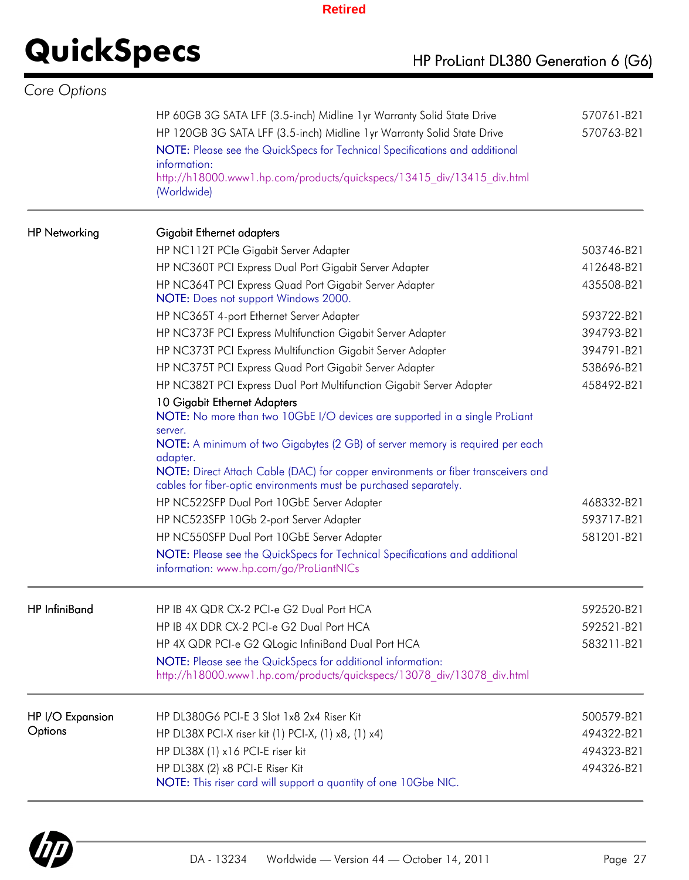| Core Options         |                                                                                                                                                        |            |
|----------------------|--------------------------------------------------------------------------------------------------------------------------------------------------------|------------|
|                      | HP 60GB 3G SATA LFF (3.5-inch) Midline 1yr Warranty Solid State Drive                                                                                  | 570761-B21 |
|                      | HP 120GB 3G SATA LFF (3.5-inch) Midline 1yr Warranty Solid State Drive                                                                                 | 570763-B21 |
|                      | NOTE: Please see the QuickSpecs for Technical Specifications and additional                                                                            |            |
|                      | information:                                                                                                                                           |            |
|                      | http://h18000.www1.hp.com/products/quickspecs/13415 div/13415 div.html<br>(Worldwide)                                                                  |            |
| <b>HP Networking</b> | Gigabit Ethernet adapters                                                                                                                              |            |
|                      | HP NC112T PCIe Gigabit Server Adapter                                                                                                                  | 503746-B21 |
|                      | HP NC360T PCI Express Dual Port Gigabit Server Adapter                                                                                                 | 412648-B21 |
|                      | HP NC364T PCI Express Quad Port Gigabit Server Adapter<br>NOTE: Does not support Windows 2000.                                                         | 435508-B21 |
|                      | HP NC365T 4-port Ethernet Server Adapter                                                                                                               | 593722-B21 |
|                      | HP NC373F PCI Express Multifunction Gigabit Server Adapter                                                                                             | 394793-B21 |
|                      | HP NC373T PCI Express Multifunction Gigabit Server Adapter                                                                                             | 394791-B21 |
|                      | HP NC375T PCI Express Quad Port Gigabit Server Adapter                                                                                                 | 538696-B21 |
|                      | HP NC382T PCI Express Dual Port Multifunction Gigabit Server Adapter                                                                                   | 458492-B21 |
|                      | 10 Gigabit Ethernet Adapters<br>NOTE: No more than two 10GbE I/O devices are supported in a single ProLiant                                            |            |
|                      | server.<br>NOTE: A minimum of two Gigabytes (2 GB) of server memory is required per each<br>adapter.                                                   |            |
|                      | NOTE: Direct Attach Cable (DAC) for copper environments or fiber transceivers and<br>cables for fiber-optic environments must be purchased separately. |            |
|                      | HP NC522SFP Dual Port 10GbE Server Adapter                                                                                                             | 468332-B21 |
|                      | HP NC523SFP 10Gb 2-port Server Adapter                                                                                                                 | 593717-B21 |
|                      | HP NC550SFP Dual Port 10GbE Server Adapter                                                                                                             | 581201-B21 |
|                      | NOTE: Please see the QuickSpecs for Technical Specifications and additional<br>information: www.hp.com/go/ProLiantNICs                                 |            |
| <b>HP</b> InfiniBand | HP IB 4X QDR CX-2 PCI-e G2 Dual Port HCA                                                                                                               | 592520-B21 |
|                      | HP IB 4X DDR CX-2 PCI-e G2 Dual Port HCA                                                                                                               | 592521-B21 |
|                      | HP 4X QDR PCI-e G2 QLogic InfiniBand Dual Port HCA                                                                                                     | 583211-B21 |
|                      | NOTE: Please see the QuickSpecs for additional information:<br>http://h18000.www1.hp.com/products/quickspecs/13078 div/13078 div.html                  |            |
| HP I/O Expansion     | HP DL380G6 PCI-E 3 Slot 1x8 2x4 Riser Kit                                                                                                              | 500579-B21 |
| Options              | HP DL38X PCI-X riser kit (1) PCI-X, (1) x8, (1) x4)                                                                                                    | 494322-B21 |
|                      | HP DL38X (1) x16 PCI-E riser kit                                                                                                                       | 494323-B21 |
|                      | HP DL38X (2) x8 PCI-E Riser Kit<br>NOTE: This riser card will support a quantity of one 10Gbe NIC.                                                     | 494326-B21 |

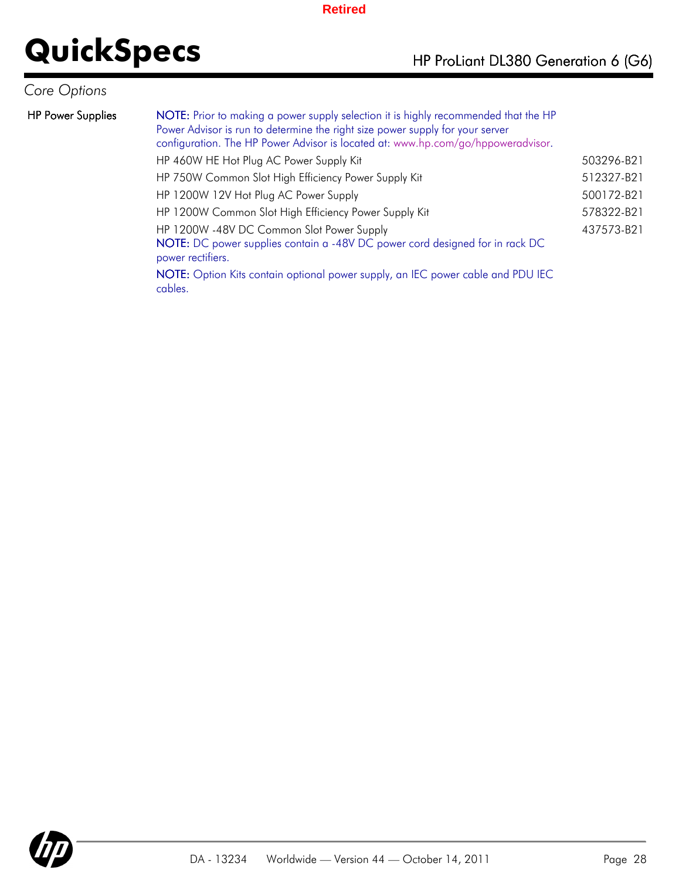## *Core Options*

| <b>HP Power Supplies</b> | NOTE: Prior to making a power supply selection it is highly recommended that the HP<br>Power Advisor is run to determine the right size power supply for your server<br>configuration. The HP Power Advisor is located at: www.hp.com/go/hppoweradvisor. |            |
|--------------------------|----------------------------------------------------------------------------------------------------------------------------------------------------------------------------------------------------------------------------------------------------------|------------|
|                          | HP 460W HE Hot Plug AC Power Supply Kit                                                                                                                                                                                                                  | 503296-B21 |
|                          | HP 750W Common Slot High Efficiency Power Supply Kit                                                                                                                                                                                                     | 512327-B21 |
|                          | HP 1200W 12V Hot Plug AC Power Supply                                                                                                                                                                                                                    | 500172-B21 |
|                          | HP 1200W Common Slot High Efficiency Power Supply Kit                                                                                                                                                                                                    | 578322-B21 |
|                          | HP 1200W -48V DC Common Slot Power Supply<br>NOTE: DC power supplies contain a -48V DC power cord designed for in rack DC<br>power rectifiers.                                                                                                           | 437573-B21 |
|                          | NOTE: Option Kits contain optional power supply, an IEC power cable and PDU IEC<br>cables.                                                                                                                                                               |            |

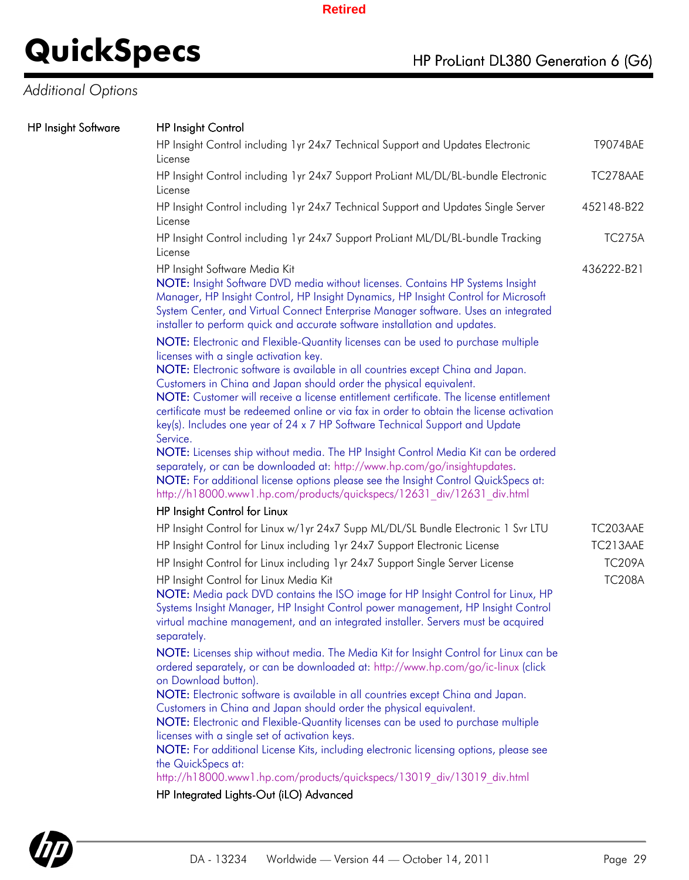## *Additional Options*

### HP Insight Software HP Insight Control

| <b>HP Insight Control</b>                                                                                                                                                                                                                                                                                                                                                                                                                                                                                                                                                                                                                                                                                                                                                                                                                                                                                                                                                                                                                                                                                                                                                                                                                                                             |               |
|---------------------------------------------------------------------------------------------------------------------------------------------------------------------------------------------------------------------------------------------------------------------------------------------------------------------------------------------------------------------------------------------------------------------------------------------------------------------------------------------------------------------------------------------------------------------------------------------------------------------------------------------------------------------------------------------------------------------------------------------------------------------------------------------------------------------------------------------------------------------------------------------------------------------------------------------------------------------------------------------------------------------------------------------------------------------------------------------------------------------------------------------------------------------------------------------------------------------------------------------------------------------------------------|---------------|
| HP Insight Control including 1yr 24x7 Technical Support and Updates Electronic<br>License                                                                                                                                                                                                                                                                                                                                                                                                                                                                                                                                                                                                                                                                                                                                                                                                                                                                                                                                                                                                                                                                                                                                                                                             | T9074BAE      |
| HP Insight Control including 1yr 24x7 Support ProLiant ML/DL/BL-bundle Electronic<br>License                                                                                                                                                                                                                                                                                                                                                                                                                                                                                                                                                                                                                                                                                                                                                                                                                                                                                                                                                                                                                                                                                                                                                                                          | TC278AAE      |
| HP Insight Control including 1yr 24x7 Technical Support and Updates Single Server<br>License                                                                                                                                                                                                                                                                                                                                                                                                                                                                                                                                                                                                                                                                                                                                                                                                                                                                                                                                                                                                                                                                                                                                                                                          | 452148-B22    |
| HP Insight Control including 1yr 24x7 Support ProLiant ML/DL/BL-bundle Tracking<br>License                                                                                                                                                                                                                                                                                                                                                                                                                                                                                                                                                                                                                                                                                                                                                                                                                                                                                                                                                                                                                                                                                                                                                                                            | <b>TC275A</b> |
| HP Insight Software Media Kit<br>NOTE: Insight Software DVD media without licenses. Contains HP Systems Insight<br>Manager, HP Insight Control, HP Insight Dynamics, HP Insight Control for Microsoft<br>System Center, and Virtual Connect Enterprise Manager software. Uses an integrated<br>installer to perform quick and accurate software installation and updates.<br>NOTE: Electronic and Flexible-Quantity licenses can be used to purchase multiple<br>licenses with a single activation key.<br>NOTE: Electronic software is available in all countries except China and Japan.<br>Customers in China and Japan should order the physical equivalent.<br>NOTE: Customer will receive a license entitlement certificate. The license entitlement<br>certificate must be redeemed online or via fax in order to obtain the license activation<br>key(s). Includes one year of 24 x 7 HP Software Technical Support and Update<br>Service.<br>NOTE: Licenses ship without media. The HP Insight Control Media Kit can be ordered<br>separately, or can be downloaded at: http://www.hp.com/go/insightupdates.<br>NOTE: For additional license options please see the Insight Control QuickSpecs at:<br>http://h18000.www1.hp.com/products/quickspecs/12631 div/12631 div.html | 436222-B21    |
| HP Insight Control for Linux                                                                                                                                                                                                                                                                                                                                                                                                                                                                                                                                                                                                                                                                                                                                                                                                                                                                                                                                                                                                                                                                                                                                                                                                                                                          |               |
| HP Insight Control for Linux w/1yr 24x7 Supp ML/DL/SL Bundle Electronic 1 Svr LTU                                                                                                                                                                                                                                                                                                                                                                                                                                                                                                                                                                                                                                                                                                                                                                                                                                                                                                                                                                                                                                                                                                                                                                                                     | TC203AAE      |
| HP Insight Control for Linux including 1yr 24x7 Support Electronic License                                                                                                                                                                                                                                                                                                                                                                                                                                                                                                                                                                                                                                                                                                                                                                                                                                                                                                                                                                                                                                                                                                                                                                                                            | TC213AAE      |
| HP Insight Control for Linux including 1yr 24x7 Support Single Server License                                                                                                                                                                                                                                                                                                                                                                                                                                                                                                                                                                                                                                                                                                                                                                                                                                                                                                                                                                                                                                                                                                                                                                                                         | <b>TC209A</b> |
| HP Insight Control for Linux Media Kit<br>NOTE: Media pack DVD contains the ISO image for HP Insight Control for Linux, HP<br>Systems Insight Manager, HP Insight Control power management, HP Insight Control<br>virtual machine management, and an integrated installer. Servers must be acquired<br>separately.                                                                                                                                                                                                                                                                                                                                                                                                                                                                                                                                                                                                                                                                                                                                                                                                                                                                                                                                                                    | <b>TC208A</b> |
| NOTE: Licenses ship without media. The Media Kit for Insight Control for Linux can be<br>ordered separately, or can be downloaded at: http://www.hp.com/go/ic-linux (click<br>on Download button).<br>NOTE: Electronic software is available in all countries except China and Japan.                                                                                                                                                                                                                                                                                                                                                                                                                                                                                                                                                                                                                                                                                                                                                                                                                                                                                                                                                                                                 |               |
| Customers in China and Japan should order the physical equivalent.<br>NOTE: Electronic and Flexible-Quantity licenses can be used to purchase multiple<br>licenses with a single set of activation keys.                                                                                                                                                                                                                                                                                                                                                                                                                                                                                                                                                                                                                                                                                                                                                                                                                                                                                                                                                                                                                                                                              |               |
| NOTE: For additional License Kits, including electronic licensing options, please see<br>the QuickSpecs at:<br>http://h18000.www1.hp.com/products/quickspecs/13019 div/13019 div.html                                                                                                                                                                                                                                                                                                                                                                                                                                                                                                                                                                                                                                                                                                                                                                                                                                                                                                                                                                                                                                                                                                 |               |
|                                                                                                                                                                                                                                                                                                                                                                                                                                                                                                                                                                                                                                                                                                                                                                                                                                                                                                                                                                                                                                                                                                                                                                                                                                                                                       |               |

HP Integrated Lights-Out (iLO) Advanced

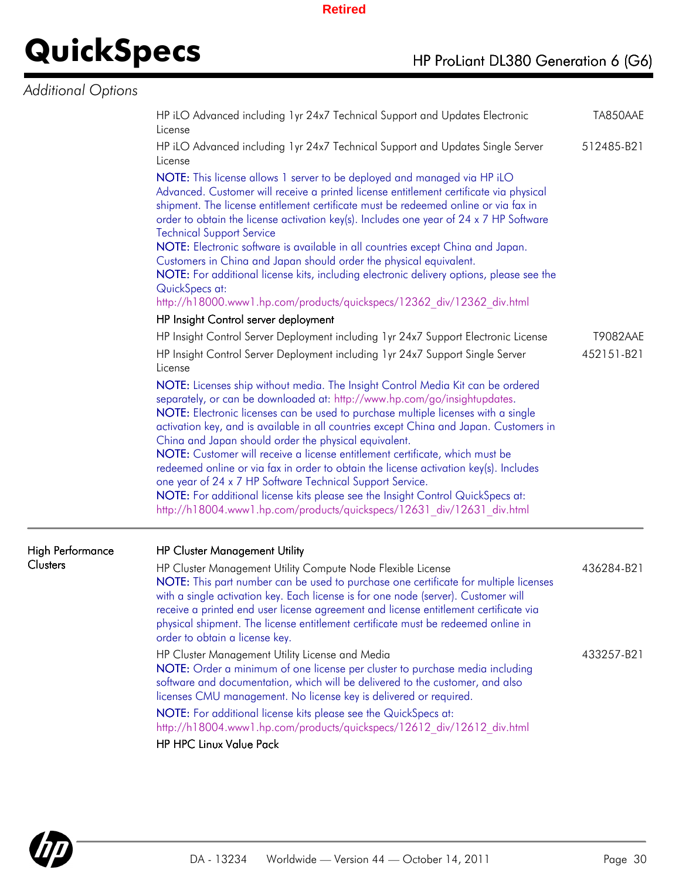# **QuickSpecs** HP ProLiant DL380 Generation 6 (G6)

### *Additional Options*

|                  | HP iLO Advanced including 1yr 24x7 Technical Support and Updates Electronic<br>License                                                                                                                                                                                                                                                                                                                                                                                                                                                                                                                                                                                                                                                                                                                  |                               |
|------------------|---------------------------------------------------------------------------------------------------------------------------------------------------------------------------------------------------------------------------------------------------------------------------------------------------------------------------------------------------------------------------------------------------------------------------------------------------------------------------------------------------------------------------------------------------------------------------------------------------------------------------------------------------------------------------------------------------------------------------------------------------------------------------------------------------------|-------------------------------|
|                  | HP iLO Advanced including 1 yr 24x7 Technical Support and Updates Single Server<br>License                                                                                                                                                                                                                                                                                                                                                                                                                                                                                                                                                                                                                                                                                                              | 512485-B21                    |
|                  | NOTE: This license allows 1 server to be deployed and managed via HP iLO<br>Advanced. Customer will receive a printed license entitlement certificate via physical<br>shipment. The license entitlement certificate must be redeemed online or via fax in<br>order to obtain the license activation key(s). Includes one year of 24 x 7 HP Software<br><b>Technical Support Service</b><br>NOTE: Electronic software is available in all countries except China and Japan.<br>Customers in China and Japan should order the physical equivalent.<br>NOTE: For additional license kits, including electronic delivery options, please see the<br>QuickSpecs at:<br>http://h18000.www1.hp.com/products/quickspecs/12362_div/12362_div.html                                                                |                               |
|                  | HP Insight Control server deployment                                                                                                                                                                                                                                                                                                                                                                                                                                                                                                                                                                                                                                                                                                                                                                    |                               |
|                  | HP Insight Control Server Deployment including 1yr 24x7 Support Electronic License<br>HP Insight Control Server Deployment including 1yr 24x7 Support Single Server<br>License                                                                                                                                                                                                                                                                                                                                                                                                                                                                                                                                                                                                                          | <b>T9082AAE</b><br>452151-B21 |
|                  | NOTE: Licenses ship without media. The Insight Control Media Kit can be ordered<br>separately, or can be downloaded at: http://www.hp.com/go/insightupdates.<br>NOTE: Electronic licenses can be used to purchase multiple licenses with a single<br>activation key, and is available in all countries except China and Japan. Customers in<br>China and Japan should order the physical equivalent.<br>NOTE: Customer will receive a license entitlement certificate, which must be<br>redeemed online or via fax in order to obtain the license activation key(s). Includes<br>one year of 24 x 7 HP Software Technical Support Service.<br>NOTE: For additional license kits please see the Insight Control QuickSpecs at:<br>http://h18004.www1.hp.com/products/quickspecs/12631 div/12631 div.html |                               |
| High Performance | <b>HP Cluster Management Utility</b>                                                                                                                                                                                                                                                                                                                                                                                                                                                                                                                                                                                                                                                                                                                                                                    |                               |
| <b>Clusters</b>  | HP Cluster Management Utility Compute Node Flexible License<br>NOTE: This part number can be used to purchase one certificate for multiple licenses<br>with a single activation key. Each license is for one node (server). Customer will<br>receive a printed end user license agreement and license entitlement certificate via<br>physical shipment. The license entitlement certificate must be redeemed online in<br>order to obtain a license key.                                                                                                                                                                                                                                                                                                                                                | 436284-B21                    |
|                  | HP Cluster Management Utility License and Media<br>NOTE: Order a minimum of one license per cluster to purchase media including<br>software and documentation, which will be delivered to the customer, and also<br>licenses CMU management. No license key is delivered or required.                                                                                                                                                                                                                                                                                                                                                                                                                                                                                                                   | 433257-B21                    |
|                  | NOTE: For additional license kits please see the QuickSpecs at:<br>http://h18004.www1.hp.com/products/quickspecs/12612 div/12612 div.html                                                                                                                                                                                                                                                                                                                                                                                                                                                                                                                                                                                                                                                               |                               |
|                  | <b>HP HPC Linux Value Pack</b>                                                                                                                                                                                                                                                                                                                                                                                                                                                                                                                                                                                                                                                                                                                                                                          |                               |

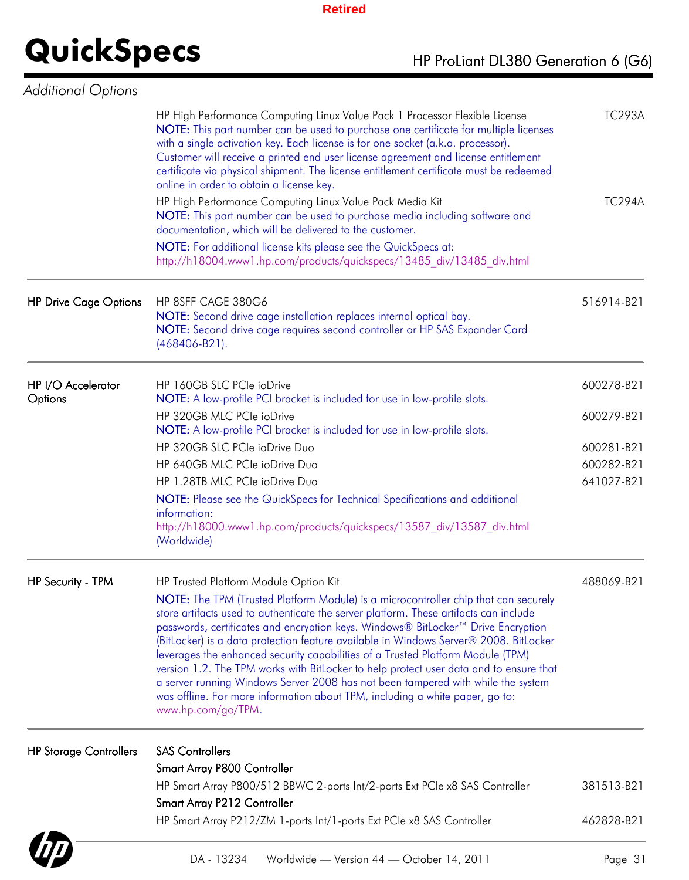| <b>Additional Options</b>     |                                                                                                                                                                                                                                                                                                                                                                                                                                                                                                                                                                                                                                                                                                                                   |               |
|-------------------------------|-----------------------------------------------------------------------------------------------------------------------------------------------------------------------------------------------------------------------------------------------------------------------------------------------------------------------------------------------------------------------------------------------------------------------------------------------------------------------------------------------------------------------------------------------------------------------------------------------------------------------------------------------------------------------------------------------------------------------------------|---------------|
|                               | HP High Performance Computing Linux Value Pack 1 Processor Flexible License<br>NOTE: This part number can be used to purchase one certificate for multiple licenses<br>with a single activation key. Each license is for one socket (a.k.a. processor).<br>Customer will receive a printed end user license agreement and license entitlement<br>certificate via physical shipment. The license entitlement certificate must be redeemed<br>online in order to obtain a license key.                                                                                                                                                                                                                                              | <b>TC293A</b> |
|                               | HP High Performance Computing Linux Value Pack Media Kit<br>NOTE: This part number can be used to purchase media including software and<br>documentation, which will be delivered to the customer.<br>NOTE: For additional license kits please see the QuickSpecs at:<br>http://h18004.www1.hp.com/products/quickspecs/13485 div/13485 div.html                                                                                                                                                                                                                                                                                                                                                                                   | <b>TC294A</b> |
| <b>HP Drive Cage Options</b>  | HP 8SFF CAGE 380G6<br>NOTE: Second drive cage installation replaces internal optical bay.<br>NOTE: Second drive cage requires second controller or HP SAS Expander Card<br>$(468406 - B21)$ .                                                                                                                                                                                                                                                                                                                                                                                                                                                                                                                                     | 516914-B21    |
| HP I/O Accelerator<br>Options | HP 160GB SLC PCIe ioDrive<br>NOTE: A low-profile PCI bracket is included for use in low-profile slots.                                                                                                                                                                                                                                                                                                                                                                                                                                                                                                                                                                                                                            | 600278-B21    |
|                               | HP 320GB MLC PCle ioDrive<br>NOTE: A low-profile PCI bracket is included for use in low-profile slots.                                                                                                                                                                                                                                                                                                                                                                                                                                                                                                                                                                                                                            | 600279-B21    |
|                               | HP 320GB SLC PCIe ioDrive Duo                                                                                                                                                                                                                                                                                                                                                                                                                                                                                                                                                                                                                                                                                                     | 600281-B21    |
|                               | HP 640GB MLC PCIe ioDrive Duo                                                                                                                                                                                                                                                                                                                                                                                                                                                                                                                                                                                                                                                                                                     | 600282-B21    |
|                               | HP 1.28TB MLC PCIe ioDrive Duo                                                                                                                                                                                                                                                                                                                                                                                                                                                                                                                                                                                                                                                                                                    | 641027-B21    |
|                               | NOTE: Please see the QuickSpecs for Technical Specifications and additional                                                                                                                                                                                                                                                                                                                                                                                                                                                                                                                                                                                                                                                       |               |
|                               | information:<br>http://h18000.www1.hp.com/products/quickspecs/13587 div/13587 div.html<br>(Worldwide)                                                                                                                                                                                                                                                                                                                                                                                                                                                                                                                                                                                                                             |               |
| HP Security - TPM             | HP Trusted Platform Module Option Kit                                                                                                                                                                                                                                                                                                                                                                                                                                                                                                                                                                                                                                                                                             | 488069-B21    |
|                               | NOTE: The TPM (Trusted Platform Module) is a microcontroller chip that can securely<br>store artifacts used to authenticate the server platform. These artifacts can include<br>passwords, certificates and encryption keys. Windows® BitLocker™ Drive Encryption<br>(BitLocker) is a data protection feature available in Windows Server® 2008. BitLocker<br>leverages the enhanced security capabilities of a Trusted Platform Module (TPM)<br>version 1.2. The TPM works with BitLocker to help protect user data and to ensure that<br>a server running Windows Server 2008 has not been tampered with while the system<br>was offline. For more information about TPM, including a white paper, go to:<br>www.hp.com/go/TPM. |               |
| <b>HP Storage Controllers</b> | <b>SAS Controllers</b>                                                                                                                                                                                                                                                                                                                                                                                                                                                                                                                                                                                                                                                                                                            |               |
|                               | Smart Array P800 Controller                                                                                                                                                                                                                                                                                                                                                                                                                                                                                                                                                                                                                                                                                                       |               |
|                               | HP Smart Array P800/512 BBWC 2-ports Int/2-ports Ext PCIe x8 SAS Controller                                                                                                                                                                                                                                                                                                                                                                                                                                                                                                                                                                                                                                                       | 381513-B21    |
|                               | Smart Array P212 Controller                                                                                                                                                                                                                                                                                                                                                                                                                                                                                                                                                                                                                                                                                                       |               |
|                               | HP Smart Array P212/ZM 1-ports Int/1-ports Ext PCIe x8 SAS Controller                                                                                                                                                                                                                                                                                                                                                                                                                                                                                                                                                                                                                                                             | 462828-B21    |

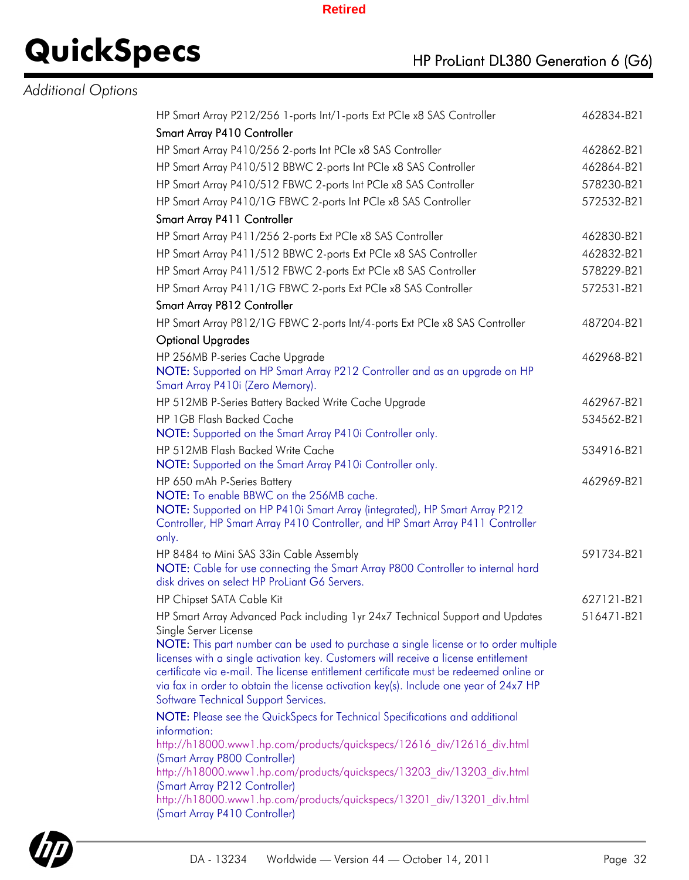## *Additional Options*

| HP Smart Array P212/256 1-ports Int/1-ports Ext PCIe x8 SAS Controller                                        | 462834-B21 |
|---------------------------------------------------------------------------------------------------------------|------------|
| Smart Array P410 Controller                                                                                   |            |
| HP Smart Array P410/256 2-ports Int PCIe x8 SAS Controller                                                    | 462862-B21 |
| HP Smart Array P410/512 BBWC 2-ports Int PCIe x8 SAS Controller                                               | 462864-B21 |
| HP Smart Array P410/512 FBWC 2-ports Int PCIe x8 SAS Controller                                               | 578230-B21 |
| HP Smart Array P410/1G FBWC 2-ports Int PCIe x8 SAS Controller                                                | 572532-B21 |
| Smart Array P411 Controller                                                                                   |            |
| HP Smart Array P411/256 2-ports Ext PCle x8 SAS Controller                                                    | 462830-B21 |
| HP Smart Array P411/512 BBWC 2-ports Ext PCIe x8 SAS Controller                                               | 462832-B21 |
| HP Smart Array P411/512 FBWC 2-ports Ext PCIe x8 SAS Controller                                               | 578229-B21 |
| HP Smart Array P411/1G FBWC 2-ports Ext PCIe x8 SAS Controller                                                | 572531-B21 |
| Smart Array P812 Controller                                                                                   |            |
| HP Smart Array P812/1G FBWC 2-ports Int/4-ports Ext PCIe x8 SAS Controller                                    | 487204-B21 |
| <b>Optional Upgrades</b>                                                                                      |            |
| HP 256MB P-series Cache Upgrade                                                                               | 462968-B21 |
| NOTE: Supported on HP Smart Array P212 Controller and as an upgrade on HP                                     |            |
| Smart Array P410i (Zero Memory).                                                                              |            |
| HP 512MB P-Series Battery Backed Write Cache Upgrade                                                          | 462967-B21 |
| HP 1GB Flash Backed Cache                                                                                     | 534562-B21 |
| NOTE: Supported on the Smart Array P410i Controller only.                                                     |            |
| HP 512MB Flash Backed Write Cache                                                                             | 534916-B21 |
| NOTE: Supported on the Smart Array P410i Controller only.                                                     |            |
| HP 650 mAh P-Series Battery<br>NOTE: To enable BBWC on the 256MB cache.                                       | 462969-B21 |
| NOTE: Supported on HP P410i Smart Array (integrated), HP Smart Array P212                                     |            |
| Controller, HP Smart Array P410 Controller, and HP Smart Array P411 Controller                                |            |
| only.                                                                                                         |            |
| HP 8484 to Mini SAS 33in Cable Assembly                                                                       | 591734-B21 |
| NOTE: Cable for use connecting the Smart Array P800 Controller to internal hard                               |            |
| disk drives on select HP ProLiant G6 Servers.                                                                 |            |
| HP Chipset SATA Cable Kit                                                                                     | 627121-B21 |
| HP Smart Array Advanced Pack including 1yr 24x7 Technical Support and Updates                                 | 516471-B21 |
| Single Server License<br>NOTE: This part number can be used to purchase a single license or to order multiple |            |
| licenses with a single activation key. Customers will receive a license entitlement                           |            |
| certificate via e-mail. The license entitlement certificate must be redeemed online or                        |            |
| via fax in order to obtain the license activation key(s). Include one year of 24x7 HP                         |            |
| Software Technical Support Services.                                                                          |            |
| NOTE: Please see the QuickSpecs for Technical Specifications and additional                                   |            |
| information:<br>http://h18000.www1.hp.com/products/quickspecs/12616 div/12616 div.html                        |            |
| (Smart Array P800 Controller)                                                                                 |            |
| http://h18000.www1.hp.com/products/quickspecs/13203 div/13203 div.html                                        |            |
| (Smart Array P212 Controller)                                                                                 |            |
| http://h18000.www1.hp.com/products/quickspecs/13201 div/13201 div.html                                        |            |
| (Smart Array P410 Controller)                                                                                 |            |

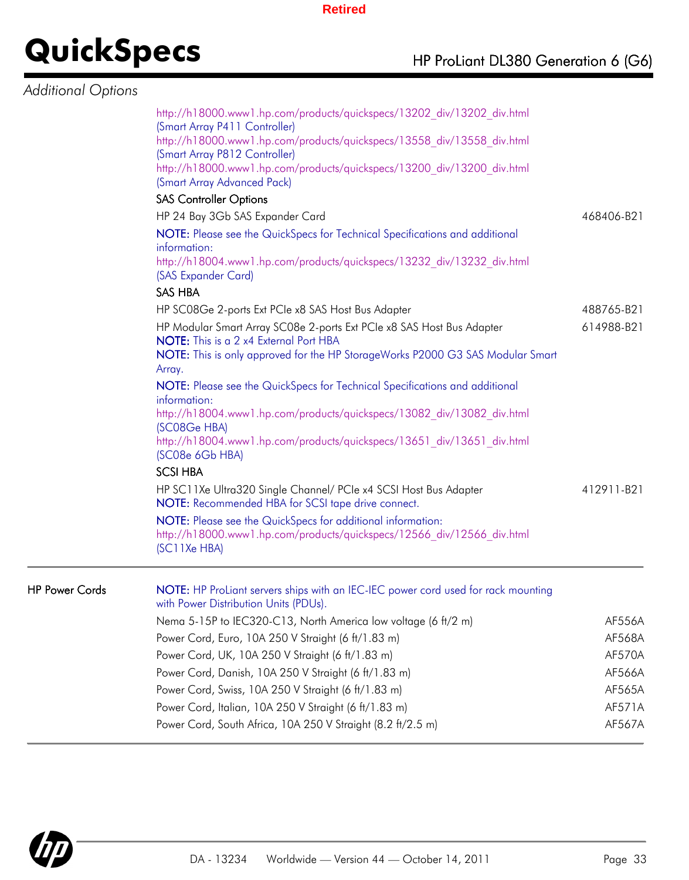## **QuickSpecs**

### *Additional Options*

| ⊶ישו |                                                                                                                                                       |               |
|------|-------------------------------------------------------------------------------------------------------------------------------------------------------|---------------|
|      | http://h18000.www1.hp.com/products/quickspecs/13202 div/13202 div.html<br>(Smart Array P411 Controller)                                               |               |
|      | http://h18000.www1.hp.com/products/quickspecs/13558 div/13558 div.html<br>(Smart Array P812 Controller)                                               |               |
|      | http://h18000.www1.hp.com/products/quickspecs/13200 div/13200 div.html<br>(Smart Array Advanced Pack)                                                 |               |
|      | <b>SAS Controller Options</b>                                                                                                                         |               |
|      | HP 24 Bay 3Gb SAS Expander Card                                                                                                                       | 468406-B21    |
|      | NOTE: Please see the QuickSpecs for Technical Specifications and additional<br>information:                                                           |               |
|      | http://h18004.www1.hp.com/products/quickspecs/13232 div/13232 div.html<br>(SAS Expander Card)                                                         |               |
|      | <b>SAS HBA</b>                                                                                                                                        |               |
|      | HP SC08Ge 2-ports Ext PCIe x8 SAS Host Bus Adapter                                                                                                    | 488765-B21    |
|      | HP Modular Smart Array SC08e 2-ports Ext PCIe x8 SAS Host Bus Adapter<br>NOTE: This is a 2 x4 External Port HBA                                       | 614988-B21    |
|      | NOTE: This is only approved for the HP StorageWorks P2000 G3 SAS Modular Smart<br>Array.                                                              |               |
|      | NOTE: Please see the QuickSpecs for Technical Specifications and additional<br>information:                                                           |               |
|      | http://h18004.www1.hp.com/products/quickspecs/13082 div/13082 div.html<br>(SC08Ge HBA)                                                                |               |
|      | http://h18004.www1.hp.com/products/quickspecs/13651 div/13651 div.html<br>(SC08e 6Gb HBA)                                                             |               |
|      | <b>SCSI HBA</b>                                                                                                                                       |               |
|      | HP SC11Xe Ultra320 Single Channel/ PCle x4 SCSI Host Bus Adapter<br>NOTE: Recommended HBA for SCSI tape drive connect.                                | 412911-B21    |
|      | NOTE: Please see the QuickSpecs for additional information:<br>http://h18000.www1.hp.com/products/quickspecs/12566 div/12566 div.html<br>(SC11Xe HBA) |               |
|      | NOTE: HP ProLiant servers ships with an IEC-IEC power cord used for rack mounting                                                                     |               |
|      | with Power Distribution Units (PDUs).                                                                                                                 |               |
|      | Nema 5-15P to IEC320-C13, North America low voltage (6 ft/2 m)                                                                                        | AF556A        |
|      | Power Cord, Euro, 10A 250 V Straight (6 ft/1.83 m)                                                                                                    | AF568A        |
|      | Power Cord, UK, 10A 250 V Straight (6 ft/1.83 m)                                                                                                      | <b>AF570A</b> |
|      | Power Cord, Danish, 10A 250 V Straight (6 ft/1.83 m)                                                                                                  | AF566A        |

Power Cord, Swiss, 10A 250 V Straight (6 ft/1.83 m) AF565A Power Cord, Italian, 10A 250 V Straight (6 ft/1.83 m) AF571A Power Cord, South Africa, 10A 250 V Straight (8.2 ft/2.5 m) AF567A



HP Power Cords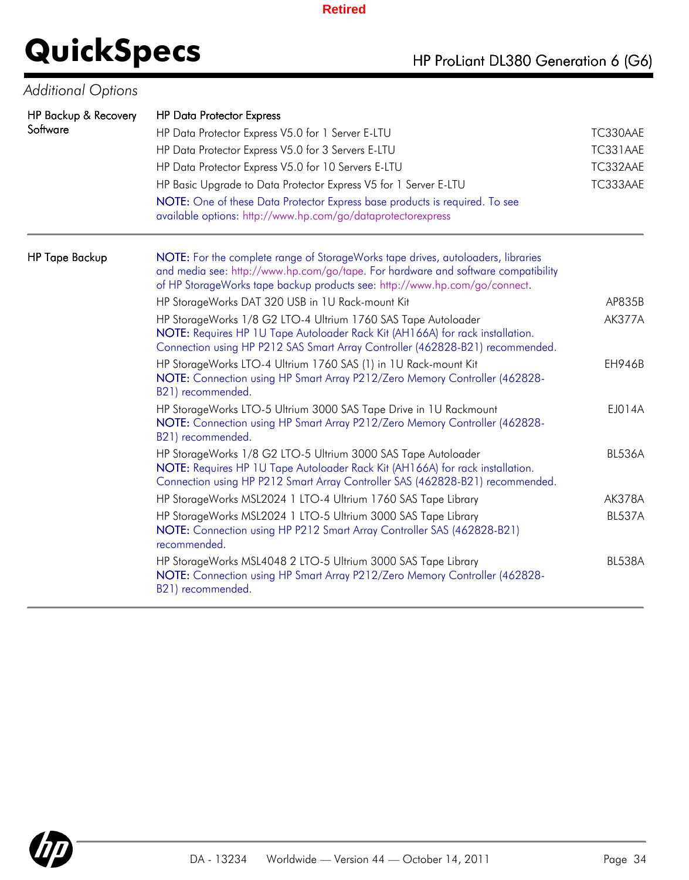### HP Backup & Recovery **Software** HP Data Protector Express HP Data Protector Express V5.0 for 1 Server E-LTU TC330AAE TC330AAE HP Data Protector Express V5.0 for 3 Servers E-LTU TC331AAE HP Data Protector Express V5.0 for 10 Servers E-LTU TC332AAE HP Basic Upgrade to Data Protector Express V5 for 1 Server E-LTU TC333AAE NOTE: One of these Data Protector Express base products is required. To see available options: http://www.hp.com/go/dataprotectorexpress HP Tape Backup NOTE: For the complete range of StorageWorks tape drives, autoloaders, libraries and media see: http://www.hp.com/go/tape. For hardware and software compatibility of HP StorageWorks tape backup products see: http://www.hp.com/go/connect. HP StorageWorks DAT 320 USB in 1U Rack-mount Kit AP835B AP835B HP StorageWorks 1/8 G2 LTO-4 Ultrium 1760 SAS Tape Autoloader NOTE: Requires HP 1U Tape Autoloader Rack Kit (AH166A) for rack installation. Connection using HP P212 SAS Smart Array Controller (462828-B21) recommended. HP StorageWorks LTO-4 Ultrium 1760 SAS (1) in 1U Rack-mount Kit NOTE: Connection using HP Smart Array P212/Zero Memory Controller (462828- B21) recommended. HP StorageWorks LTO-5 Ultrium 3000 SAS Tape Drive in 1U Rackmount NOTE: Connection using HP Smart Array P212/Zero Memory Controller (462828- B21) recommended. HP StorageWorks 1/8 G2 LTO-5 Ultrium 3000 SAS Tape Autoloader NOTE: Requires HP 1U Tape Autoloader Rack Kit (AH166A) for rack installation. Connection using HP P212 Smart Array Controller SAS (462828-B21) recommended. HP StorageWorks MSL2024 1 LTO-4 Ultrium 1760 SAS Tape Library AK378A **QuickSpecs** HP ProLiant DL380 Generation 6 (G6) *Additional Options*

HP StorageWorks MSL2024 1 LTO-5 Ultrium 3000 SAS Tape Library

HP StorageWorks MSL4048 2 LTO-5 Ultrium 3000 SAS Tape Library

recommended.

B21) recommended.

NOTE: Connection using HP P212 Smart Array Controller SAS (462828-B21)

NOTE: Connection using HP Smart Array P212/Zero Memory Controller (462828-



AK377A

EH946B

EJ014A

BL536A

BL537A

BL538A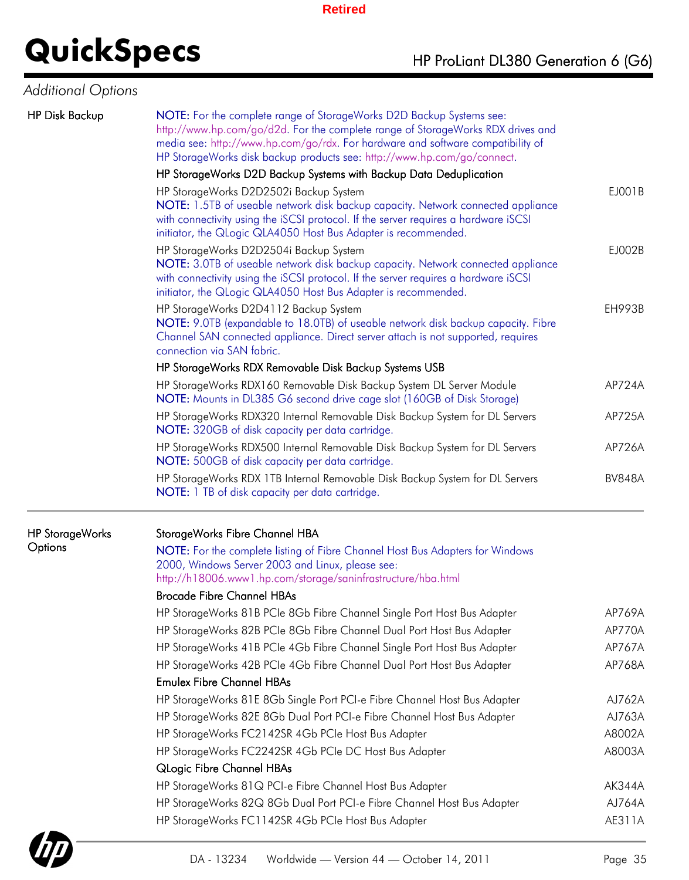### *Additional Options*

| <b>HP Disk Backup</b>  | NOTE: For the complete range of StorageWorks D2D Backup Systems see:<br>http://www.hp.com/go/d2d. For the complete range of StorageWorks RDX drives and<br>media see: http://www.hp.com/go/rdx. For hardware and software compatibility of<br>HP StorageWorks disk backup products see: http://www.hp.com/go/connect. |               |  |  |  |  |
|------------------------|-----------------------------------------------------------------------------------------------------------------------------------------------------------------------------------------------------------------------------------------------------------------------------------------------------------------------|---------------|--|--|--|--|
|                        | HP StorageWorks D2D Backup Systems with Backup Data Deduplication                                                                                                                                                                                                                                                     | EJ001B        |  |  |  |  |
|                        | HP StorageWorks D2D2502i Backup System<br>NOTE: 1.5TB of useable network disk backup capacity. Network connected appliance<br>with connectivity using the iSCSI protocol. If the server requires a hardware iSCSI<br>initiator, the QLogic QLA4050 Host Bus Adapter is recommended.                                   |               |  |  |  |  |
|                        | HP StorageWorks D2D2504i Backup System<br>NOTE: 3.0TB of useable network disk backup capacity. Network connected appliance<br>with connectivity using the iSCSI protocol. If the server requires a hardware iSCSI<br>initiator, the QLogic QLA4050 Host Bus Adapter is recommended.                                   | EJ002B        |  |  |  |  |
|                        | HP StorageWorks D2D4112 Backup System<br>NOTE: 9.0TB (expandable to 18.0TB) of useable network disk backup capacity. Fibre<br>Channel SAN connected appliance. Direct server attach is not supported, requires<br>connection via SAN fabric.                                                                          | <b>EH993B</b> |  |  |  |  |
|                        | HP StorageWorks RDX Removable Disk Backup Systems USB                                                                                                                                                                                                                                                                 |               |  |  |  |  |
|                        | HP StorageWorks RDX160 Removable Disk Backup System DL Server Module<br>NOTE: Mounts in DL385 G6 second drive cage slot (160GB of Disk Storage)                                                                                                                                                                       | AP724A        |  |  |  |  |
|                        | HP StorageWorks RDX320 Internal Removable Disk Backup System for DL Servers<br>NOTE: 320GB of disk capacity per data cartridge.                                                                                                                                                                                       | AP725A        |  |  |  |  |
|                        | HP StorageWorks RDX500 Internal Removable Disk Backup System for DL Servers<br>NOTE: 500GB of disk capacity per data cartridge.                                                                                                                                                                                       | AP726A        |  |  |  |  |
|                        | HP StorageWorks RDX 1TB Internal Removable Disk Backup System for DL Servers<br>NOTE: 1 TB of disk capacity per data cartridge.                                                                                                                                                                                       | <b>BV848A</b> |  |  |  |  |
| <b>HP StorageWorks</b> | StorageWorks Fibre Channel HBA                                                                                                                                                                                                                                                                                        |               |  |  |  |  |
| Options                | NOTE: For the complete listing of Fibre Channel Host Bus Adapters for Windows<br>2000, Windows Server 2003 and Linux, please see:<br>http://h18006.www1.hp.com/storage/saninfrastructure/hba.html                                                                                                                     |               |  |  |  |  |
|                        | <b>Brocade Fibre Channel HBAs</b><br>HP StorageWorks 81B PCIe 8Gb Fibre Channel Single Port Host Bus Adapter                                                                                                                                                                                                          | AP769A        |  |  |  |  |
|                        | HP StorageWorks 82B PCIe 8Gb Fibre Channel Dual Port Host Bus Adapter                                                                                                                                                                                                                                                 | AP770A        |  |  |  |  |
|                        | HP StorageWorks 41B PCIe 4Gb Fibre Channel Single Port Host Bus Adapter                                                                                                                                                                                                                                               | AP767A        |  |  |  |  |
|                        | HP StorageWorks 42B PCIe 4Gb Fibre Channel Dual Port Host Bus Adapter                                                                                                                                                                                                                                                 | AP768A        |  |  |  |  |
|                        | <b>Emulex Fibre Channel HBAs</b>                                                                                                                                                                                                                                                                                      |               |  |  |  |  |
|                        | HP StorageWorks 81E 8Gb Single Port PCI-e Fibre Channel Host Bus Adapter                                                                                                                                                                                                                                              | AJ762A        |  |  |  |  |
|                        | HP StorageWorks 82E 8Gb Dual Port PCI-e Fibre Channel Host Bus Adapter                                                                                                                                                                                                                                                | AJ763A        |  |  |  |  |
|                        | HP StorageWorks FC2142SR 4Gb PCIe Host Bus Adapter                                                                                                                                                                                                                                                                    | A8002A        |  |  |  |  |
|                        | HP StorageWorks FC2242SR 4Gb PCIe DC Host Bus Adapter                                                                                                                                                                                                                                                                 | A8003A        |  |  |  |  |
|                        | <b>QLogic Fibre Channel HBAs</b>                                                                                                                                                                                                                                                                                      |               |  |  |  |  |
|                        | HP StorageWorks 81Q PCI-e Fibre Channel Host Bus Adapter                                                                                                                                                                                                                                                              | AK344A        |  |  |  |  |
|                        | HP StorageWorks 82Q 8Gb Dual Port PCI-e Fibre Channel Host Bus Adapter                                                                                                                                                                                                                                                | AJ764A        |  |  |  |  |
|                        | HP StorageWorks FC1142SR 4Gb PCIe Host Bus Adapter                                                                                                                                                                                                                                                                    | AE311A        |  |  |  |  |

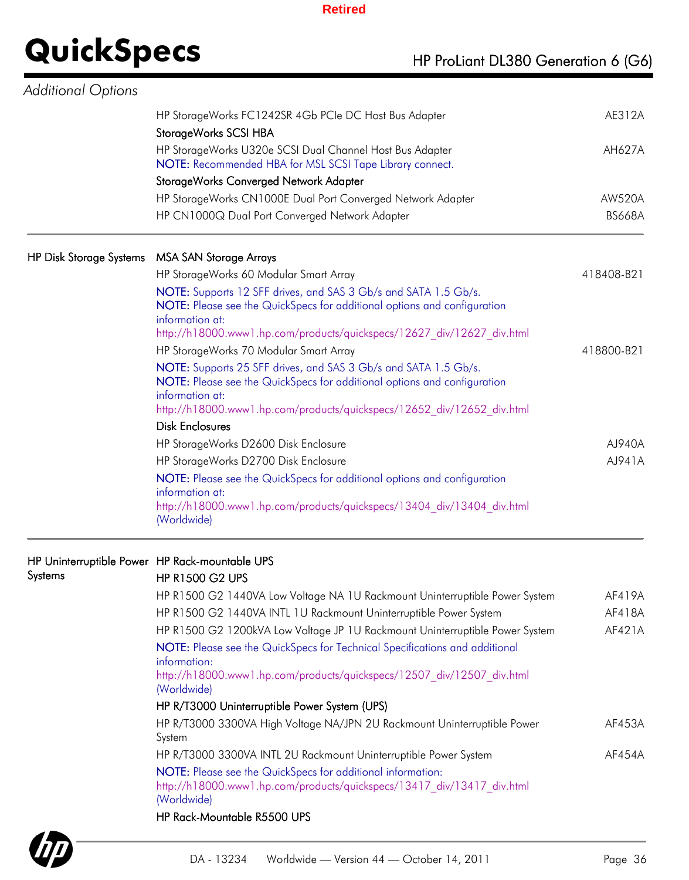| Additional Options             |                                                                                                                                                                                                                                          |               |
|--------------------------------|------------------------------------------------------------------------------------------------------------------------------------------------------------------------------------------------------------------------------------------|---------------|
|                                | HP StorageWorks FC1242SR 4Gb PCIe DC Host Bus Adapter                                                                                                                                                                                    | AE312A        |
|                                | StorageWorks SCSI HBA                                                                                                                                                                                                                    |               |
|                                | HP StorageWorks U320e SCSI Dual Channel Host Bus Adapter<br>NOTE: Recommended HBA for MSL SCSI Tape Library connect.                                                                                                                     | AH627A        |
|                                | StorageWorks Converged Network Adapter                                                                                                                                                                                                   |               |
|                                | HP StorageWorks CN1000E Dual Port Converged Network Adapter                                                                                                                                                                              | AW520A        |
|                                | HP CN1000Q Dual Port Converged Network Adapter                                                                                                                                                                                           | <b>BS668A</b> |
| <b>HP Disk Storage Systems</b> | <b>MSA SAN Storage Arrays</b>                                                                                                                                                                                                            |               |
|                                | HP StorageWorks 60 Modular Smart Array                                                                                                                                                                                                   | 418408-B21    |
|                                | NOTE: Supports 12 SFF drives, and SAS 3 Gb/s and SATA 1.5 Gb/s.<br>NOTE: Please see the QuickSpecs for additional options and configuration<br>information at:<br>http://h18000.www1.hp.com/products/quickspecs/12627_div/12627_div.html |               |
|                                | HP StorageWorks 70 Modular Smart Array                                                                                                                                                                                                   | 418800-B21    |
|                                | NOTE: Supports 25 SFF drives, and SAS 3 Gb/s and SATA 1.5 Gb/s.<br>NOTE: Please see the QuickSpecs for additional options and configuration<br>information at:<br>http://h18000.www1.hp.com/products/quickspecs/12652 div/12652 div.html |               |
|                                | <b>Disk Enclosures</b>                                                                                                                                                                                                                   |               |
|                                | HP StorageWorks D2600 Disk Enclosure                                                                                                                                                                                                     | AJ940A        |
|                                | HP StorageWorks D2700 Disk Enclosure                                                                                                                                                                                                     | AJ941A        |
|                                | NOTE: Please see the QuickSpecs for additional options and configuration<br>information at:<br>http://h18000.www1.hp.com/products/quickspecs/13404 div/13404 div.html<br>(Worldwide)                                                     |               |
|                                | HP Uninterruptible Power HP Rack-mountable UPS                                                                                                                                                                                           |               |
| Systems                        | <b>HP R1500 G2 UPS</b>                                                                                                                                                                                                                   |               |
|                                | HP R1500 G2 1440VA Low Voltage NA 1U Rackmount Uninterruptible Power System                                                                                                                                                              | AF419A        |
|                                | HP R1500 G2 1440VA INTL 1U Rackmount Uninterruptible Power System                                                                                                                                                                        | AF418A        |
|                                | HP R1500 G2 1200kVA Low Voltage JP 1U Rackmount Uninterruptible Power System                                                                                                                                                             | AF421A        |
|                                | NOTE: Please see the QuickSpecs for Technical Specifications and additional                                                                                                                                                              |               |

information: http://h18000.www1.hp.com/products/quickspecs/12507\_div/12507\_div.html (Worldwide)

### HP R/T3000 Uninterruptible Power System (UPS) HP R/T3000 3300VA High Voltage NA/JPN 2U Rackmount Uninterruptible Power System HP R/T3000 3300VA INTL 2U Rackmount Uninterruptible Power System AF454A

NOTE: Please see the QuickSpecs for additional information: http://h18000.www1.hp.com/products/quickspecs/13417\_div/13417\_div.html (Worldwide)

### HP Rack-Mountable R5500 UPS



AF453A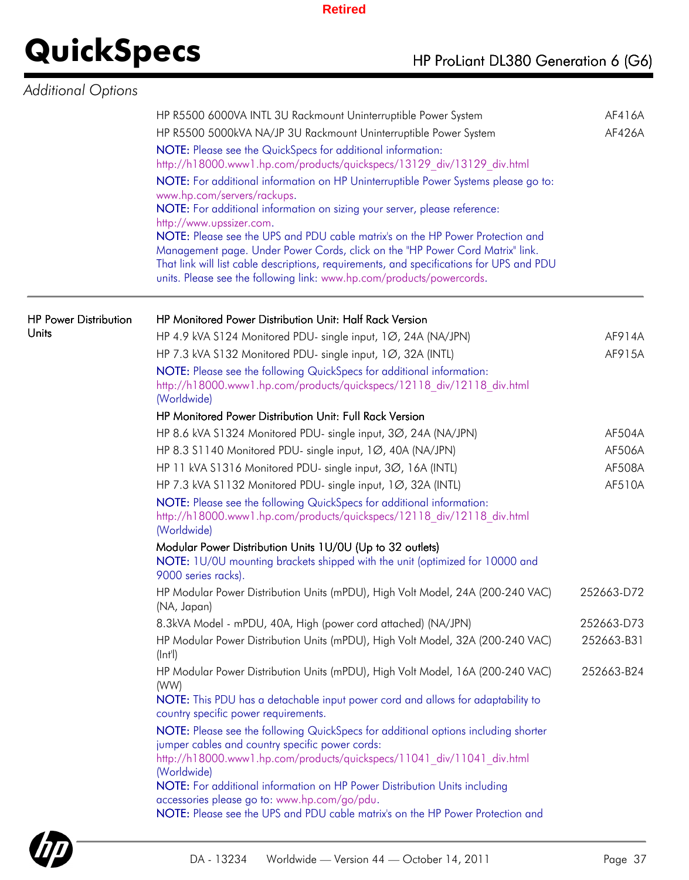| <b>Additional Options</b>    |                                                                                                                                                                                                                                                                                                                                                             |               |
|------------------------------|-------------------------------------------------------------------------------------------------------------------------------------------------------------------------------------------------------------------------------------------------------------------------------------------------------------------------------------------------------------|---------------|
|                              | HP R5500 6000VA INTL 3U Rackmount Uninterruptible Power System                                                                                                                                                                                                                                                                                              | AF416A        |
|                              | HP R5500 5000kVA NA/JP 3U Rackmount Uninterruptible Power System                                                                                                                                                                                                                                                                                            | AF426A        |
|                              | NOTE: Please see the QuickSpecs for additional information:<br>http://h18000.www1.hp.com/products/quickspecs/13129_div/13129_div.html                                                                                                                                                                                                                       |               |
|                              | NOTE: For additional information on HP Uninterruptible Power Systems please go to:<br>www.hp.com/servers/rackups.<br>NOTE: For additional information on sizing your server, please reference:<br>http://www.upssizer.com.                                                                                                                                  |               |
|                              | NOTE: Please see the UPS and PDU cable matrix's on the HP Power Protection and<br>Management page. Under Power Cords, click on the "HP Power Cord Matrix" link.<br>That link will list cable descriptions, requirements, and specifications for UPS and PDU<br>units. Please see the following link: www.hp.com/products/powercords.                        |               |
| <b>HP Power Distribution</b> | HP Monitored Power Distribution Unit: Half Rack Version                                                                                                                                                                                                                                                                                                     |               |
| Units                        | HP 4.9 kVA S124 Monitored PDU- single input, 1Ø, 24A (NA/JPN)                                                                                                                                                                                                                                                                                               | AF914A        |
|                              | HP 7.3 kVA S132 Monitored PDU- single input, 1Ø, 32A (INTL)                                                                                                                                                                                                                                                                                                 | AF915A        |
|                              | NOTE: Please see the following QuickSpecs for additional information:<br>http://h18000.www1.hp.com/products/quickspecs/12118 div/12118 div.html<br>(Worldwide)                                                                                                                                                                                              |               |
|                              | HP Monitored Power Distribution Unit: Full Rack Version                                                                                                                                                                                                                                                                                                     |               |
|                              | HP 8.6 kVA S1324 Monitored PDU- single input, 30, 24A (NA/JPN)                                                                                                                                                                                                                                                                                              | <b>AF504A</b> |
|                              | HP 8.3 S1140 Monitored PDU- single input, 1Ø, 40A (NA/JPN)                                                                                                                                                                                                                                                                                                  | AF506A        |
|                              | HP 11 kVA S1316 Monitored PDU- single input, 30, 16A (INTL)                                                                                                                                                                                                                                                                                                 | AF508A        |
|                              | HP 7.3 kVA S1132 Monitored PDU- single input, 1Ø, 32A (INTL)                                                                                                                                                                                                                                                                                                | AF510A        |
|                              | NOTE: Please see the following QuickSpecs for additional information:<br>http://h18000.www1.hp.com/products/quickspecs/12118_div/12118_div.html<br>(Worldwide)                                                                                                                                                                                              |               |
|                              | Modular Power Distribution Units 1U/0U (Up to 32 outlets)<br>NOTE: 1U/0U mounting brackets shipped with the unit (optimized for 10000 and<br>9000 series racks).                                                                                                                                                                                            |               |
|                              | HP Modular Power Distribution Units (mPDU), High Volt Model, 24A (200-240 VAC)<br>(NA, Japan)                                                                                                                                                                                                                                                               | 252663-D72    |
|                              | 8.3kVA Model - mPDU, 40A, High (power cord attached) (NA/JPN)                                                                                                                                                                                                                                                                                               | 252663-D73    |
|                              | HP Modular Power Distribution Units (mPDU), High Volt Model, 32A (200-240 VAC)<br>$(\vert n \vert)$                                                                                                                                                                                                                                                         | 252663-B31    |
|                              | HP Modular Power Distribution Units (mPDU), High Volt Model, 16A (200-240 VAC)<br>(WW)                                                                                                                                                                                                                                                                      | 252663-B24    |
|                              | NOTE: This PDU has a detachable input power cord and allows for adaptability to<br>country specific power requirements.                                                                                                                                                                                                                                     |               |
|                              | NOTE: Please see the following QuickSpecs for additional options including shorter<br>jumper cables and country specific power cords:<br>http://h18000.www1.hp.com/products/quickspecs/11041 div/11041 div.html<br>(Worldwide)<br>NOTE: For additional information on HP Power Distribution Units including<br>accessories please go to: www.hp.com/go/pdu. |               |
|                              | NOTE: Please see the UPS and PDU cable matrix's on the HP Power Protection and                                                                                                                                                                                                                                                                              |               |

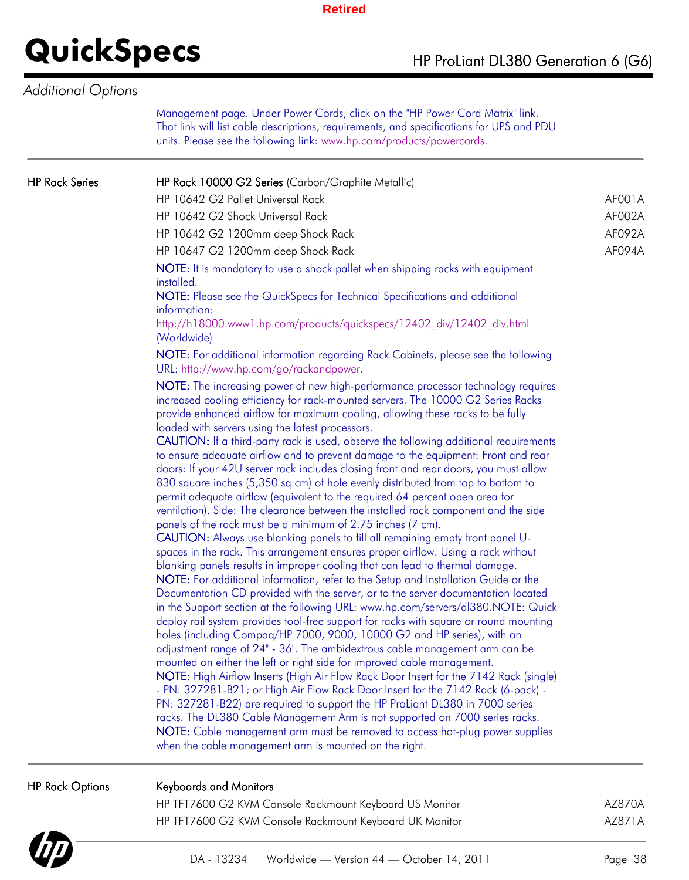### *Additional Options*

Management page. Under Power Cords, click on the "HP Power Cord Matrix" link. That link will list cable descriptions, requirements, and specifications for UPS and PDU units. Please see the following link: www.hp.com/products/powercords.

| <b>HP Rack Options</b> | <b>Keyboards and Monitors</b>                                                                                                                                                                                                                                                                                                                                                                                                                                                                                                                                                                                                                                                                                                                                                                                                                                                                                                                                                                                                     |        |
|------------------------|-----------------------------------------------------------------------------------------------------------------------------------------------------------------------------------------------------------------------------------------------------------------------------------------------------------------------------------------------------------------------------------------------------------------------------------------------------------------------------------------------------------------------------------------------------------------------------------------------------------------------------------------------------------------------------------------------------------------------------------------------------------------------------------------------------------------------------------------------------------------------------------------------------------------------------------------------------------------------------------------------------------------------------------|--------|
|                        | deploy rail system provides tool-free support for racks with square or round mounting<br>holes (including Compaq/HP 7000, 9000, 10000 G2 and HP series), with an<br>adjustment range of 24" - 36". The ambidextrous cable management arm can be<br>mounted on either the left or right side for improved cable management.<br>NOTE: High Airflow Inserts (High Air Flow Rack Door Insert for the 7142 Rack (single)<br>- PN: 327281-B21; or High Air Flow Rack Door Insert for the 7142 Rack (6-pack) -<br>PN: 327281-B22) are required to support the HP ProLiant DL380 in 7000 series<br>racks. The DL380 Cable Management Arm is not supported on 7000 series racks.<br>NOTE: Cable management arm must be removed to access hot-plug power supplies<br>when the cable management arm is mounted on the right.                                                                                                                                                                                                                 |        |
|                        | to ensure adequate airflow and to prevent damage to the equipment: Front and rear<br>doors: If your 42U server rack includes closing front and rear doors, you must allow<br>830 square inches (5,350 sq cm) of hole evenly distributed from top to bottom to<br>permit adequate airflow (equivalent to the required 64 percent open area for<br>ventilation). Side: The clearance between the installed rack component and the side<br>panels of the rack must be a minimum of 2.75 inches (7 cm).<br><b>CAUTION:</b> Always use blanking panels to fill all remaining empty front panel U-<br>spaces in the rack. This arrangement ensures proper airflow. Using a rack without<br>blanking panels results in improper cooling that can lead to thermal damage.<br>NOTE: For additional information, refer to the Setup and Installation Guide or the<br>Documentation CD provided with the server, or to the server documentation located<br>in the Support section at the following URL: www.hp.com/servers/dl380.NOTE: Quick |        |
|                        | NOTE: The increasing power of new high-performance processor technology requires<br>increased cooling efficiency for rack-mounted servers. The 10000 G2 Series Racks<br>provide enhanced airflow for maximum cooling, allowing these racks to be fully<br>loaded with servers using the latest processors.<br>CAUTION: If a third-party rack is used, observe the following additional requirements                                                                                                                                                                                                                                                                                                                                                                                                                                                                                                                                                                                                                               |        |
|                        | NOTE: For additional information regarding Rack Cabinets, please see the following<br>URL: http://www.hp.com/go/rackandpower.                                                                                                                                                                                                                                                                                                                                                                                                                                                                                                                                                                                                                                                                                                                                                                                                                                                                                                     |        |
|                        | NOTE: It is mandatory to use a shock pallet when shipping racks with equipment<br>installed.<br>NOTE: Please see the QuickSpecs for Technical Specifications and additional<br>information:<br>http://h18000.www1.hp.com/products/quickspecs/12402_div/12402_div.html<br>(Worldwide)                                                                                                                                                                                                                                                                                                                                                                                                                                                                                                                                                                                                                                                                                                                                              |        |
|                        | HP 10647 G2 1200mm deep Shock Rack                                                                                                                                                                                                                                                                                                                                                                                                                                                                                                                                                                                                                                                                                                                                                                                                                                                                                                                                                                                                | AF094A |
|                        | HP 10642 G2 1200mm deep Shock Rack                                                                                                                                                                                                                                                                                                                                                                                                                                                                                                                                                                                                                                                                                                                                                                                                                                                                                                                                                                                                | AF092A |
|                        | HP 10642 G2 Shock Universal Rack                                                                                                                                                                                                                                                                                                                                                                                                                                                                                                                                                                                                                                                                                                                                                                                                                                                                                                                                                                                                  | AF002A |
|                        | HP 10642 G2 Pallet Universal Rack                                                                                                                                                                                                                                                                                                                                                                                                                                                                                                                                                                                                                                                                                                                                                                                                                                                                                                                                                                                                 | AF001A |
| <b>HP Rack Series</b>  | HP Rack 10000 G2 Series (Carbon/Graphite Metallic)                                                                                                                                                                                                                                                                                                                                                                                                                                                                                                                                                                                                                                                                                                                                                                                                                                                                                                                                                                                |        |

HP TFT7600 G2 KVM Console Rackmount Keyboard US Monitor **AXALLA HTM AZ870A** HP TFT7600 G2 KVM Console Rackmount Keyboard UK Monitor **AUSE ALMAGE AT AZ871A** 

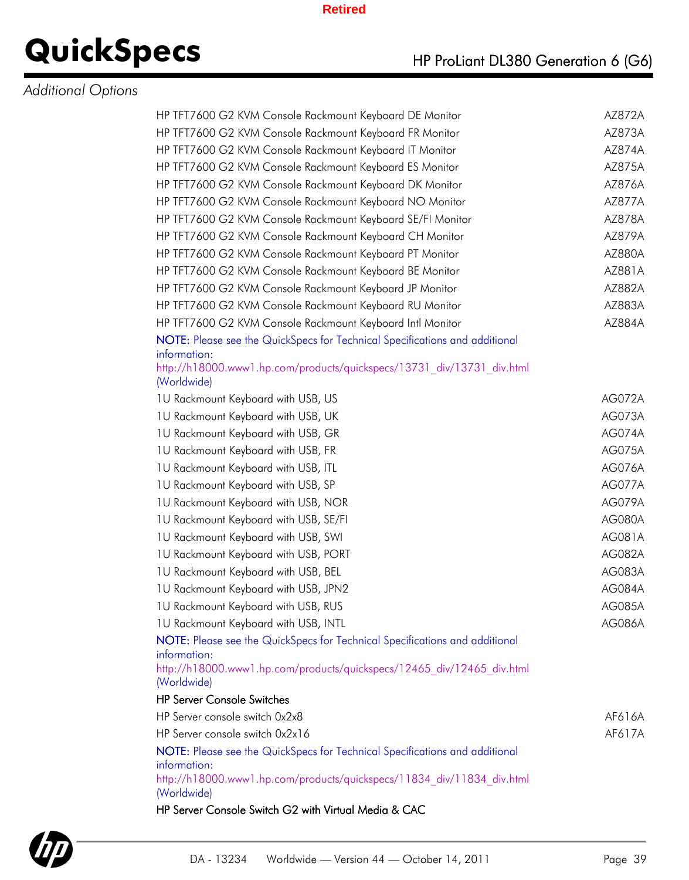### *Additional Options*

| HP TFT7600 G2 KVM Console Rackmount Keyboard DE Monitor                                               | AZ872A        |
|-------------------------------------------------------------------------------------------------------|---------------|
| HP TFT7600 G2 KVM Console Rackmount Keyboard FR Monitor                                               | AZ873A        |
| HP TFT7600 G2 KVM Console Rackmount Keyboard IT Monitor                                               | AZ874A        |
| HP TFT7600 G2 KVM Console Rackmount Keyboard ES Monitor                                               | AZ875A        |
| HP TFT7600 G2 KVM Console Rackmount Keyboard DK Monitor                                               | AZ876A        |
| HP TFT7600 G2 KVM Console Rackmount Keyboard NO Monitor                                               | <b>AZ877A</b> |
| HP TFT7600 G2 KVM Console Rackmount Keyboard SE/FI Monitor                                            | AZ878A        |
| HP TFT7600 G2 KVM Console Rackmount Keyboard CH Monitor                                               | AZ879A        |
| HP TFT7600 G2 KVM Console Rackmount Keyboard PT Monitor                                               | AZ880A        |
| HP TFT7600 G2 KVM Console Rackmount Keyboard BE Monitor                                               | AZ881A        |
| HP TFT7600 G2 KVM Console Rackmount Keyboard JP Monitor                                               | AZ882A        |
| HP TFT7600 G2 KVM Console Rackmount Keyboard RU Monitor                                               | AZ883A        |
| HP TFT7600 G2 KVM Console Rackmount Keyboard Intl Monitor                                             | AZ884A        |
| NOTE: Please see the QuickSpecs for Technical Specifications and additional                           |               |
| information:                                                                                          |               |
| http://h18000.www1.hp.com/products/quickspecs/13731_div/13731_div.html<br>(Worldwide)                 |               |
| 1U Rackmount Keyboard with USB, US                                                                    | AG072A        |
| 1U Rackmount Keyboard with USB, UK                                                                    | AG073A        |
| 1U Rackmount Keyboard with USB, GR                                                                    | AG074A        |
| 1U Rackmount Keyboard with USB, FR                                                                    | <b>AG075A</b> |
| 1U Rackmount Keyboard with USB, ITL                                                                   | AG076A        |
| 1U Rackmount Keyboard with USB, SP                                                                    | <b>AG077A</b> |
| 1U Rackmount Keyboard with USB, NOR                                                                   | AG079A        |
| 1U Rackmount Keyboard with USB, SE/FI                                                                 | <b>AG080A</b> |
| 1U Rackmount Keyboard with USB, SWI                                                                   | AG081A        |
| 1U Rackmount Keyboard with USB, PORT                                                                  | <b>AG082A</b> |
| 1U Rackmount Keyboard with USB, BEL                                                                   | <b>AG083A</b> |
| 1U Rackmount Keyboard with USB, JPN2                                                                  | AG084A        |
| 1U Rackmount Keyboard with USB, RUS                                                                   | <b>AG085A</b> |
| 1U Rackmount Keyboard with USB, INTL                                                                  | <b>AG086A</b> |
| NOTE: Please see the QuickSpecs for Technical Specifications and additional                           |               |
| information:                                                                                          |               |
| http://h18000.www1.hp.com/products/quickspecs/12465 div/12465 div.html<br>(Worldwide)                 |               |
| <b>HP Server Console Switches</b>                                                                     |               |
| HP Server console switch 0x2x8                                                                        | AF616A        |
| HP Server console switch 0x2x16                                                                       | AF617A        |
| NOTE: Please see the QuickSpecs for Technical Specifications and additional                           |               |
| information:<br>http://h18000.www1.hp.com/products/quickspecs/11834 div/11834 div.html<br>(Worldwide) |               |
|                                                                                                       |               |



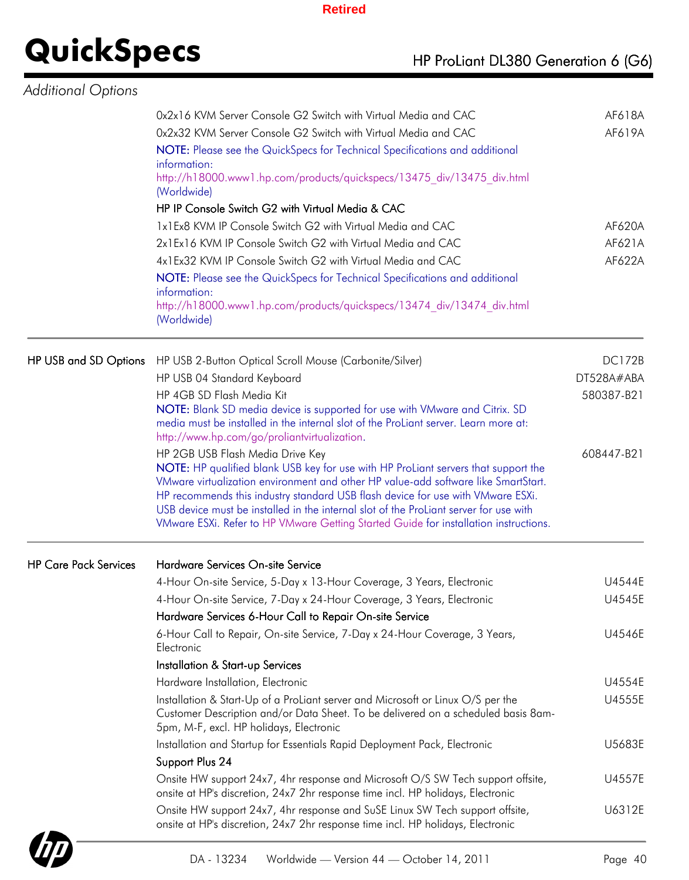| Additional Options           |                                                                                                                                                                                                                                                                                                                                                                                                                                                                                  |                  |
|------------------------------|----------------------------------------------------------------------------------------------------------------------------------------------------------------------------------------------------------------------------------------------------------------------------------------------------------------------------------------------------------------------------------------------------------------------------------------------------------------------------------|------------------|
|                              | 0x2x16 KVM Server Console G2 Switch with Virtual Media and CAC<br>0x2x32 KVM Server Console G2 Switch with Virtual Media and CAC<br>NOTE: Please see the QuickSpecs for Technical Specifications and additional<br>information:<br>http://h18000.www1.hp.com/products/quickspecs/13475 div/13475 div.html<br>(Worldwide)                                                                                                                                                         | AF618A<br>AF619A |
|                              | HP IP Console Switch G2 with Virtual Media & CAC                                                                                                                                                                                                                                                                                                                                                                                                                                 |                  |
|                              | 1x1Ex8 KVM IP Console Switch G2 with Virtual Media and CAC<br>2x1Ex16 KVM IP Console Switch G2 with Virtual Media and CAC                                                                                                                                                                                                                                                                                                                                                        | AF620A<br>AF621A |
|                              | 4x1Ex32 KVM IP Console Switch G2 with Virtual Media and CAC                                                                                                                                                                                                                                                                                                                                                                                                                      | AF622A           |
|                              | NOTE: Please see the QuickSpecs for Technical Specifications and additional<br>information:<br>http://h18000.www1.hp.com/products/quickspecs/13474 div/13474 div.html<br>(Worldwide)                                                                                                                                                                                                                                                                                             |                  |
| HP USB and SD Options        | HP USB 2-Button Optical Scroll Mouse (Carbonite/Silver)                                                                                                                                                                                                                                                                                                                                                                                                                          | <b>DC172B</b>    |
|                              | HP USB 04 Standard Keyboard                                                                                                                                                                                                                                                                                                                                                                                                                                                      | DT528A#ABA       |
|                              | HP 4GB SD Flash Media Kit                                                                                                                                                                                                                                                                                                                                                                                                                                                        | 580387-B21       |
|                              | NOTE: Blank SD media device is supported for use with VMware and Citrix. SD<br>media must be installed in the internal slot of the ProLiant server. Learn more at:<br>http://www.hp.com/go/proliantvirtualization.                                                                                                                                                                                                                                                               |                  |
|                              | HP 2GB USB Flash Media Drive Key<br>NOTE: HP qualified blank USB key for use with HP ProLiant servers that support the<br>VMware virtualization environment and other HP value-add software like SmartStart.<br>HP recommends this industry standard USB flash device for use with VMware ESXi.<br>USB device must be installed in the internal slot of the ProLiant server for use with<br>VMware ESXi. Refer to HP VMware Getting Started Guide for installation instructions. | 608447-B21       |
| <b>HP Care Pack Services</b> | Hardware Services On-site Service                                                                                                                                                                                                                                                                                                                                                                                                                                                |                  |
|                              | 4-Hour On-site Service, 5-Day x 13-Hour Coverage, 3 Years, Electronic                                                                                                                                                                                                                                                                                                                                                                                                            | U4544E           |
|                              | 4-Hour On-site Service, 7-Day x 24-Hour Coverage, 3 Years, Electronic                                                                                                                                                                                                                                                                                                                                                                                                            | U4545E           |
|                              | Hardware Services 6-Hour Call to Repair On-site Service                                                                                                                                                                                                                                                                                                                                                                                                                          |                  |
|                              | 6-Hour Call to Repair, On-site Service, 7-Day x 24-Hour Coverage, 3 Years,<br>Electronic                                                                                                                                                                                                                                                                                                                                                                                         | U4546E           |
|                              | Installation & Start-up Services                                                                                                                                                                                                                                                                                                                                                                                                                                                 |                  |
|                              | Hardware Installation, Electronic                                                                                                                                                                                                                                                                                                                                                                                                                                                | U4554E           |
|                              | Installation & Start-Up of a ProLiant server and Microsoft or Linux O/S per the<br>Customer Description and/or Data Sheet. To be delivered on a scheduled basis 8am-<br>5pm, M-F, excl. HP holidays, Electronic                                                                                                                                                                                                                                                                  | U4555E           |
|                              | Installation and Startup for Essentials Rapid Deployment Pack, Electronic                                                                                                                                                                                                                                                                                                                                                                                                        | U5683E           |
|                              | Support Plus 24                                                                                                                                                                                                                                                                                                                                                                                                                                                                  |                  |
|                              | Onsite HW support 24x7, 4hr response and Microsoft O/S SW Tech support offsite,<br>onsite at HP's discretion, 24x7 2hr response time incl. HP holidays, Electronic                                                                                                                                                                                                                                                                                                               | U4557E           |
|                              | Onsite HW support 24x7, 4hr response and SuSE Linux SW Tech support offsite,<br>onsite at HP's discretion, 24x7 2hr response time incl. HP holidays, Electronic                                                                                                                                                                                                                                                                                                                  | U6312E           |

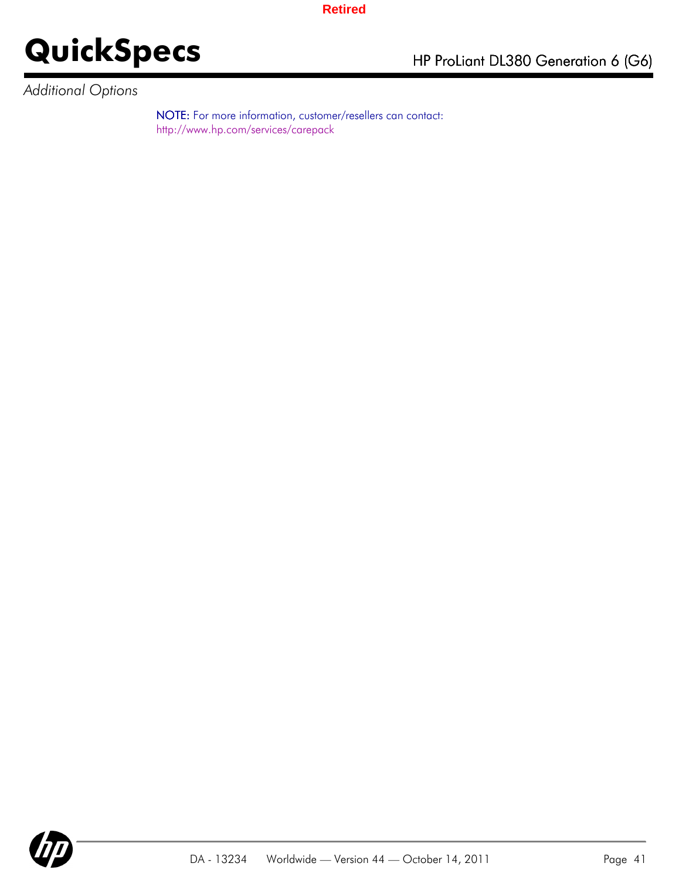## **QuickSpecs** HP ProLiant DL380 Generation 6 (G6)

*Additional Options*

NOTE: For more information, customer/resellers can contact: http://www.hp.com/services/carepack

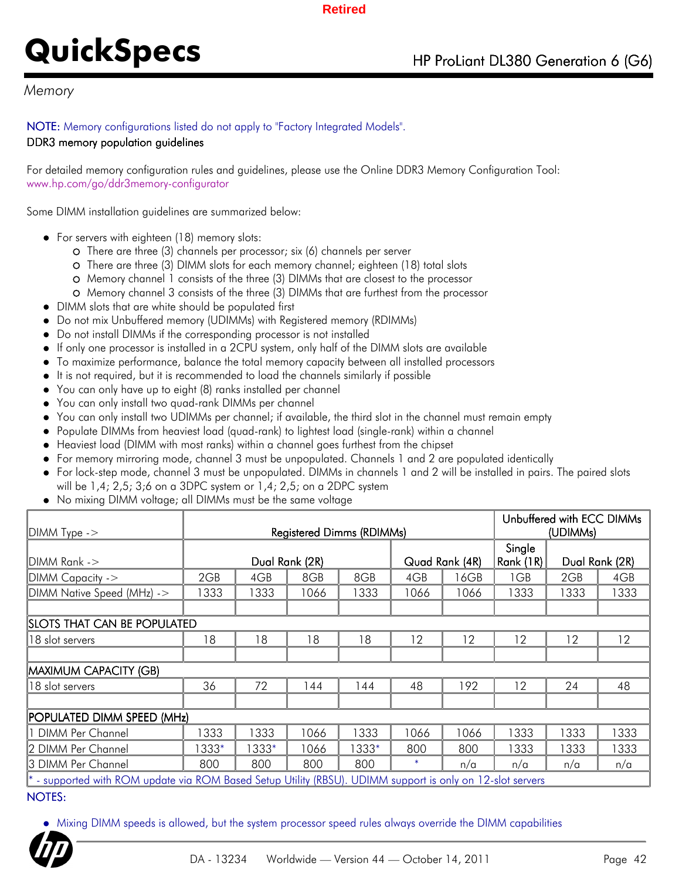### *Memory*

### NOTE: Memory configurations listed do not apply to "Factory Integrated Models".

#### DDR3 memory population guidelines

For detailed memory configuration rules and guidelines, please use the Online DDR3 Memory Configuration Tool: www.hp.com/go/ddr3memory-configurator

Some DIMM installation guidelines are summarized below:

- For servers with eighteen (18) memory slots:
	- There are three (3) channels per processor; six (6) channels per server
	- There are three (3) DIMM slots for each memory channel; eighteen (18) total slots
	- Memory channel 1 consists of the three (3) DIMMs that are closest to the processor
	- Memory channel 3 consists of the three (3) DIMMs that are furthest from the processor
- DIMM slots that are white should be populated first
- Do not mix Unbuffered memory (UDIMMs) with Registered memory (RDIMMs)
- Do not install DIMMs if the corresponding processor is not installed
- If only one processor is installed in a 2CPU system, only half of the DIMM slots are available
- To maximize performance, balance the total memory capacity between all installed processors
- It is not required, but it is recommended to load the channels similarly if possible
- You can only have up to eight (8) ranks installed per channel
- You can only install two quad-rank DIMMs per channel
- You can only install two UDIMMs per channel; if available, the third slot in the channel must remain empty
- Populate DIMMs from heaviest load (quad-rank) to lightest load (single-rank) within a channel
- Heaviest load (DIMM with most ranks) within a channel goes furthest from the chipset
- For memory mirroring mode, channel 3 must be unpopulated. Channels 1 and 2 are populated identically
- For lock-step mode, channel 3 must be unpopulated. DIMMs in channels 1 and 2 will be installed in pairs. The paired slots will be 1,4; 2,5; 3;6 on a 3DPC system or 1,4; 2,5; on a 2DPC system
- No mixing DIMM voltage; all DIMMs must be the same voltage

|                                    |                                                                                                            |       |                |       |      | Unbuffered with ECC DIMMs |           |      |                |
|------------------------------------|------------------------------------------------------------------------------------------------------------|-------|----------------|-------|------|---------------------------|-----------|------|----------------|
| $ D MM$ Type $\rightarrow$         | <b>Registered Dimms (RDIMMs)</b>                                                                           |       |                |       |      |                           | (UDIMMs)  |      |                |
|                                    |                                                                                                            |       |                |       |      |                           | Single    |      |                |
| $IDIMM Rank ->$                    |                                                                                                            |       | Dual Rank (2R) |       |      | Quad Rank (4R)            | Rank (1R) |      | Dual Rank (2R) |
| $\mathsf{DMM}$ Capacity ->         | 2GB                                                                                                        | 4GB   | 8GB            | 8GB   | 4GB  | 16GB                      | 1GB       | 2GB  | 4GB            |
| DIMM Native Speed (MHz) ->         | 1333                                                                                                       | 1333  | 1066           | 1333  | 1066 | 1066                      | 1333      | 1333 | 1333           |
|                                    |                                                                                                            |       |                |       |      |                           |           |      |                |
| <b>SLOTS THAT CAN BE POPULATED</b> |                                                                                                            |       |                |       |      |                           |           |      |                |
| 118 slot servers                   | 18                                                                                                         | 18    | 18             | 18    | 12   | 12                        | 12        | 12   | 12             |
|                                    |                                                                                                            |       |                |       |      |                           |           |      |                |
| MAXIMUM CAPACITY (GB)              |                                                                                                            |       |                |       |      |                           |           |      |                |
| 18 slot servers                    | 36                                                                                                         | 72    | 144            | 144   | 48   | 192                       | 12        | 24   | 48             |
|                                    |                                                                                                            |       |                |       |      |                           |           |      |                |
| POPULATED DIMM SPEED (MHz)         |                                                                                                            |       |                |       |      |                           |           |      |                |
| 1 DIMM Per Channel                 | 1333                                                                                                       | 1333  | 1066           | 1333  | 1066 | 1066                      | 1333      | 1333 | 1333           |
| 2 DIMM Per Channel                 | 1333*                                                                                                      | 1333* | 1066           | 1333* | 800  | 800                       | 1333      | 1333 | 1333           |
| 13 DIMM Per Channel                | 800                                                                                                        | 800   | 800            | 800   | *    | n/a                       | n/a       | n/a  | n/a            |
|                                    | * - supported with ROM update via ROM Based Setup Utility (RBSU). UDIMM support is only on 12-slot servers |       |                |       |      |                           |           |      |                |

### NOTES:

Mixing DIMM speeds is allowed, but the system processor speed rules always override the DIMM capabilities

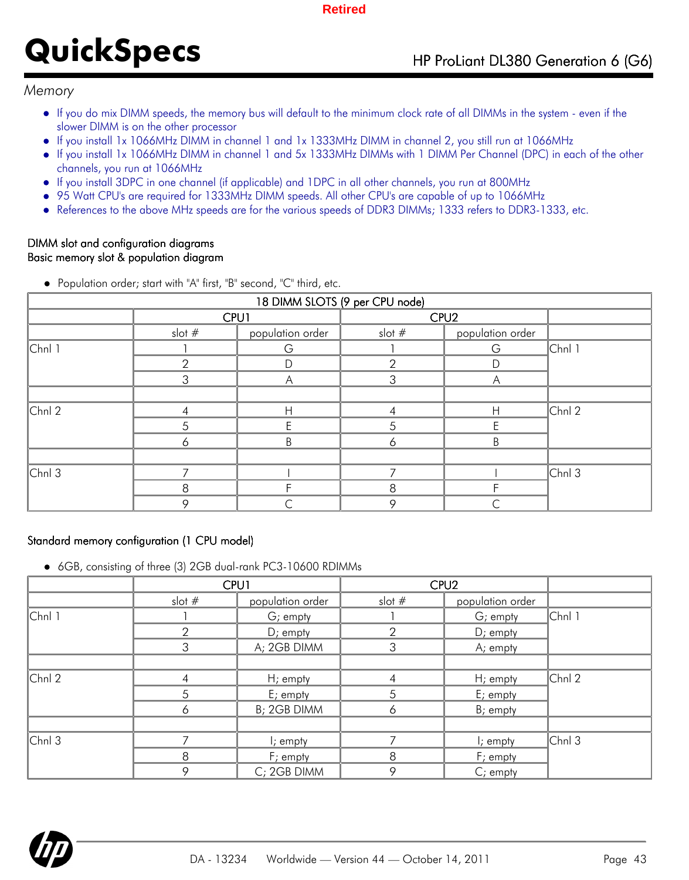### *Memory*

- If you do mix DIMM speeds, the memory bus will default to the minimum clock rate of all DIMMs in the system even if the slower DIMM is on the other processor
- If you install 1x 1066MHz DIMM in channel 1 and 1x 1333MHz DIMM in channel 2, you still run at 1066MHz
- If you install 1x 1066MHz DIMM in channel 1 and 5x 1333MHz DIMMs with 1 DIMM Per Channel (DPC) in each of the other  $\bullet$ channels, you run at 1066MHz
- If you install 3DPC in one channel (if applicable) and 1DPC in all other channels, you run at 800MHz
- 95 Watt CPU's are required for 1333MHz DIMM speeds. All other CPU's are capable of up to 1066MHz  $\bullet$
- References to the above MHz speeds are for the various speeds of DDR3 DIMMs; 1333 refers to DDR3-1333, etc.  $\bullet$

#### DIMM slot and configuration diagrams Basic memory slot & population diagram

| 18 DIMM SLOTS (9 per CPU node) |          |                  |          |                  |           |  |  |  |
|--------------------------------|----------|------------------|----------|------------------|-----------|--|--|--|
|                                | CPU1     |                  |          |                  |           |  |  |  |
|                                | slot $#$ | population order | slot $#$ | population order |           |  |  |  |
| $ Chn $ 1                      |          | G                |          | G                | $ Chn $ 1 |  |  |  |
|                                | 2        |                  | հ        | D                |           |  |  |  |
|                                | 3        | Α                | 3        | Α                |           |  |  |  |
|                                |          |                  |          |                  |           |  |  |  |
| $ Chn $ 2                      | 4        | H                |          | H                | $ Chn $ 2 |  |  |  |
|                                | 5        |                  | 5        |                  |           |  |  |  |
|                                | 6        | B                | 6        | B                |           |  |  |  |
|                                |          |                  |          |                  |           |  |  |  |
| $ Chn $ 3                      |          |                  |          |                  | $ Chn $ 3 |  |  |  |
|                                | 8        |                  | 8        |                  |           |  |  |  |
|                                | O        |                  | 9        |                  |           |  |  |  |

Population order; start with "A" first, "B" second, "C" third, etc.

### Standard memory configuration (1 CPU model)

6GB, consisting of three (3) 2GB dual-rank PC3-10600 RDIMMs

|           | CPU1     |                      |               | CPU <sub>2</sub> |           |  |
|-----------|----------|----------------------|---------------|------------------|-----------|--|
|           | slot $#$ | population order     | slot $#$      | population order |           |  |
| $ Chn $ 1 |          | G; empty             |               | G; empty         | $ Chn $ 1 |  |
|           | 2        | $D$ ; empty          | $\mathcal{P}$ | $D$ ; empty      |           |  |
|           | 3        | A; 2GB DIMM          | 3             | A; empty         |           |  |
|           |          |                      |               |                  |           |  |
| $ Chn $ 2 | 4        | H; empty             | 4             | H; empty         | $ Chn $ 2 |  |
|           | 5        | E; empty             | 5             | E; empty         |           |  |
|           | 6        | B; 2GB DIMM          | 6             | B; empty         |           |  |
|           |          |                      |               |                  |           |  |
| $ Chn $ 3 |          | $\mathsf{l}$ ; empty |               | $i$ ; empty      | $ Chn $ 3 |  |
|           | 8        | F; empty             | 8             | F; empty         |           |  |
|           | 9        | C; 2GB DIMM          | 9             | C; empty         |           |  |

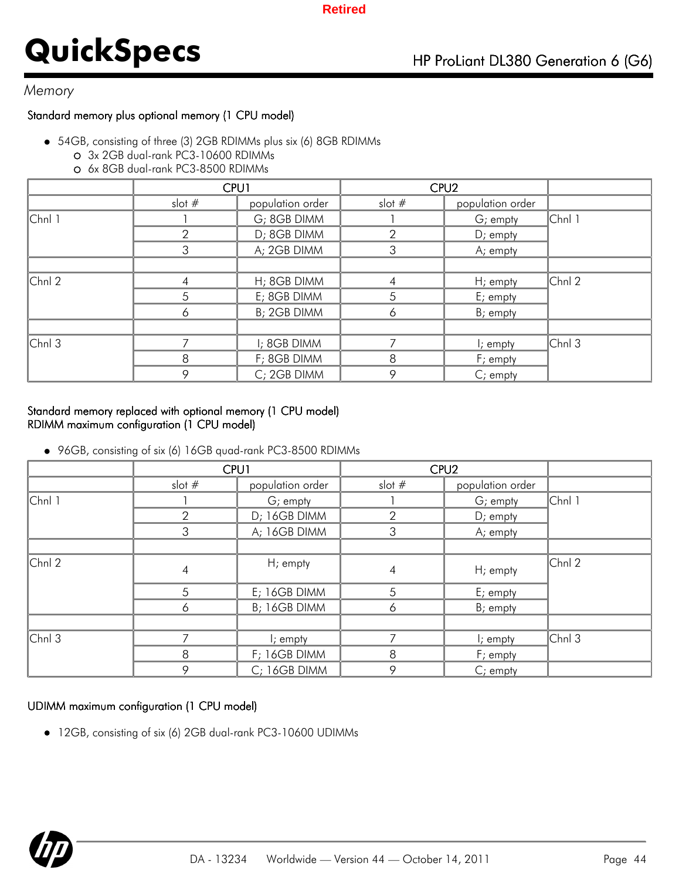### *Memory*

### Standard memory plus optional memory (1 CPU model)

- 54GB, consisting of three (3) 2GB RDIMMs plus six (6) 8GB RDIMMs
	- 3x 2GB dual-rank PC3-10600 RDIMMs
	- 6x 8GB dual-rank PC3-8500 RDIMMs

|           | CPU1     |                  | CPU <sub>2</sub> |                  |           |
|-----------|----------|------------------|------------------|------------------|-----------|
|           | slot $#$ | population order | slot $#$         | population order |           |
| $ Chn $ 1 |          | G; 8GB DIMM      |                  | G; empty         | $ Chn $ 1 |
|           | 2        | D; 8GB DIMM      | $\mathcal{P}$    | $D$ ; empty      |           |
|           | 3        | A; 2GB DIMM      | 3                | A; empty         |           |
|           |          |                  |                  |                  |           |
| $ Chn $ 2 |          | H; 8GB DIMM      | 4                | $H$ ; empty      | $ Chn $ 2 |
|           | 5        | E; 8GB DIMM      | 5                | E; empty         |           |
|           | 6        | B; 2GB DIMM      | 6                | B; empty         |           |
|           |          |                  |                  |                  |           |
| $ Chn $ 3 |          | I; 8GB DIMM      |                  | $i$ ; empty      | $ Chn $ 3 |
|           | 8        | F; 8GB DIMM      | 8                | F; empty         |           |
|           | 9        | C; 2GB DIMM      | 9                | $C$ ; empty      |           |

### Standard memory replaced with optional memory (1 CPU model) RDIMM maximum configuration (1 CPU model)

96GB, consisting of six (6) 16GB quad-rank PC3-8500 RDIMMs

|           |               | <b>CPU1</b>          | CPU <sub>2</sub> |                  |           |
|-----------|---------------|----------------------|------------------|------------------|-----------|
|           | slot $#$      | population order     | slot $#$         | population order |           |
| $ Chn $ 1 |               | G; empty             |                  | G; empty         | $ Chn $ 1 |
|           | $\mathcal{P}$ | D; 16GB DIMM         | $\overline{2}$   | D; empty         |           |
|           | 3             | A; 16GB DIMM         | 3                | A; empty         |           |
|           |               |                      |                  |                  |           |
| $ Chn $ 2 | 4             | H; empty             | 4                | H; empty         | $ Chn $ 2 |
|           | 5             | E; 16GB DIMM         | 5                | E; empty         |           |
|           | 6             | B; 16GB DIMM         | 6                | $B$ ; empty      |           |
|           |               |                      |                  |                  |           |
| $ Chn $ 3 |               | $\mathsf{l}$ ; empty |                  | I; empty         | $ Chn $ 3 |
|           | 8             | F; 16GB DIMM         | 8                | F; empty         |           |
|           | 9             | C; 16GB DIMM         | 9                | $C$ ; empty      |           |

### UDIMM maximum configuration (1 CPU model)

12GB, consisting of six (6) 2GB dual-rank PC3-10600 UDIMMs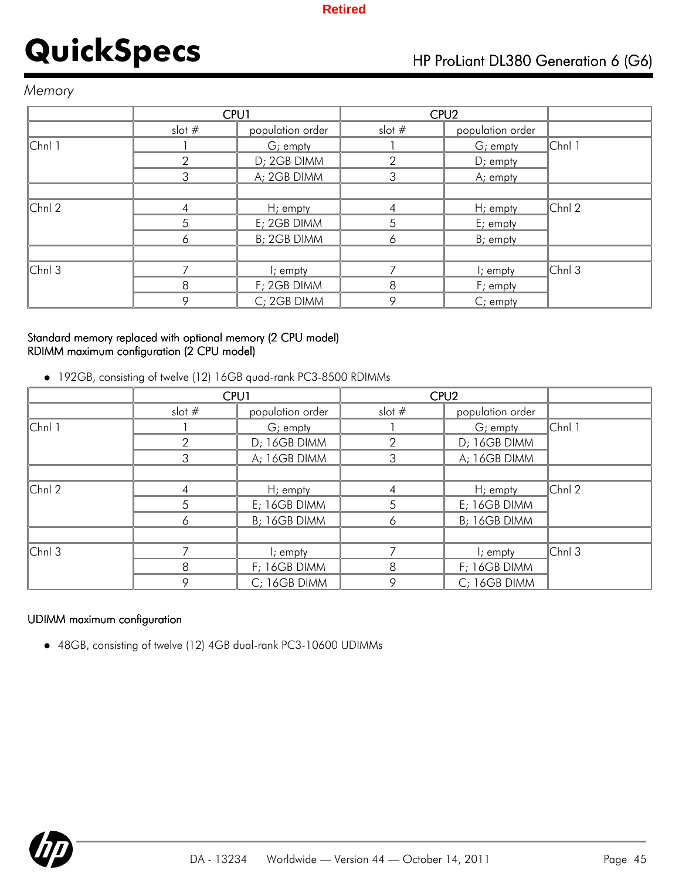### *Memory*

|           | CPU1     |                  | CPU <sub>2</sub> |                  |           |
|-----------|----------|------------------|------------------|------------------|-----------|
|           | slot $#$ | population order | slot $#$         | population order |           |
| $ Chn $ 1 |          | G; empty         |                  | G; empty         | $ Chn $ 1 |
|           | っ        | D; 2GB DIMM      | っ                | $D$ ; empty      |           |
|           | 3        | A; 2GB DIMM      | 3                | A; empty         |           |
|           |          |                  |                  |                  |           |
| $ Chn $ 2 |          | $Hi$ empty       |                  | $H$ ; empty      | $ Chn $ 2 |
|           | 5        | E; 2GB DIMM      | 5                | E; empty         |           |
|           | 6        | B; 2GB DIMM      | 6                | B; empty         |           |
|           |          |                  |                  |                  |           |
| $ Chn $ 3 |          | $\vdash$ ; empty |                  | $i$ ; empty      | $ Chn $ 3 |
|           | 8        | F; 2GB DIMM      | 8                | F; empty         |           |
|           | 9        | C; 2GB DIMM      | 9                | C; empty         |           |

### Standard memory replaced with optional memory (2 CPU model) RDIMM maximum configuration (2 CPU model)

192GB, consisting of twelve (12) 16GB quad-rank PC3-8500 RDIMMs

|           | CPU1          |                  | CPU <sub>2</sub> |                      |           |
|-----------|---------------|------------------|------------------|----------------------|-----------|
|           | slot $#$      | population order | slot $#$         | population order     |           |
| $ Chn $ 1 |               | G; empty         |                  | $G$ ; empty          | $ Chn $ 1 |
|           | $\mathcal{P}$ | D; 16GB DIMM     | 2                | D; 16GB DIMM         |           |
|           | 3             | A; 16GB DIMM     | 3                | A; 16GB DIMM         |           |
|           |               |                  |                  |                      |           |
| $ Chn $ 2 |               | $H$ ; empty      |                  | $H$ ; empty          | $ Chn $ 2 |
|           | 5             | E; 16GB DIMM     | 5                | E; 16GB DIMM         |           |
|           | 6             | B; 16GB DIMM     | 6                | B; 16GB DIMM         |           |
|           |               |                  |                  |                      |           |
| $ Chn $ 3 |               | I; empty         |                  | $\mathsf{l}$ ; empty | $ Chn $ 3 |
|           | 8             | F; 16GB DIMM     | 8                | F; 16GB DIMM         |           |
|           | 9             | C; 16GB DIMM     | 9                | C; 16GB DIMM         |           |

### UDIMM maximum configuration

48GB, consisting of twelve (12) 4GB dual-rank PC3-10600 UDIMMs

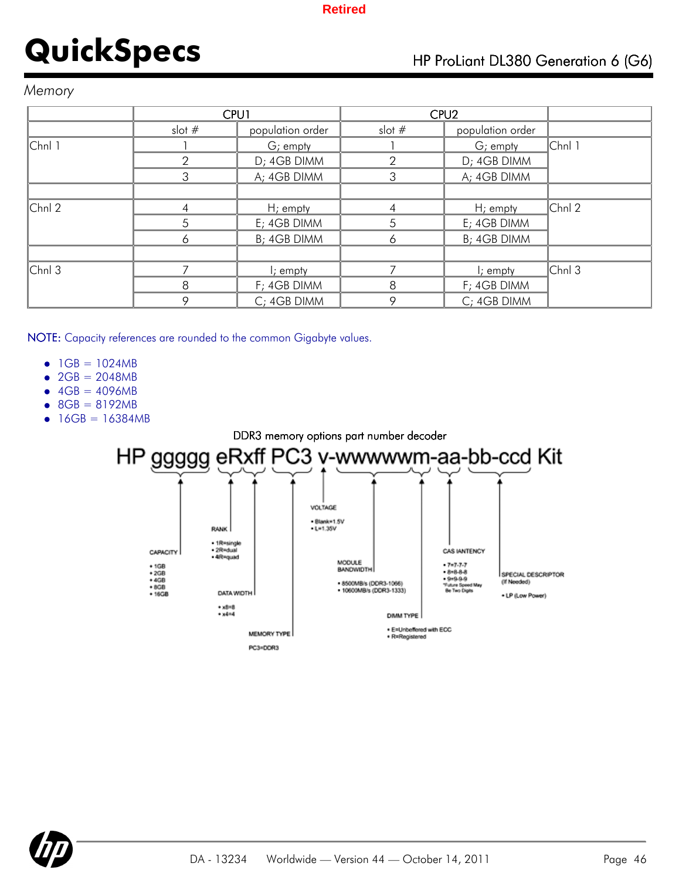### *Memory*

|           | CPU1     |                  | CPU <sub>2</sub> |                      |           |
|-----------|----------|------------------|------------------|----------------------|-----------|
|           | slot $#$ | population order | slot $#$         | population order     |           |
| $ Chn $ 1 |          | G; empty         |                  | G; empty             | Chnl 1    |
|           | 2        | D; 4GB DIMM      | っ                | D; 4GB DIMM          |           |
|           | 3        | A; 4GB DIMM      | 3                | A; 4GB DIMM          |           |
|           |          |                  |                  |                      |           |
| $ Chn $ 2 | ⊿        | $H$ ; empty      |                  | $H$ ; empty          | $ Chn $ 2 |
|           | 5        | E; 4GB DIMM      | 5                | E; 4GB DIMM          |           |
|           | 6        | B; 4GB DIMM      | 6                | B; 4GB DIMM          |           |
|           |          |                  |                  |                      |           |
| $ Chn $ 3 |          | $\vdash$ ; empty |                  | $\mathsf{I}$ ; empty | $ Chn $ 3 |
|           | 8        | F; 4GB DIMM      | 8                | F; 4GB DIMM          |           |
|           | 9        | C; 4GB DIMM      | 9                | C; 4GB DIMM          |           |

NOTE: Capacity references are rounded to the common Gigabyte values.

- $1GB = 1024MB$  $\bullet$
- $2GB = 2048MB$
- $4GB = 4096MB$  $\bullet$
- 8GB = 8192MB
- 16GB = 16384MB



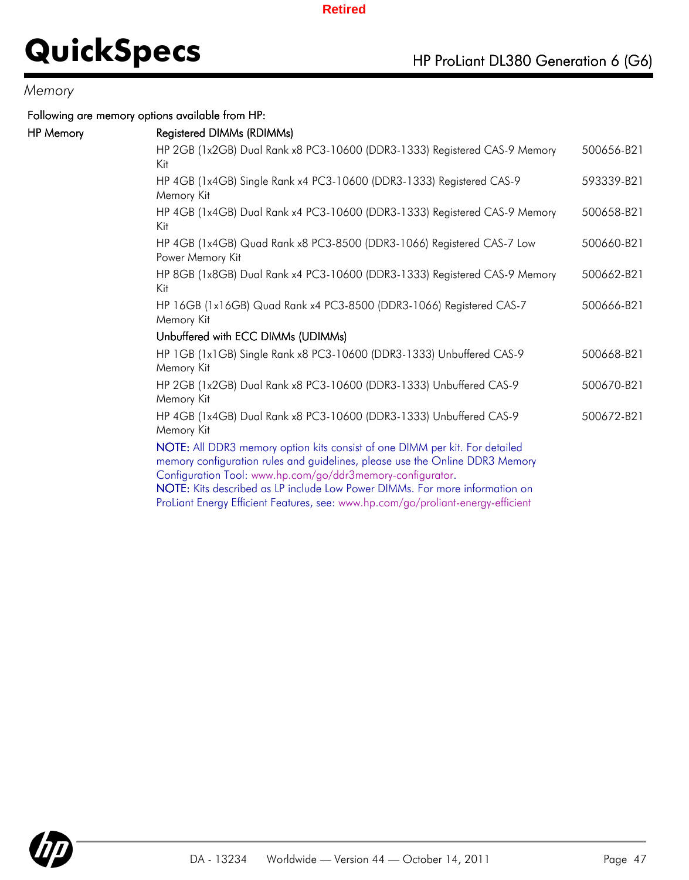### *Memory*

HP Memory

Following are memory options available from HP:

|                                    | 500656-B21                                                                                                                                                                                                                                                                                                                                                                                                                                                                                                                                                                                                                                                                                                                                                                                                                                                                                                                                                                                                                                                                      |
|------------------------------------|---------------------------------------------------------------------------------------------------------------------------------------------------------------------------------------------------------------------------------------------------------------------------------------------------------------------------------------------------------------------------------------------------------------------------------------------------------------------------------------------------------------------------------------------------------------------------------------------------------------------------------------------------------------------------------------------------------------------------------------------------------------------------------------------------------------------------------------------------------------------------------------------------------------------------------------------------------------------------------------------------------------------------------------------------------------------------------|
|                                    | 593339-B21                                                                                                                                                                                                                                                                                                                                                                                                                                                                                                                                                                                                                                                                                                                                                                                                                                                                                                                                                                                                                                                                      |
|                                    | 500658-B21                                                                                                                                                                                                                                                                                                                                                                                                                                                                                                                                                                                                                                                                                                                                                                                                                                                                                                                                                                                                                                                                      |
|                                    | 500660-B21                                                                                                                                                                                                                                                                                                                                                                                                                                                                                                                                                                                                                                                                                                                                                                                                                                                                                                                                                                                                                                                                      |
|                                    | 500662-B21                                                                                                                                                                                                                                                                                                                                                                                                                                                                                                                                                                                                                                                                                                                                                                                                                                                                                                                                                                                                                                                                      |
|                                    | 500666-B21                                                                                                                                                                                                                                                                                                                                                                                                                                                                                                                                                                                                                                                                                                                                                                                                                                                                                                                                                                                                                                                                      |
|                                    |                                                                                                                                                                                                                                                                                                                                                                                                                                                                                                                                                                                                                                                                                                                                                                                                                                                                                                                                                                                                                                                                                 |
|                                    | 500668-B21                                                                                                                                                                                                                                                                                                                                                                                                                                                                                                                                                                                                                                                                                                                                                                                                                                                                                                                                                                                                                                                                      |
|                                    | 500670-B21                                                                                                                                                                                                                                                                                                                                                                                                                                                                                                                                                                                                                                                                                                                                                                                                                                                                                                                                                                                                                                                                      |
|                                    | 500672-B21                                                                                                                                                                                                                                                                                                                                                                                                                                                                                                                                                                                                                                                                                                                                                                                                                                                                                                                                                                                                                                                                      |
|                                    |                                                                                                                                                                                                                                                                                                                                                                                                                                                                                                                                                                                                                                                                                                                                                                                                                                                                                                                                                                                                                                                                                 |
| Unbuffered with ECC DIMMs (UDIMMs) | HP 2GB (1x2GB) Dual Rank x8 PC3-10600 (DDR3-1333) Registered CAS-9 Memory<br>HP 4GB (1x4GB) Single Rank x4 PC3-10600 (DDR3-1333) Registered CAS-9<br>HP 4GB (1x4GB) Dual Rank x4 PC3-10600 (DDR3-1333) Registered CAS-9 Memory<br>HP 4GB (1x4GB) Quad Rank x8 PC3-8500 (DDR3-1066) Registered CAS-7 Low<br>HP 8GB (1x8GB) Dual Rank x4 PC3-10600 (DDR3-1333) Registered CAS-9 Memory<br>HP 16GB (1x16GB) Quad Rank x4 PC3-8500 (DDR3-1066) Registered CAS-7<br>HP 1GB (1x1GB) Single Rank x8 PC3-10600 (DDR3-1333) Unbuffered CAS-9<br>HP 2GB (1x2GB) Dual Rank x8 PC3-10600 (DDR3-1333) Unbuffered CAS-9<br>HP 4GB (1x4GB) Dual Rank x8 PC3-10600 (DDR3-1333) Unbuffered CAS-9<br>NOTE: All DDR3 memory option kits consist of one DIMM per kit. For detailed<br>memory configuration rules and guidelines, please use the Online DDR3 Memory<br>Configuration Tool: www.hp.com/go/ddr3memory-configurator.<br>NOTE: Kits described as LP include Low Power DIMMs. For more information on<br>ProLiant Energy Efficient Features, see: www.hp.com/go/proliant-energy-efficient |

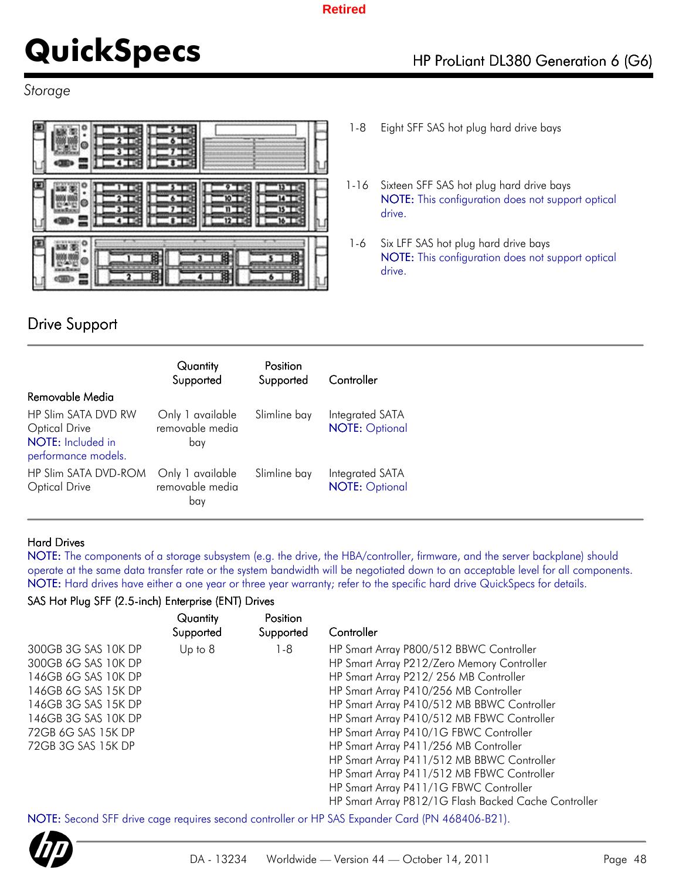# **QuickSpecs** HP ProLiant DL380 Generation 6 (G6)

### *Storage*



## Drive Support

- 1-8 Eight SFF SAS hot plug hard drive bays
- 1-16 Sixteen SFF SAS hot plug hard drive bays NOTE: This configuration does not support optical drive.
- 1-6 Six LFF SAS hot plug hard drive bays NOTE: This configuration does not support optical drive.

|                                                                                                | Quantity<br>Supported                      | Position<br>Supported | Controller                               |
|------------------------------------------------------------------------------------------------|--------------------------------------------|-----------------------|------------------------------------------|
| Removable Media                                                                                |                                            |                       |                                          |
| <b>HP Slim SATA DVD RW</b><br><b>Optical Drive</b><br>NOTE: Included in<br>performance models. | Only 1 available<br>removable media<br>bay | Slimline bay          | Integrated SATA<br><b>NOTE: Optional</b> |
| HP Slim SATA DVD-ROM<br><b>Optical Drive</b>                                                   | Only 1 available<br>removable media<br>bay | Slimline bay          | Integrated SATA<br><b>NOTE: Optional</b> |

### Hard Drives

NOTE: The components of a storage subsystem (e.g. the drive, the HBA/controller, firmware, and the server backplane) should operate at the same data transfer rate or the system bandwidth will be negotiated down to an acceptable level for all components. NOTE: Hard drives have either a one year or three year warranty; refer to the specific hard drive QuickSpecs for details.

### SAS Hot Plug SFF (2.5-inch) Enterprise (ENT) Drives

|                                            | Quantity<br>Supported | Position<br>Supported | Controller                                                                                     |
|--------------------------------------------|-----------------------|-----------------------|------------------------------------------------------------------------------------------------|
| 300GB 3G SAS 10K DP<br>300GB 6G SAS 10K DP | Up to 8               | 1-8                   | HP Smart Array P800/512 BBWC Controller<br>HP Smart Array P212/Zero Memory Controller          |
| 146GB 6G SAS 10K DP                        |                       |                       | HP Smart Array P212/256 MB Controller                                                          |
| 146GB 6G SAS 15K DP                        |                       |                       | HP Smart Array P410/256 MB Controller                                                          |
| 146GB 3G SAS 15K DP<br>146GB 3G SAS 10K DP |                       |                       | HP Smart Array P410/512 MB BBWC Controller<br>HP Smart Array P410/512 MB FBWC Controller       |
| 72GB 6G SAS 15K DP                         |                       |                       | HP Smart Array P410/1G FBWC Controller                                                         |
| 72GB 3G SAS 15K DP                         |                       |                       | HP Smart Array P411/256 MB Controller                                                          |
|                                            |                       |                       | HP Smart Array P411/512 MB BBWC Controller                                                     |
|                                            |                       |                       | HP Smart Array P411/512 MB FBWC Controller                                                     |
|                                            |                       |                       | HP Smart Array P411/1G FBWC Controller<br>HP Smart Array P812/1G Flash Backed Cache Controller |

NOTE: Second SFF drive cage requires second controller or HP SAS Expander Card (PN 468406-B21).

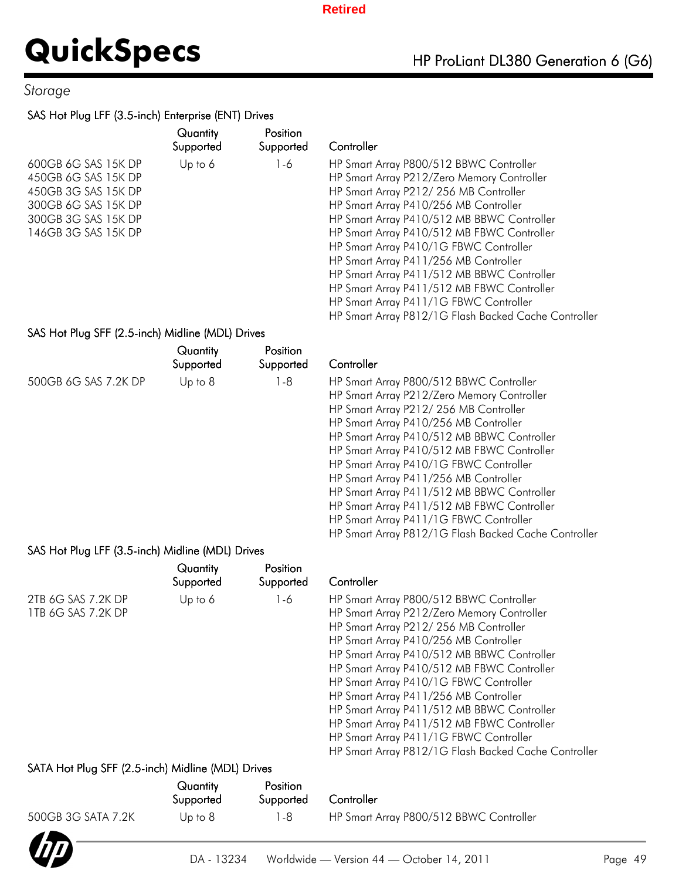### *Storage*

### SAS Hot Plug LFF (3.5-inch) Enterprise (ENT) Drives

|                                                                                                                                        | Quantity<br>Supported | <b>Position</b><br>Supported | Controller                                                                                                                                                                                                                                                                                                                                                                                                                                                                                                                                           |
|----------------------------------------------------------------------------------------------------------------------------------------|-----------------------|------------------------------|------------------------------------------------------------------------------------------------------------------------------------------------------------------------------------------------------------------------------------------------------------------------------------------------------------------------------------------------------------------------------------------------------------------------------------------------------------------------------------------------------------------------------------------------------|
| 600GB 6G SAS 15K DP<br>450GB 6G SAS 15K DP<br>450GB 3G SAS 15K DP<br>300GB 6G SAS 15K DP<br>300GB 3G SAS 15K DP<br>146GB 3G SAS 15K DP | Up to $6$             | 1-6                          | HP Smart Array P800/512 BBWC Controller<br>HP Smart Array P212/Zero Memory Controller<br>HP Smart Array P212/256 MB Controller<br>HP Smart Array P410/256 MB Controller<br>HP Smart Array P410/512 MB BBWC Controller<br>HP Smart Array P410/512 MB FBWC Controller<br>HP Smart Array P410/1G FBWC Controller<br>HP Smart Array P411/256 MB Controller<br>HP Smart Array P411/512 MB BBWC Controller<br>HP Smart Array P411/512 MB FBWC Controller<br>HP Smart Array P411/1G FBWC Controller<br>HP Smart Array P812/1G Flash Backed Cache Controller |

### SAS Hot Plug SFF (2.5-inch) Midline (MDL) Drives

|                                                  | Quantity<br>Supported | Position<br>Supported | Controller                                           |
|--------------------------------------------------|-----------------------|-----------------------|------------------------------------------------------|
| 500GB 6G SAS 7.2K DP                             | Up to 8               | l -8                  | HP Smart Array P800/512 BBWC Controller              |
|                                                  |                       |                       | HP Smart Array P212/Zero Memory Controller           |
|                                                  |                       |                       | HP Smart Array P212/256 MB Controller                |
|                                                  |                       |                       | HP Smart Array P410/256 MB Controller                |
|                                                  |                       |                       | HP Smart Array P410/512 MB BBWC Controller           |
|                                                  |                       |                       | HP Smart Array P410/512 MB FBWC Controller           |
|                                                  |                       |                       | HP Smart Array P410/1G FBWC Controller               |
|                                                  |                       |                       | HP Smart Array P411/256 MB Controller                |
|                                                  |                       |                       | HP Smart Array P411/512 MB BBWC Controller           |
|                                                  |                       |                       | HP Smart Array P411/512 MB FBWC Controller           |
|                                                  |                       |                       | HP Smart Array P411/1G FBWC Controller               |
|                                                  |                       |                       | HP Smart Array P812/1G Flash Backed Cache Controller |
| SAS Hot Plug LFF (3.5-inch) Midline (MDL) Drives |                       |                       |                                                      |
|                                                  | Quantity              | Position              |                                                      |
|                                                  | Supported             | Supported             | Controller                                           |

|                                                   | Supported | Supported | Controller                                           |
|---------------------------------------------------|-----------|-----------|------------------------------------------------------|
| 2TB 6G SAS 7.2K DP                                | Up to $6$ | $1 - 6$   | HP Smart Array P800/512 BBWC Controller              |
| 1TB 6G SAS 7.2K DP                                |           |           | HP Smart Array P212/Zero Memory Controller           |
|                                                   |           |           | HP Smart Array P212/256 MB Controller                |
|                                                   |           |           | HP Smart Array P410/256 MB Controller                |
|                                                   |           |           | HP Smart Array P410/512 MB BBWC Controller           |
|                                                   |           |           | HP Smart Array P410/512 MB FBWC Controller           |
|                                                   |           |           | HP Smart Array P410/1G FBWC Controller               |
|                                                   |           |           | HP Smart Array P411/256 MB Controller                |
|                                                   |           |           | HP Smart Array P411/512 MB BBWC Controller           |
|                                                   |           |           | HP Smart Array P411/512 MB FBWC Controller           |
|                                                   |           |           | HP Smart Array P411/1G FBWC Controller               |
|                                                   |           |           | HP Smart Array P812/1G Flash Backed Cache Controller |
| SATA Hot Plug SFF (2.5-inch) Midline (MDL) Drives |           |           |                                                      |
|                                                   | Quantity  | Position  |                                                      |

|                    | Quantity<br>Supported | <b>Position</b><br>Supported | Controller                              |  |
|--------------------|-----------------------|------------------------------|-----------------------------------------|--|
| 500GB 3G SATA 7.2K | Up to $8$             | 1-8                          | HP Smart Array P800/512 BBWC Controller |  |
|                    |                       |                              |                                         |  |

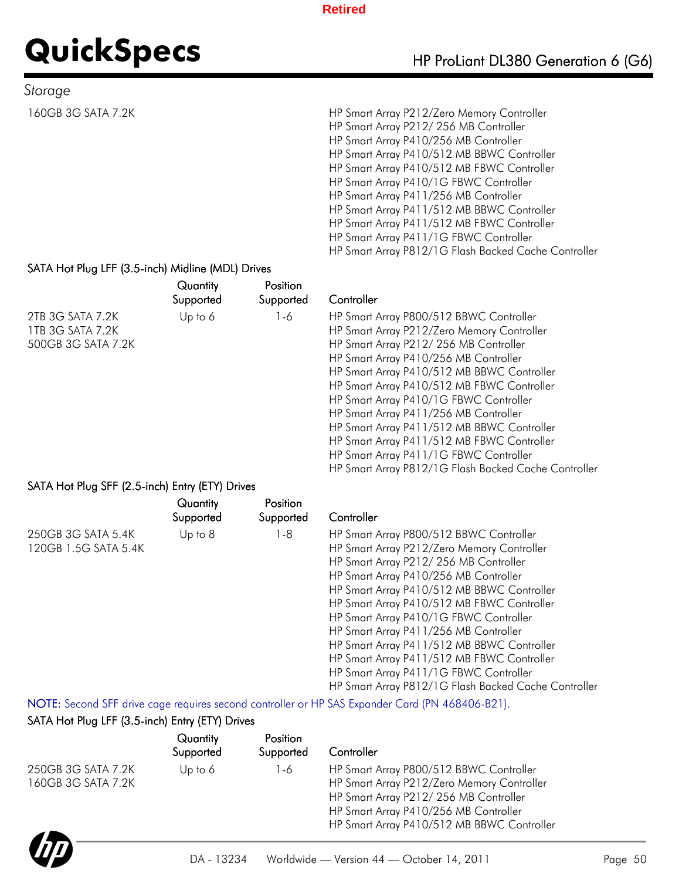# **QuickSpecs** HP ProLiant DL380 Generation 6 (G6)

### *Storage*

160GB 3G SATA 7.2K HP Smart Array P212/Zero Memory Controller HP Smart Array P212/ 256 MB Controller HP Smart Array P410/256 MB Controller HP Smart Array P410/512 MB BBWC Controller HP Smart Array P410/512 MB FBWC Controller HP Smart Array P410/1G FBWC Controller HP Smart Array P411/256 MB Controller HP Smart Array P411/512 MB BBWC Controller HP Smart Array P411/512 MB FBWC Controller HP Smart Array P411/1G FBWC Controller HP Smart Array P812/1G Flash Backed Cache Controller

HP Smart Array P812/1G Flash Backed Cache Controller

### SATA Hot Plug LFF (3.5-inch) Midline (MDL) Drives

|                                                            | Quantity<br>Supported | Position<br>Supported | Controller                                                                                                                                                                                                                                                                                                                                                                                                                                                                                   |
|------------------------------------------------------------|-----------------------|-----------------------|----------------------------------------------------------------------------------------------------------------------------------------------------------------------------------------------------------------------------------------------------------------------------------------------------------------------------------------------------------------------------------------------------------------------------------------------------------------------------------------------|
| 2TB 3G SATA 7.2K<br>1TB 3G SATA 7.2K<br>500GB 3G SATA 7.2K | Up to $6$             | 1-6                   | HP Smart Array P800/512 BBWC Controller<br>HP Smart Array P212/Zero Memory Controller<br>HP Smart Array P212/256 MB Controller<br>HP Smart Array P410/256 MB Controller<br>HP Smart Array P410/512 MB BBWC Controller<br>HP Smart Array P410/512 MB FBWC Controller<br>HP Smart Array P410/1G FBWC Controller<br>HP Smart Array P411/256 MB Controller<br>HP Smart Array P411/512 MB BBWC Controller<br>HP Smart Array P411/512 MB FBWC Controller<br>HP Smart Array P411/1G FBWC Controller |

### SATA Hot Plug SFF (2.5-inch) Entry (ETY) Drives

|                                            | Quantity<br>Supported | Position<br>Supported | Controller                                                                                                                                                                                                                                                                                                                                                                                           |
|--------------------------------------------|-----------------------|-----------------------|------------------------------------------------------------------------------------------------------------------------------------------------------------------------------------------------------------------------------------------------------------------------------------------------------------------------------------------------------------------------------------------------------|
| 250GB 3G SATA 5.4K<br>120GB 1.5G SATA 5.4K | $Up$ to $8$           | l -8                  | HP Smart Array P800/512 BBWC Controller<br>HP Smart Array P212/Zero Memory Controller<br>HP Smart Array P212/256 MB Controller<br>HP Smart Array P410/256 MB Controller<br>HP Smart Array P410/512 MB BBWC Controller<br>HP Smart Array P410/512 MB FBWC Controller<br>HP Smart Array P410/1G FBWC Controller<br>HP Smart Array P411/256 MB Controller<br>HP Smart Array P411/512 MB BBWC Controller |
|                                            |                       |                       | HP Smart Array P411/512 MB FBWC Controller<br>HP Smart Array P411/1G FBWC Controller<br>HP Smart Array P812/1G Flash Backed Cache Controller                                                                                                                                                                                                                                                         |

NOTE: Second SFF drive cage requires second controller or HP SAS Expander Card (PN 468406-B21).

### SATA Hot Plug LFF (3.5-inch) Entry (ETY) Drives

|                                          | Quantity<br>Supported | Position<br>Supported | Controller                                                                                                                                                                                                            |
|------------------------------------------|-----------------------|-----------------------|-----------------------------------------------------------------------------------------------------------------------------------------------------------------------------------------------------------------------|
| 250GB 3G SATA 7.2K<br>160GB 3G SATA 7.2K | Up to $6$             | 1-6                   | HP Smart Array P800/512 BBWC Controller<br>HP Smart Array P212/Zero Memory Controller<br>HP Smart Array P212/256 MB Controller<br>HP Smart Array P410/256 MB Controller<br>HP Smart Array P410/512 MB BBWC Controller |

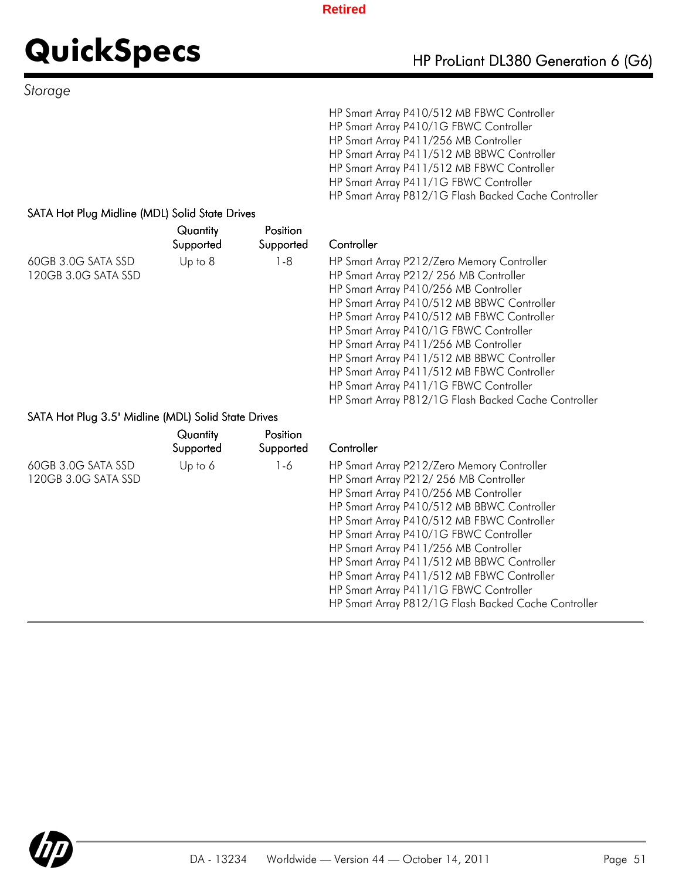Controller

# **QuickSpecs** HP ProLiant DL380 Generation 6 (G6)

*Storage*

HP Smart Array P410/512 MB FBWC Controller HP Smart Array P410/1G FBWC Controller HP Smart Array P411/256 MB Controller HP Smart Array P411/512 MB BBWC Controller HP Smart Array P411/512 MB FBWC Controller HP Smart Array P411/1G FBWC Controller HP Smart Array P812/1G Flash Backed Cache Controller

HP Smart Array P812/1G Flash Backed Cache Controller

HP Smart Array P212/Zero Memory Controller HP Smart Array P212/ 256 MB Controller HP Smart Array P410/256 MB Controller HP Smart Array P410/512 MB BBWC Controller HP Smart Array P410/512 MB FBWC Controller HP Smart Array P410/1G FBWC Controller HP Smart Array P411/256 MB Controller HP Smart Array P411/512 MB BBWC Controller HP Smart Array P411/512 MB FBWC Controller HP Smart Array P411/1G FBWC Controller

### SATA Hot Plug Midline (MDL) Solid State Drives

|                                           | Quantity<br>Supported | Position<br>Supported |
|-------------------------------------------|-----------------------|-----------------------|
| 60GB 3.0G SATA SSD<br>120GB 3.0G SATA SSD | Up to $8$             | 1-8                   |

### SATA Hot Plug 3.5" Midline (MDL) Solid State Drives

|                                           | Quantity<br>Supported | Position<br>Supported | Controller                                                                                                                                                                                                                                                                                                                                                                                                                                                                                                |
|-------------------------------------------|-----------------------|-----------------------|-----------------------------------------------------------------------------------------------------------------------------------------------------------------------------------------------------------------------------------------------------------------------------------------------------------------------------------------------------------------------------------------------------------------------------------------------------------------------------------------------------------|
| 60GB 3.0G SATA SSD<br>120GB 3.0G SATA SSD | Up to $6$             | 1-6                   | HP Smart Array P212/Zero Memory Controller<br>HP Smart Array P212/256 MB Controller<br>HP Smart Array P410/256 MB Controller<br>HP Smart Array P410/512 MB BBWC Controller<br>HP Smart Array P410/512 MB FBWC Controller<br>HP Smart Array P410/1G FBWC Controller<br>HP Smart Array P411/256 MB Controller<br>HP Smart Array P411/512 MB BBWC Controller<br>HP Smart Array P411/512 MB FBWC Controller<br>HP Smart Array P411/1G FBWC Controller<br>HP Smart Array P812/1G Flash Backed Cache Controller |

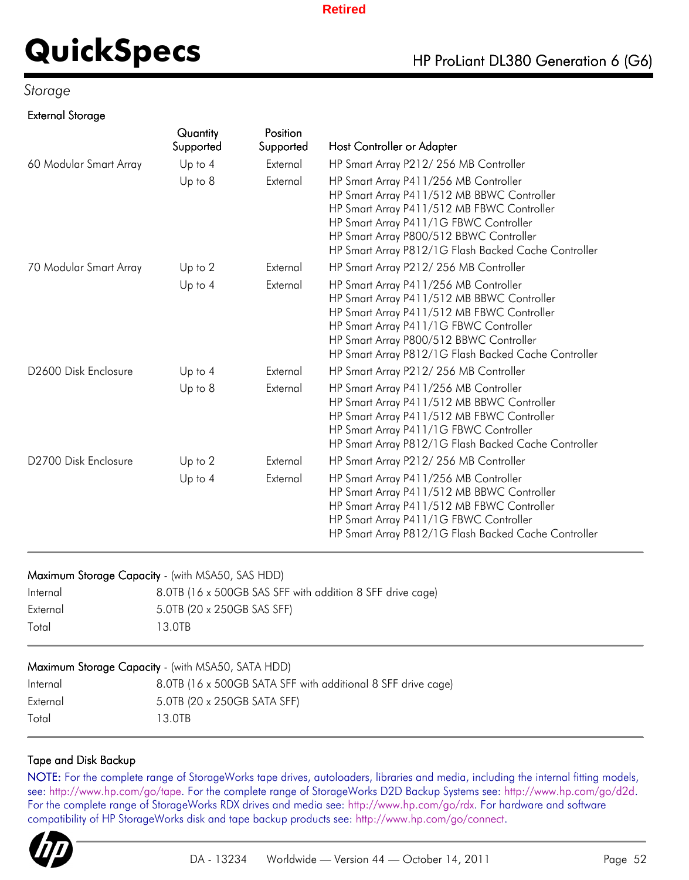### *Storage*

### External Storage

|                                  | Quantity<br>Supported | Position<br>Supported | Host Controller or Adapter                                                                                                                                                                                                                                                     |
|----------------------------------|-----------------------|-----------------------|--------------------------------------------------------------------------------------------------------------------------------------------------------------------------------------------------------------------------------------------------------------------------------|
| 60 Modular Smart Array           | Up to $4$             | External              | HP Smart Array P212/256 MB Controller                                                                                                                                                                                                                                          |
|                                  | $Up$ to $8$           | External              | HP Smart Array P411/256 MB Controller<br>HP Smart Array P411/512 MB BBWC Controller<br>HP Smart Array P411/512 MB FBWC Controller<br>HP Smart Array P411/1G FBWC Controller<br>HP Smart Array P800/512 BBWC Controller<br>HP Smart Array P812/1G Flash Backed Cache Controller |
| 70 Modular Smart Array           | Up to 2               | External              | HP Smart Array P212/256 MB Controller                                                                                                                                                                                                                                          |
|                                  | Up to $4$             | External              | HP Smart Array P411/256 MB Controller<br>HP Smart Array P411/512 MB BBWC Controller<br>HP Smart Array P411/512 MB FBWC Controller<br>HP Smart Array P411/1G FBWC Controller<br>HP Smart Array P800/512 BBWC Controller<br>HP Smart Array P812/1G Flash Backed Cache Controller |
| D <sub>2600</sub> Disk Enclosure | Up to $4$             | External              | HP Smart Array P212/256 MB Controller                                                                                                                                                                                                                                          |
|                                  | Up to 8               | External              | HP Smart Array P411/256 MB Controller<br>HP Smart Array P411/512 MB BBWC Controller<br>HP Smart Array P411/512 MB FBWC Controller<br>HP Smart Array P411/1G FBWC Controller<br>HP Smart Array P812/1G Flash Backed Cache Controller                                            |
| D2700 Disk Enclosure             | Up to 2               | External              | HP Smart Array P212/256 MB Controller                                                                                                                                                                                                                                          |
|                                  | $Up$ to $4$           | External              | HP Smart Array P411/256 MB Controller<br>HP Smart Array P411/512 MB BBWC Controller<br>HP Smart Array P411/512 MB FBWC Controller<br>HP Smart Array P411/1G FBWC Controller<br>HP Smart Array P812/1G Flash Backed Cache Controller                                            |

### Maximum Storage Capacity - (with MSA50, SAS HDD)

| Internal | 8.0TB (16 x 500GB SAS SFF with addition 8 SFF drive cage) |
|----------|-----------------------------------------------------------|
| External | 5.0TB (20 x 250GB SAS SFF)                                |
| Total    | 13 OTB                                                    |

| Maximum Storage Capacity - (with MSA50, SATA HDD) |                                                              |  |  |  |  |  |
|---------------------------------------------------|--------------------------------------------------------------|--|--|--|--|--|
| Internal                                          | 8.0TB (16 x 500GB SATA SFF with additional 8 SFF drive cage) |  |  |  |  |  |
| External                                          | 5.0TB (20 x 250GB SATA SFF)                                  |  |  |  |  |  |
| Total                                             | 13 OTB                                                       |  |  |  |  |  |

### Tape and Disk Backup

NOTE: For the complete range of StorageWorks tape drives, autoloaders, libraries and media, including the internal fitting models, see: http://www.hp.com/go/tape. For the complete range of StorageWorks D2D Backup Systems see: http://www.hp.com/go/d2d. For the complete range of StorageWorks RDX drives and media see: http://www.hp.com/go/rdx. For hardware and software compatibility of HP StorageWorks disk and tape backup products see: http://www.hp.com/go/connect.

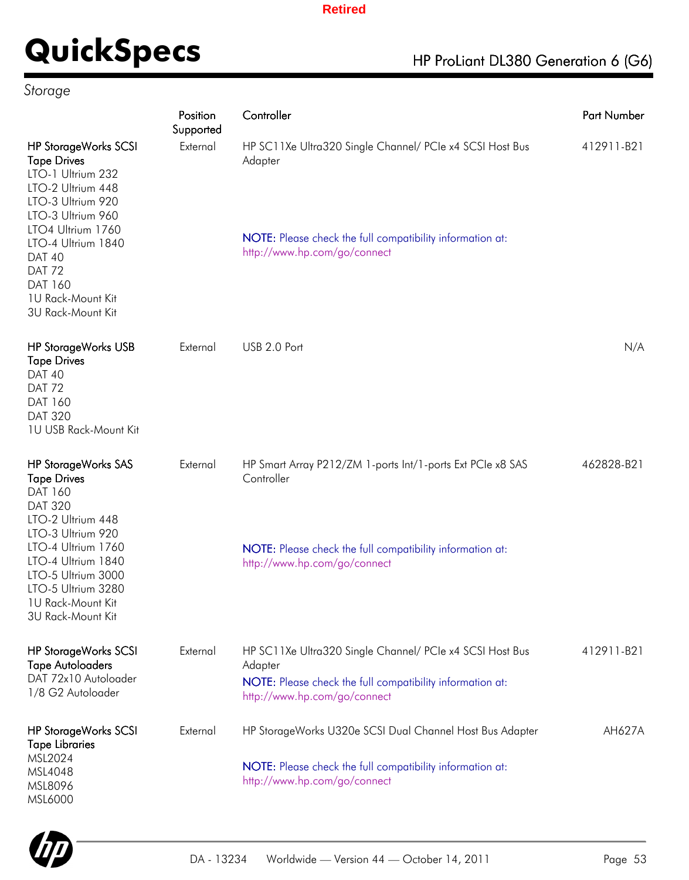# **QuickSpecs** HP ProLiant DL380 Generation 6 (G6)

## *Storage*

|                                                                                                                                                                                                                                                                         | Position<br>Supported | Controller                                                                                                                                                       | Part Number |
|-------------------------------------------------------------------------------------------------------------------------------------------------------------------------------------------------------------------------------------------------------------------------|-----------------------|------------------------------------------------------------------------------------------------------------------------------------------------------------------|-------------|
| <b>HP StorageWorks SCSI</b><br><b>Tape Drives</b><br>LTO-1 Ultrium 232<br>LTO-2 Ultrium 448<br>LTO-3 Ultrium 920<br>LTO-3 Ultrium 960<br>LTO4 Ultrium 1760<br>LTO-4 Ultrium 1840<br><b>DAT 40</b><br><b>DAT 72</b><br>DAT 160<br>1U Rack-Mount Kit<br>3U Rack-Mount Kit | External              | HP SC11Xe Ultra320 Single Channel/ PCIe x4 SCSI Host Bus<br>Adapter<br>NOTE: Please check the full compatibility information at:<br>http://www.hp.com/go/connect | 412911-B21  |
| <b>HP StorageWorks USB</b><br><b>Tape Drives</b><br><b>DAT 40</b><br><b>DAT 72</b><br>DAT 160<br><b>DAT 320</b><br>1U USB Rack-Mount Kit                                                                                                                                | External              | USB 2.0 Port                                                                                                                                                     | N/A         |
| <b>HP StorageWorks SAS</b><br><b>Tape Drives</b><br>DAT 160<br><b>DAT 320</b><br>LTO-2 Ultrium 448<br>LTO-3 Ultrium 920                                                                                                                                                 | External              | HP Smart Array P212/ZM 1-ports Int/1-ports Ext PCIe x8 SAS<br>Controller                                                                                         | 462828-B21  |
| LTO-4 Ultrium 1760<br>LTO-4 Ultrium 1840<br>LTO-5 Ultrium 3000<br>LTO-5 Ultrium 3280<br>1U Rack-Mount Kit<br>3U Rack-Mount Kit                                                                                                                                          |                       | NOTE: Please check the full compatibility information at:<br>http://www.hp.com/go/connect                                                                        |             |
| <b>HP StorageWorks SCSI</b><br><b>Tape Autoloaders</b><br>DAT 72x10 Autoloader<br>1/8 G2 Autoloader                                                                                                                                                                     | External              | HP SC11Xe Ultra320 Single Channel/ PCIe x4 SCSI Host Bus<br>Adapter<br>NOTE: Please check the full compatibility information at:<br>http://www.hp.com/go/connect | 412911-B21  |
| <b>HP StorageWorks SCSI</b><br><b>Tape Libraries</b><br>MSL2024<br>MSL4048<br>MSL8096<br>MSL6000                                                                                                                                                                        | External              | HP StorageWorks U320e SCSI Dual Channel Host Bus Adapter<br>NOTE: Please check the full compatibility information at:<br>http://www.hp.com/go/connect            | AH627A      |

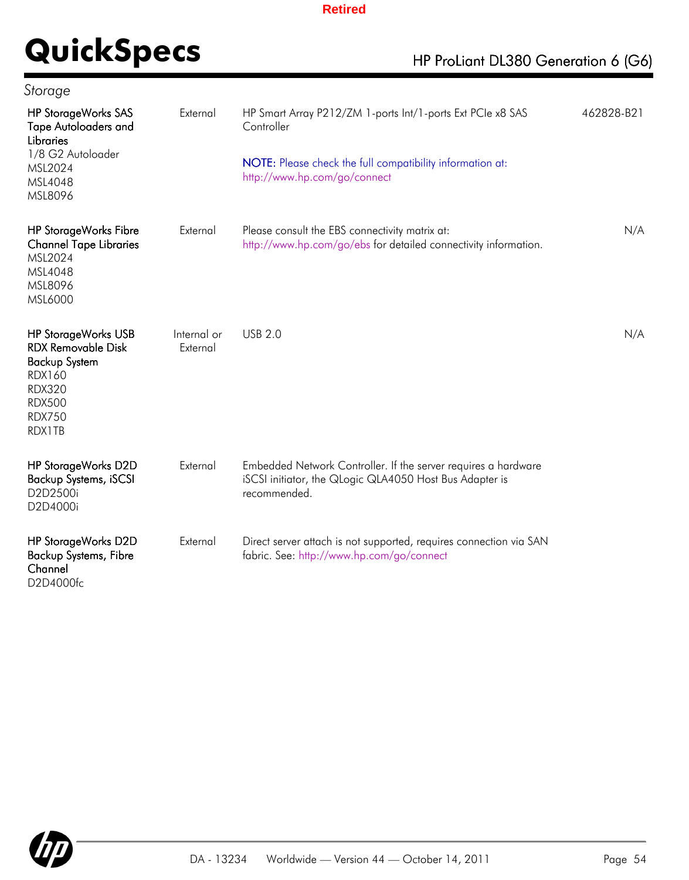# **QuickSpecs** HP ProLiant DL380 Generation 6 (G6)

| <b>HP StorageWorks SAS</b><br><b>Tape Autoloaders and</b><br><b>Libraries</b><br>1/8 G2 Autoloader<br>MSL2024<br>MSL4048<br>MSL8096                           | External                | HP Smart Array P212/ZM 1-ports Int/1-ports Ext PCIe x8 SAS<br>Controller<br>NOTE: Please check the full compatibility information at:<br>http://www.hp.com/go/connect | 462828-B21 |
|---------------------------------------------------------------------------------------------------------------------------------------------------------------|-------------------------|-----------------------------------------------------------------------------------------------------------------------------------------------------------------------|------------|
| <b>HP StorageWorks Fibre</b><br><b>Channel Tape Libraries</b><br>MSL2024<br>MSL4048<br>MSL8096<br>MSL6000                                                     | External                | Please consult the EBS connectivity matrix at:<br>http://www.hp.com/go/ebs for detailed connectivity information.                                                     | N/A        |
| <b>HP StorageWorks USB</b><br><b>RDX Removable Disk</b><br><b>Backup System</b><br><b>RDX160</b><br><b>RDX320</b><br><b>RDX500</b><br><b>RDX750</b><br>RDX1TB | Internal or<br>External | <b>USB 2.0</b>                                                                                                                                                        | N/A        |
| HP StorageWorks D2D<br><b>Backup Systems, iSCSI</b><br>D2D2500i<br>D2D4000i                                                                                   | External                | Embedded Network Controller. If the server requires a hardware<br>iSCSI initiator, the QLogic QLA4050 Host Bus Adapter is<br>recommended.                             |            |
| HP StorageWorks D2D<br><b>Backup Systems, Fibre</b><br>Channel<br>D2D4000fc                                                                                   | External                | Direct server attach is not supported, requires connection via SAN<br>fabric. See: http://www.hp.com/go/connect                                                       |            |

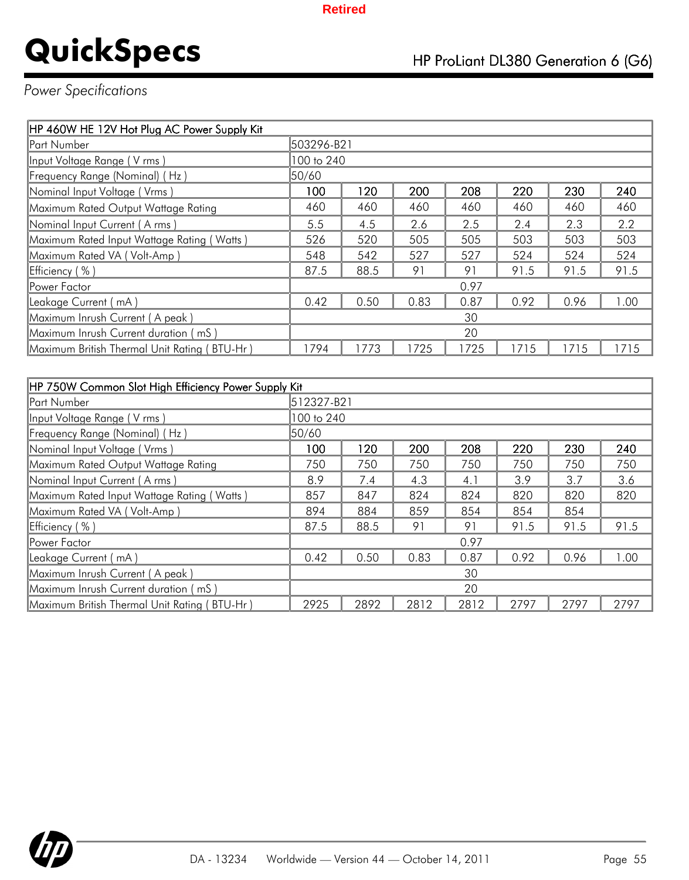## *Power Specifications*

| HP 460W HE 12V Hot Plug AC Power Supply Kit  |            |      |      |      |      |      |      |  |
|----------------------------------------------|------------|------|------|------|------|------|------|--|
| Part Number                                  | 503296-B21 |      |      |      |      |      |      |  |
| Input Voltage Range (V rms)                  | 100 to 240 |      |      |      |      |      |      |  |
| Frequency Range (Nominal) (Hz)               | 50/60      |      |      |      |      |      |      |  |
| Nominal Input Voltage (Vrms)                 | 100        | 120  | 200  | 208  | 220  | 230  | 240  |  |
| Maximum Rated Output Wattage Rating          | 460        | 460  | 460  | 460  | 460  | 460  | 460  |  |
| Nominal Input Current (A rms)                | 5.5        | 4.5  | 2.6  | 2.5  | 2.4  | 2.3  | 2.2  |  |
| Maximum Rated Input Wattage Rating (Watts)   | 526        | 520  | 505  | 505  | 503  | 503  | 503  |  |
| Maximum Rated VA (Volt-Amp)                  | 548        | 542  | 527  | 527  | 524  | 524  | 524  |  |
| Efficiency (%)                               | 87.5       | 88.5 | 91   | 91   | 91.5 | 91.5 | 91.5 |  |
| Power Factor                                 |            |      |      | 0.97 |      |      |      |  |
| Leakage Current (mA)                         | 0.42       | 0.50 | 0.83 | 0.87 | 0.92 | 0.96 | .00  |  |
| Maximum Inrush Current (A peak)              | 30         |      |      |      |      |      |      |  |
| Maximum Inrush Current duration (mS)<br>20   |            |      |      |      |      |      |      |  |
| Maximum British Thermal Unit Rating (BTU-Hr) | 1794       | 1773 | 1725 | 1725 | 1715 | 1715 | 1715 |  |

| HP 750W Common Slot High Efficiency Power Supply Kit |            |            |      |      |      |      |      |
|------------------------------------------------------|------------|------------|------|------|------|------|------|
| <b>Part Number</b>                                   |            | 512327-B21 |      |      |      |      |      |
| Input Voltage Range (V rms)                          | 100 to 240 |            |      |      |      |      |      |
| Frequency Range (Nominal) (Hz)                       | 50/60      |            |      |      |      |      |      |
| Nominal Input Voltage (Vrms)                         | 100        | 120        | 200  | 208  | 220  | 230  | 240  |
| Maximum Rated Output Wattage Rating                  | 750        | 750        | 750  | 750  | 750  | 750  | 750  |
| Nominal Input Current (A rms)                        | 8.9        | 7.4        | 4.3  | 4.1  | 3.9  | 3.7  | 3.6  |
| Maximum Rated Input Wattage Rating (Watts)           | 857        | 847        | 824  | 824  | 820  | 820  | 820  |
| Maximum Rated VA (Volt-Amp)                          | 894        | 884        | 859  | 854  | 854  | 854  |      |
| Efficiency (%)                                       | 87.5       | 88.5       | 91   | 91   | 91.5 | 91.5 | 91.5 |
| <b>Power Factor</b>                                  |            |            |      | 0.97 |      |      |      |
| Leakage Current (mA)                                 | 0.42       | 0.50       | 0.83 | 0.87 | 0.92 | 0.96 | 1.00 |
| Maximum Inrush Current (A peak)<br>30                |            |            |      |      |      |      |      |
| Maximum Inrush Current duration (mS)                 | 20         |            |      |      |      |      |      |
| Maximum British Thermal Unit Rating (BTU-Hr)         | 2925       | 2892       | 2812 | 2812 | 2797 | 2797 | 2797 |

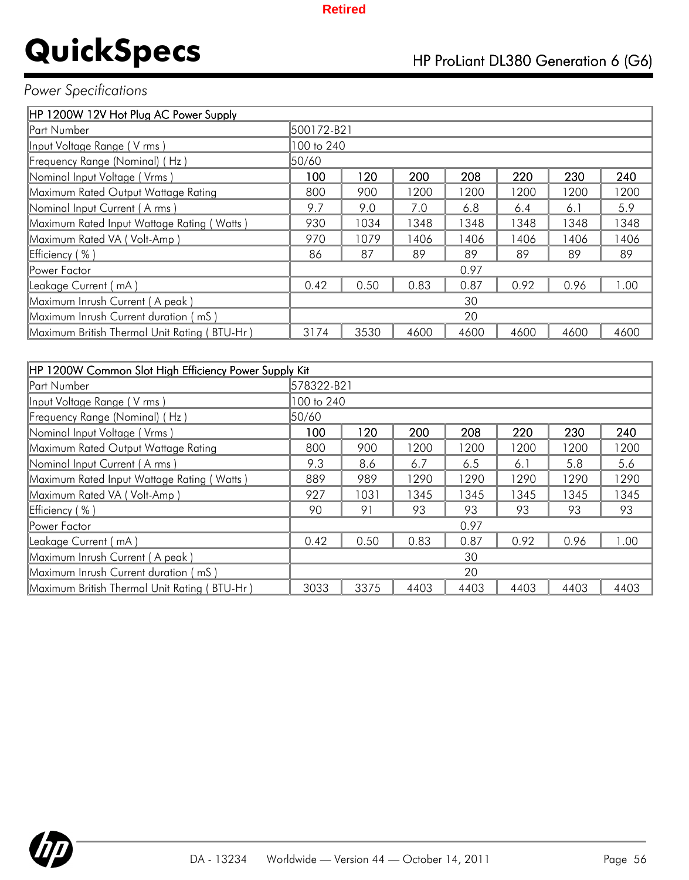## *Power Specifications*

| HP 1200W 12V Hot Plug AC Power Supply        |            |      |      |      |      |      |      |
|----------------------------------------------|------------|------|------|------|------|------|------|
| <b>Part Number</b>                           | 500172-B21 |      |      |      |      |      |      |
| Input Voltage Range (V rms)                  | 100 to 240 |      |      |      |      |      |      |
| Frequency Range (Nominal) (Hz)               | 50/60      |      |      |      |      |      |      |
| Nominal Input Voltage (Vrms)                 | 100        | 120  | 200  | 208  | 220  | 230  | 240  |
| Maximum Rated Output Wattage Rating          | 800        | 900  | 1200 | 1200 | 1200 | 1200 | 1200 |
| Nominal Input Current (A rms)                | 9.7        | 9.0  | 7.0  | 6.8  | 6.4  | 6.1  | 5.9  |
| Maximum Rated Input Wattage Rating (Watts)   | 930        | 1034 | 1348 | 1348 | 1348 | 1348 | 1348 |
| Maximum Rated VA (Volt-Amp)                  | 970        | 1079 | 1406 | 1406 | 1406 | 1406 | 1406 |
| Efficiency (%)                               | 86         | 87   | 89   | 89   | 89   | 89   | 89   |
| <b>IPower Factor</b>                         |            |      |      | 0.97 |      |      |      |
| Leakage Current ( mA )                       | 0.42       | 0.50 | 0.83 | 0.87 | 0.92 | 0.96 | 1.00 |
| Maximum Inrush Current (A peak)              |            |      |      | 30   |      |      |      |
| Maximum Inrush Current duration (mS)         |            |      |      | 20   |      |      |      |
| Maximum British Thermal Unit Rating (BTU-Hr) | 3174       | 3530 | 4600 | 4600 | 4600 | 4600 | 4600 |

| HP 1200W Common Slot High Efficiency Power Supply Kit |            |      |      |      |      |      |      |
|-------------------------------------------------------|------------|------|------|------|------|------|------|
| <b>Part Number</b>                                    | 578322-B21 |      |      |      |      |      |      |
| Input Voltage Range (V rms)                           | 100 to 240 |      |      |      |      |      |      |
| Frequency Range (Nominal) (Hz)                        | 50/60      |      |      |      |      |      |      |
| Nominal Input Voltage (Vrms)                          | 100        | 120  | 200  | 208  | 220  | 230  | 240  |
| Maximum Rated Output Wattage Rating                   | 800        | 900  | 1200 | 1200 | 1200 | 1200 | 1200 |
| Nominal Input Current (A rms)                         | 9.3        | 8.6  | 6.7  | 6.5  | 6.1  | 5.8  | 5.6  |
| Maximum Rated Input Wattage Rating (Watts)            | 889        | 989  | 1290 | 1290 | 1290 | 1290 | 1290 |
| Maximum Rated VA (Volt-Amp)                           | 927        | 1031 | 1345 | 1345 | 1345 | 1345 | 1345 |
| Efficiency (%)                                        | 90         | 91   | 93   | 93   | 93   | 93   | 93   |
| Power Factor                                          |            |      |      | 0.97 |      |      |      |
| Leakage Current (mA)                                  | 0.42       | 0.50 | 0.83 | 0.87 | 0.92 | 0.96 | 00.1 |
| Maximum Inrush Current (A peak)                       |            |      |      | 30   |      |      |      |
| Maximum Inrush Current duration (mS)                  |            |      |      | 20   |      |      |      |
| Maximum British Thermal Unit Rating (BTU-Hr)          | 3033       | 3375 | 4403 | 4403 | 4403 | 4403 | 4403 |

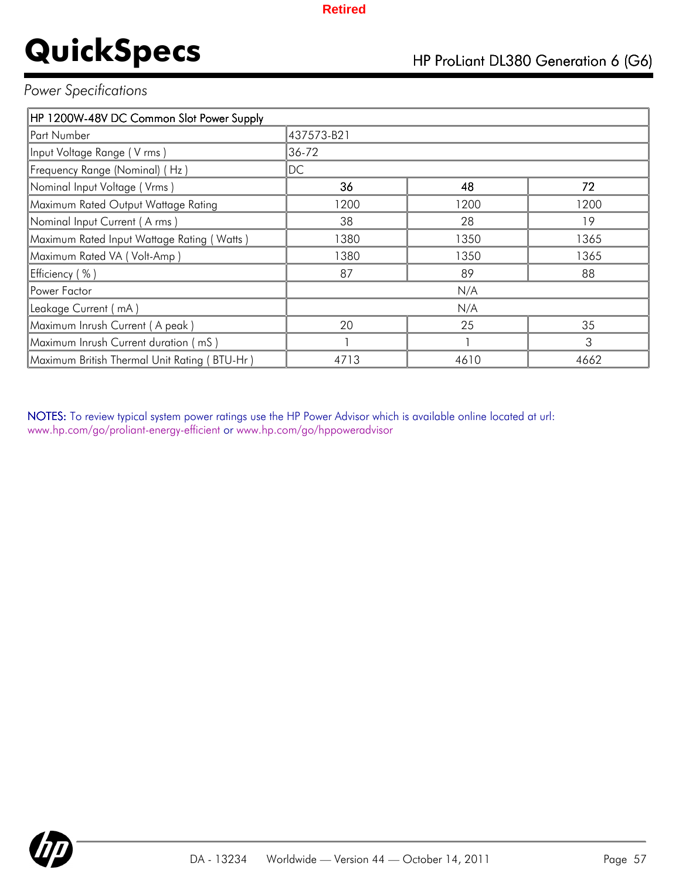### *Power Specifications*

| HP 1200W-48V DC Common Slot Power Supply     |            |      |      |
|----------------------------------------------|------------|------|------|
| Part Number                                  | 437573-B21 |      |      |
| Input Voltage Range (V rms)                  | 36-72      |      |      |
| Frequency Range (Nominal) (Hz)               | DC         |      |      |
| Nominal Input Voltage (Vrms)                 | 36         | 48   | 72   |
| Maximum Rated Output Wattage Rating          | 1200       | 1200 | 1200 |
| Nominal Input Current (A rms)                | 38         | 28   | 19   |
| Maximum Rated Input Wattage Rating (Watts)   | 1380       | 1350 | 1365 |
| Maximum Rated VA (Volt-Amp)                  | 1380       | 1350 | 1365 |
| Efficiency (%)                               | 87         | 89   | 88   |
| Power Factor                                 |            | N/A  |      |
| Leakage Current (mA)                         |            | N/A  |      |
| Maximum Inrush Current (A peak)              | 20         | 25   | 35   |
| Maximum Inrush Current duration (mS)         |            |      | 3    |
| Maximum British Thermal Unit Rating (BTU-Hr) | 4713       | 4610 | 4662 |

NOTES: To review typical system power ratings use the HP Power Advisor which is available online located at url: www.hp.com/go/proliant-energy-efficient or www.hp.com/go/hppoweradvisor

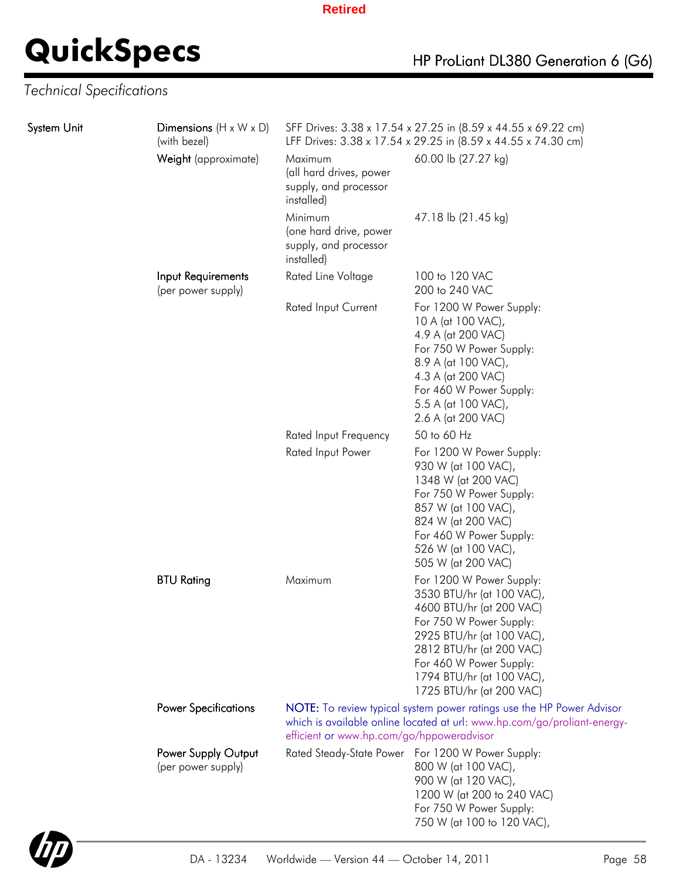## *Technical Specifications*

| System Unit | Dimensions $(H \times W \times D)$<br>(with bezel) |                                                                           | SFF Drives: 3.38 x 17.54 x 27.25 in (8.59 x 44.55 x 69.22 cm)<br>LFF Drives: 3.38 x 17.54 x 29.25 in (8.59 x 44.55 x 74.30 cm)                                                                                                                            |
|-------------|----------------------------------------------------|---------------------------------------------------------------------------|-----------------------------------------------------------------------------------------------------------------------------------------------------------------------------------------------------------------------------------------------------------|
|             | Weight (approximate)                               | Maximum<br>(all hard drives, power<br>supply, and processor<br>installed) | 60.00 lb (27.27 kg)                                                                                                                                                                                                                                       |
|             |                                                    | Minimum<br>(one hard drive, power<br>supply, and processor<br>installed)  | 47.18 lb (21.45 kg)                                                                                                                                                                                                                                       |
|             | Input Requirements<br>(per power supply)           | Rated Line Voltage                                                        | 100 to 120 VAC<br>200 to 240 VAC                                                                                                                                                                                                                          |
|             |                                                    | Rated Input Current                                                       | For 1200 W Power Supply:<br>10 A (at 100 VAC),<br>4.9 A (at 200 VAC)<br>For 750 W Power Supply:<br>8.9 A (at 100 VAC),<br>4.3 A (at 200 VAC)<br>For 460 W Power Supply:<br>5.5 A (at 100 VAC),<br>2.6 A (at 200 VAC)                                      |
|             |                                                    | Rated Input Frequency                                                     | 50 to 60 Hz                                                                                                                                                                                                                                               |
|             |                                                    | Rated Input Power                                                         | For 1200 W Power Supply:<br>930 W (at 100 VAC),<br>1348 W (at 200 VAC)<br>For 750 W Power Supply:<br>857 W (at 100 VAC),<br>824 W (at 200 VAC)<br>For 460 W Power Supply:<br>526 W (at 100 VAC),<br>505 W (at 200 VAC)                                    |
|             | <b>BTU Rating</b>                                  | Maximum                                                                   | For 1200 W Power Supply:<br>3530 BTU/hr (at 100 VAC),<br>4600 BTU/hr (at 200 VAC)<br>For 750 W Power Supply:<br>2925 BTU/hr (at 100 VAC),<br>2812 BTU/hr (at 200 VAC)<br>For 460 W Power Supply:<br>1794 BTU/hr (at 100 VAC),<br>1725 BTU/hr (at 200 VAC) |
|             | <b>Power Specifications</b>                        | efficient or www.hp.com/go/hppoweradvisor                                 | NOTE: To review typical system power ratings use the HP Power Advisor<br>which is available online located at url: www.hp.com/go/proliant-energy-                                                                                                         |
|             | Power Supply Output<br>(per power supply)          |                                                                           | Rated Steady-State Power For 1200 W Power Supply:<br>800 W (at 100 VAC),<br>900 W (at 120 VAC),<br>1200 W (at 200 to 240 VAC)<br>For 750 W Power Supply:<br>750 W (at 100 to 120 VAC),                                                                    |

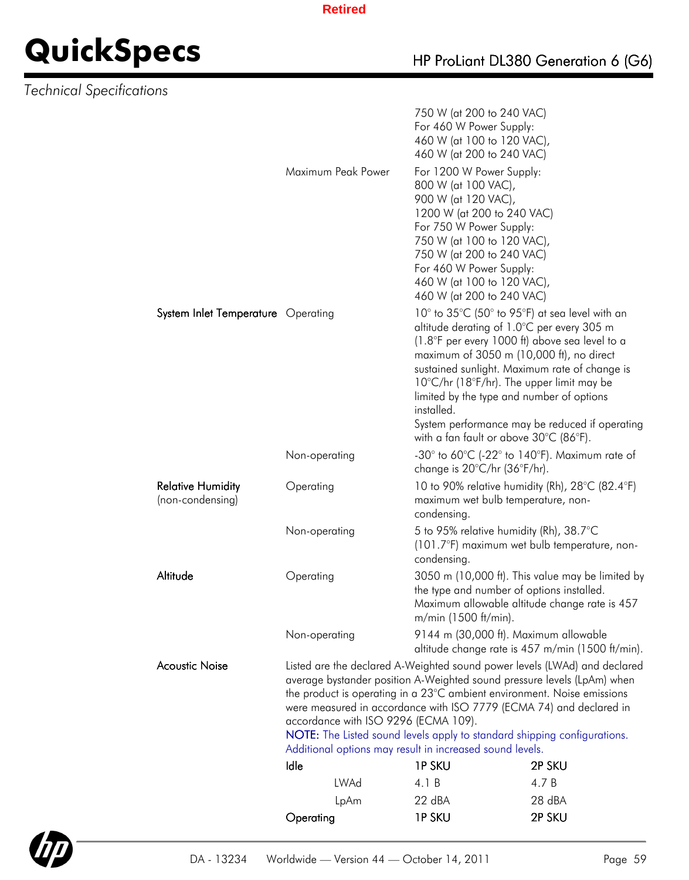## *Technical Specifications*

|                                              |                                                                                                                                                    | 750 W (at 200 to 240 VAC)                                                                          |                                                  |
|----------------------------------------------|----------------------------------------------------------------------------------------------------------------------------------------------------|----------------------------------------------------------------------------------------------------|--------------------------------------------------|
|                                              |                                                                                                                                                    | For 460 W Power Supply:                                                                            |                                                  |
|                                              |                                                                                                                                                    | 460 W (at 100 to 120 VAC),<br>460 W (at 200 to 240 VAC)                                            |                                                  |
|                                              | Maximum Peak Power                                                                                                                                 | For 1200 W Power Supply:                                                                           |                                                  |
|                                              |                                                                                                                                                    | 800 W (at 100 VAC),<br>900 W (at 120 VAC),                                                         |                                                  |
|                                              |                                                                                                                                                    | 1200 W (at 200 to 240 VAC)                                                                         |                                                  |
|                                              |                                                                                                                                                    | For 750 W Power Supply:<br>750 W (at 100 to 120 VAC),                                              |                                                  |
|                                              |                                                                                                                                                    | 750 W (at 200 to 240 VAC)                                                                          |                                                  |
|                                              |                                                                                                                                                    | For 460 W Power Supply:<br>460 W (at 100 to 120 VAC),                                              |                                                  |
|                                              |                                                                                                                                                    | 460 W (at 200 to 240 VAC)                                                                          |                                                  |
| System Inlet Temperature Operating           |                                                                                                                                                    | 10° to 35°C (50° to 95°F) at sea level with an                                                     |                                                  |
|                                              |                                                                                                                                                    | altitude derating of 1.0°C per every 305 m<br>(1.8°F per every 1000 ft) above sea level to a       |                                                  |
|                                              |                                                                                                                                                    | maximum of 3050 m (10,000 ft), no direct<br>sustained sunlight. Maximum rate of change is          |                                                  |
|                                              |                                                                                                                                                    | $10^{\circ}$ C/hr (18 $^{\circ}$ F/hr). The upper limit may be                                     |                                                  |
|                                              |                                                                                                                                                    | limited by the type and number of options<br>installed.                                            |                                                  |
|                                              |                                                                                                                                                    |                                                                                                    | System performance may be reduced if operating   |
|                                              |                                                                                                                                                    | with a fan fault or above $30^{\circ}$ C (86 $^{\circ}$ F).                                        |                                                  |
|                                              | Non-operating                                                                                                                                      | -30° to 60°C (-22° to 140°F). Maximum rate of<br>change is $20^{\circ}$ C/hr (36 $^{\circ}$ F/hr). |                                                  |
| <b>Relative Humidity</b><br>(non-condensing) | Operating                                                                                                                                          | 10 to 90% relative humidity (Rh), 28°C (82.4°F)<br>maximum wet bulb temperature, non-              |                                                  |
|                                              |                                                                                                                                                    | condensing.                                                                                        |                                                  |
|                                              | Non-operating                                                                                                                                      | 5 to 95% relative humidity (Rh), 38.7°C                                                            |                                                  |
|                                              |                                                                                                                                                    | (101.7°F) maximum wet bulb temperature, non-<br>condensing.                                        |                                                  |
| Altitude                                     | Operating                                                                                                                                          | the type and number of options installed.                                                          | 3050 m (10,000 ft). This value may be limited by |
|                                              |                                                                                                                                                    | Maximum allowable altitude change rate is 457                                                      |                                                  |
|                                              |                                                                                                                                                    | m/min (1500 ft/min).                                                                               |                                                  |
|                                              | Non-operating                                                                                                                                      | 9144 m (30,000 ft). Maximum allowable                                                              | altitude change rate is 457 m/min (1500 ft/min). |
| <b>Acoustic Noise</b>                        | Listed are the declared A-Weighted sound power levels (LWAd) and declared                                                                          |                                                                                                    |                                                  |
|                                              | average bystander position A-Weighted sound pressure levels (LpAm) when<br>the product is operating in a 23°C ambient environment. Noise emissions |                                                                                                    |                                                  |
|                                              | were measured in accordance with ISO 7779 (ECMA 74) and declared in<br>accordance with ISO 9296 (ECMA 109).                                        |                                                                                                    |                                                  |
|                                              | NOTE: The Listed sound levels apply to standard shipping configurations.                                                                           |                                                                                                    |                                                  |
|                                              | Additional options may result in increased sound levels.                                                                                           |                                                                                                    |                                                  |
|                                              | Idle<br>LWAd                                                                                                                                       | <b>1PSKU</b><br>4.1 B                                                                              | 2P SKU<br>4.7 B                                  |
|                                              | LpAm                                                                                                                                               | 22 dBA                                                                                             | 28 dBA                                           |
|                                              | Operating                                                                                                                                          | <b>1PSKU</b>                                                                                       | 2P SKU                                           |
|                                              |                                                                                                                                                    |                                                                                                    |                                                  |

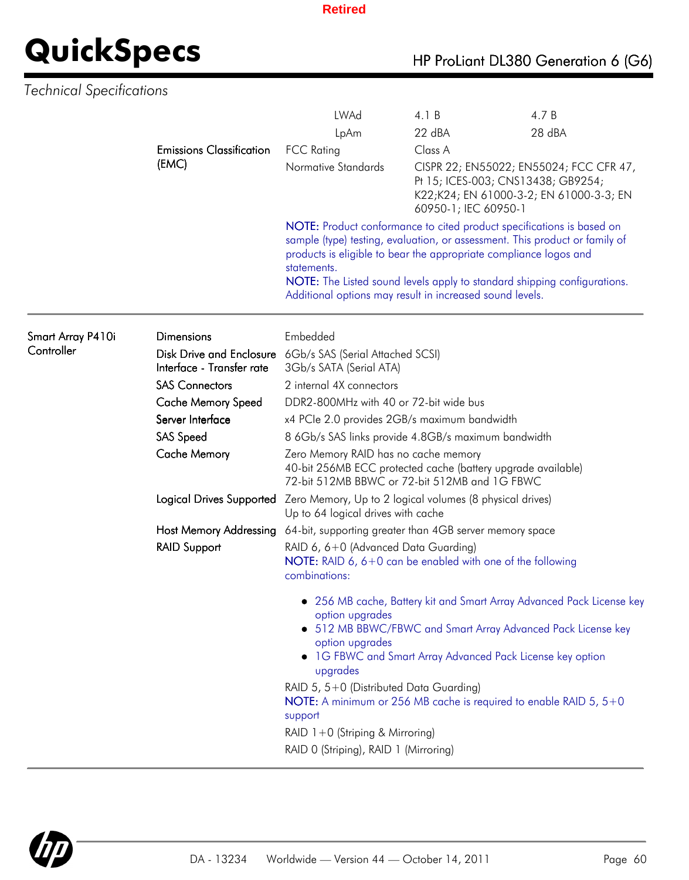## *Technical Specifications*

|                   |                                                                                                                                                                                                                                                                                                                                                                                  | <b>LWAd</b>                                                                                                                                                                                                                                             | 4.1 B                                                                                                                    | 4.7 B                                                                                                                                                                                                                                                                      |  |  |
|-------------------|----------------------------------------------------------------------------------------------------------------------------------------------------------------------------------------------------------------------------------------------------------------------------------------------------------------------------------------------------------------------------------|---------------------------------------------------------------------------------------------------------------------------------------------------------------------------------------------------------------------------------------------------------|--------------------------------------------------------------------------------------------------------------------------|----------------------------------------------------------------------------------------------------------------------------------------------------------------------------------------------------------------------------------------------------------------------------|--|--|
|                   |                                                                                                                                                                                                                                                                                                                                                                                  | LpAm                                                                                                                                                                                                                                                    | 22 dBA                                                                                                                   | 28 dBA                                                                                                                                                                                                                                                                     |  |  |
|                   | <b>Emissions Classification</b>                                                                                                                                                                                                                                                                                                                                                  | <b>FCC Rating</b>                                                                                                                                                                                                                                       | Class A                                                                                                                  |                                                                                                                                                                                                                                                                            |  |  |
| (EMC)             | Normative Standards                                                                                                                                                                                                                                                                                                                                                              | 60950-1; IEC 60950-1                                                                                                                                                                                                                                    | CISPR 22; EN55022; EN55024; FCC CFR 47,<br>Pt 15; ICES-003; CNS13438; GB9254;<br>K22;K24; EN 61000-3-2; EN 61000-3-3; EN |                                                                                                                                                                                                                                                                            |  |  |
|                   | NOTE: Product conformance to cited product specifications is based on<br>sample (type) testing, evaluation, or assessment. This product or family of<br>products is eligible to bear the appropriate compliance logos and<br>statements.<br>NOTE: The Listed sound levels apply to standard shipping configurations.<br>Additional options may result in increased sound levels. |                                                                                                                                                                                                                                                         |                                                                                                                          |                                                                                                                                                                                                                                                                            |  |  |
| Smart Array P410i | <b>Dimensions</b>                                                                                                                                                                                                                                                                                                                                                                | Embedded                                                                                                                                                                                                                                                |                                                                                                                          |                                                                                                                                                                                                                                                                            |  |  |
| Controller        | Interface - Transfer rate                                                                                                                                                                                                                                                                                                                                                        | Disk Drive and Enclosure 6Gb/s SAS (Serial Attached SCSI)<br>3Gb/s SATA (Serial ATA)                                                                                                                                                                    |                                                                                                                          |                                                                                                                                                                                                                                                                            |  |  |
|                   | <b>SAS Connectors</b>                                                                                                                                                                                                                                                                                                                                                            | 2 internal 4X connectors                                                                                                                                                                                                                                |                                                                                                                          |                                                                                                                                                                                                                                                                            |  |  |
|                   | <b>Cache Memory Speed</b>                                                                                                                                                                                                                                                                                                                                                        | DDR2-800MHz with 40 or 72-bit wide bus                                                                                                                                                                                                                  |                                                                                                                          |                                                                                                                                                                                                                                                                            |  |  |
|                   | Server Interface                                                                                                                                                                                                                                                                                                                                                                 | x4 PCIe 2.0 provides 2GB/s maximum bandwidth                                                                                                                                                                                                            |                                                                                                                          |                                                                                                                                                                                                                                                                            |  |  |
|                   | <b>SAS Speed</b>                                                                                                                                                                                                                                                                                                                                                                 | 8 6Gb/s SAS links provide 4.8GB/s maximum bandwidth                                                                                                                                                                                                     |                                                                                                                          |                                                                                                                                                                                                                                                                            |  |  |
|                   | <b>Cache Memory</b>                                                                                                                                                                                                                                                                                                                                                              | Zero Memory RAID has no cache memory<br>40-bit 256MB ECC protected cache (battery upgrade available)<br>72-bit 512MB BBWC or 72-bit 512MB and 1G FBWC<br>Zero Memory, Up to 2 logical volumes (8 physical drives)<br>Up to 64 logical drives with cache |                                                                                                                          |                                                                                                                                                                                                                                                                            |  |  |
|                   | Logical Drives Supported                                                                                                                                                                                                                                                                                                                                                         |                                                                                                                                                                                                                                                         |                                                                                                                          |                                                                                                                                                                                                                                                                            |  |  |
|                   | <b>Host Memory Addressing</b>                                                                                                                                                                                                                                                                                                                                                    | 64-bit, supporting greater than 4GB server memory space                                                                                                                                                                                                 |                                                                                                                          |                                                                                                                                                                                                                                                                            |  |  |
|                   | <b>RAID Support</b>                                                                                                                                                                                                                                                                                                                                                              | RAID 6, 6+0 (Advanced Data Guarding)<br>NOTE: RAID 6, 6+0 can be enabled with one of the following<br>combinations:                                                                                                                                     |                                                                                                                          |                                                                                                                                                                                                                                                                            |  |  |
|                   |                                                                                                                                                                                                                                                                                                                                                                                  | option upgrades<br>option upgrades<br>upgrades<br>RAID 5, 5+0 (Distributed Data Guarding)                                                                                                                                                               |                                                                                                                          | • 256 MB cache, Battery kit and Smart Array Advanced Pack License key<br>• 512 MB BBWC/FBWC and Smart Array Advanced Pack License key<br>• 1G FBWC and Smart Array Advanced Pack License key option<br>NOTE: A minimum or 256 MB cache is required to enable RAID $5, 5+0$ |  |  |
|                   |                                                                                                                                                                                                                                                                                                                                                                                  | support                                                                                                                                                                                                                                                 |                                                                                                                          |                                                                                                                                                                                                                                                                            |  |  |
|                   |                                                                                                                                                                                                                                                                                                                                                                                  | RAID 1+0 (Striping & Mirroring)                                                                                                                                                                                                                         |                                                                                                                          |                                                                                                                                                                                                                                                                            |  |  |
|                   |                                                                                                                                                                                                                                                                                                                                                                                  | RAID 0 (Striping), RAID 1 (Mirroring)                                                                                                                                                                                                                   |                                                                                                                          |                                                                                                                                                                                                                                                                            |  |  |

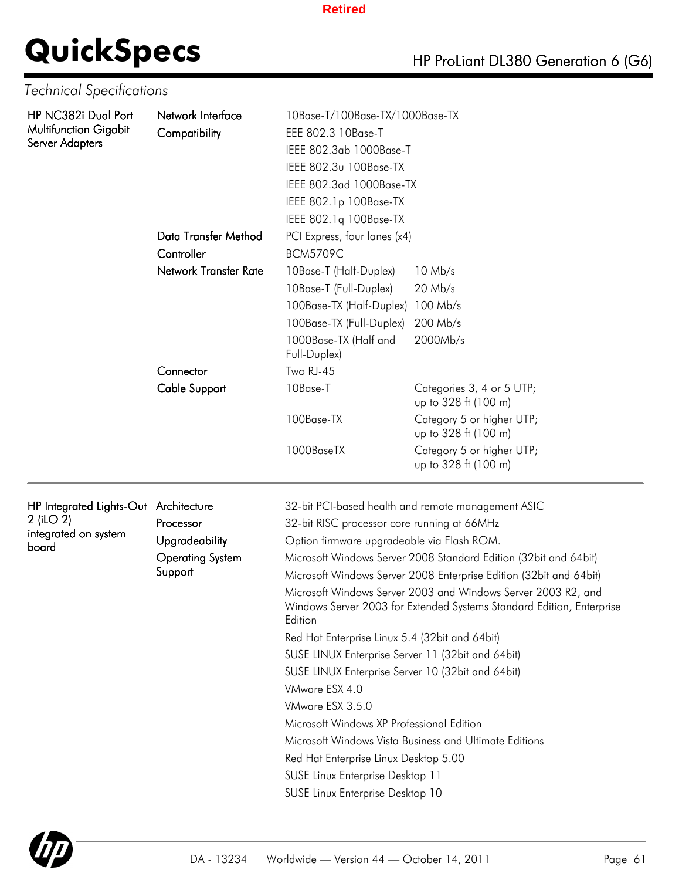# **QuickSpecs**

| HP ProLiant DL380 Generation 6 (G6) |  |
|-------------------------------------|--|
|-------------------------------------|--|

|  | <b>Technical Specifications</b> |
|--|---------------------------------|
|--|---------------------------------|

| HP NC382i Dual Port          | Network Interface            | 10Base-T/100Base-TX/1000Base-TX                                                                     |                                                                                                                                        |  |  |  |
|------------------------------|------------------------------|-----------------------------------------------------------------------------------------------------|----------------------------------------------------------------------------------------------------------------------------------------|--|--|--|
| <b>Multifunction Gigabit</b> | Compatibility                | EEE 802.3 10Base-T                                                                                  |                                                                                                                                        |  |  |  |
| <b>Server Adapters</b>       |                              | IEEE 802.3ab 1000Base-T                                                                             |                                                                                                                                        |  |  |  |
|                              |                              | IEEE 802.3u 100Base-TX                                                                              |                                                                                                                                        |  |  |  |
|                              |                              | IEEE 802.3ad 1000Base-TX                                                                            |                                                                                                                                        |  |  |  |
|                              |                              | IEEE 802.1p 100Base-TX                                                                              |                                                                                                                                        |  |  |  |
|                              |                              | IEEE 802.1q 100Base-TX                                                                              |                                                                                                                                        |  |  |  |
|                              | Data Transfer Method         | PCI Express, four lanes (x4)                                                                        |                                                                                                                                        |  |  |  |
|                              | Controller                   | <b>BCM5709C</b>                                                                                     |                                                                                                                                        |  |  |  |
|                              | <b>Network Transfer Rate</b> | 10Base-T (Half-Duplex)                                                                              | $10$ Mb/s                                                                                                                              |  |  |  |
|                              |                              | 10Base-T (Full-Duplex)                                                                              | $20$ Mb/s                                                                                                                              |  |  |  |
|                              |                              | 100Base-TX (Half-Duplex)                                                                            | $100$ Mb/s                                                                                                                             |  |  |  |
|                              |                              | 100Base-TX (Full-Duplex)                                                                            | 200 Mb/s                                                                                                                               |  |  |  |
|                              |                              | 1000Base-TX (Half and                                                                               | 2000Mb/s                                                                                                                               |  |  |  |
|                              |                              | Full-Duplex)                                                                                        |                                                                                                                                        |  |  |  |
|                              | Connector                    | Two RJ-45                                                                                           |                                                                                                                                        |  |  |  |
|                              | <b>Cable Support</b>         | 10Base-T                                                                                            | Categories 3, 4 or 5 UTP;<br>up to 328 ft (100 m)                                                                                      |  |  |  |
|                              |                              | 100Base-TX                                                                                          | Category 5 or higher UTP;<br>up to 328 ft (100 m)                                                                                      |  |  |  |
|                              |                              | 1000BaseTX                                                                                          | Category 5 or higher UTP;<br>up to 328 ft (100 m)                                                                                      |  |  |  |
|                              |                              |                                                                                                     | 32-bit PCI-based health and remote management ASIC                                                                                     |  |  |  |
| HP Integrated Lights-Out     | Architecture                 |                                                                                                     |                                                                                                                                        |  |  |  |
| 2 (iLO 2)                    | Processor                    | 32-bit RISC processor core running at 66MHz                                                         |                                                                                                                                        |  |  |  |
| integrated on system         | Upgradeability               | Option firmware upgradeable via Flash ROM.                                                          |                                                                                                                                        |  |  |  |
| board                        | <b>Operating System</b>      |                                                                                                     | Microsoft Windows Server 2008 Standard Edition (32bit and 64bit)                                                                       |  |  |  |
|                              | Support                      |                                                                                                     | Microsoft Windows Server 2008 Enterprise Edition (32bit and 64bit)                                                                     |  |  |  |
|                              |                              | Edition                                                                                             | Microsoft Windows Server 2003 and Windows Server 2003 R2, and<br>Windows Server 2003 for Extended Systems Standard Edition, Enterprise |  |  |  |
|                              |                              |                                                                                                     |                                                                                                                                        |  |  |  |
|                              |                              | Red Hat Enterprise Linux 5.4 (32bit and 64bit)<br>SUSE LINUX Enterprise Server 11 (32bit and 64bit) |                                                                                                                                        |  |  |  |
|                              |                              | SUSE LINUX Enterprise Server 10 (32bit and 64bit)                                                   |                                                                                                                                        |  |  |  |
|                              |                              | VMware ESX 4.0                                                                                      |                                                                                                                                        |  |  |  |
|                              |                              | VMware ESX 3.5.0                                                                                    |                                                                                                                                        |  |  |  |
|                              |                              | Microsoft Windows XP Professional Edition                                                           |                                                                                                                                        |  |  |  |
|                              |                              |                                                                                                     | Microsoft Windows Vista Business and Ultimate Editions                                                                                 |  |  |  |
|                              |                              | Red Hat Enterprise Linux Desktop 5.00                                                               |                                                                                                                                        |  |  |  |
|                              |                              | SUSE Linux Enterprise Desktop 11                                                                    |                                                                                                                                        |  |  |  |
|                              |                              | SUSE Linux Enterprise Desktop 10                                                                    |                                                                                                                                        |  |  |  |